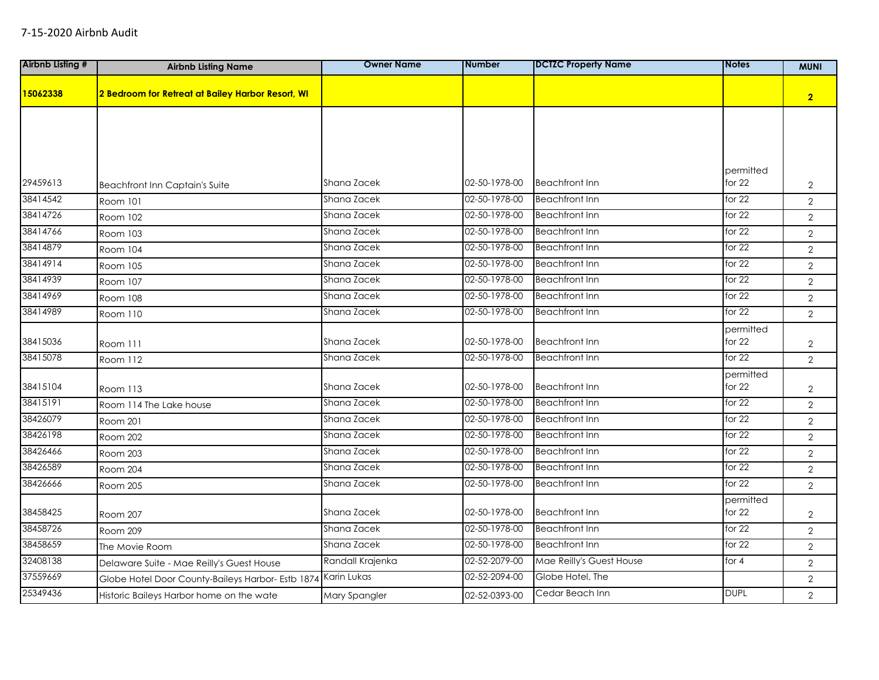| <b>Airbnb Listing #</b> | <b>Airbnb Listing Name</b>                        | <b>Owner Name</b> | <b>Number</b> | <b>DCTZC Property Name</b> | <b>Notes</b>        | <b>MUNI</b>    |
|-------------------------|---------------------------------------------------|-------------------|---------------|----------------------------|---------------------|----------------|
| 15062338                | 2 Bedroom for Retreat at Bailey Harbor Resort, WI |                   |               |                            |                     | 2 <sub>2</sub> |
|                         |                                                   |                   |               |                            |                     |                |
|                         |                                                   |                   |               |                            |                     |                |
|                         |                                                   |                   |               |                            |                     |                |
|                         |                                                   |                   |               |                            | permitted           |                |
| 29459613                | <b>Beachfront Inn Captain's Suite</b>             | Shana Zacek       | 02-50-1978-00 | <b>Beachfront Inn</b>      | for 22              | $\overline{2}$ |
| 38414542                | Room 101                                          | Shana Zacek       | 02-50-1978-00 | <b>Beachfront Inn</b>      | for $22$            | $\overline{2}$ |
| 38414726                | Room 102                                          | Shana Zacek       | 02-50-1978-00 | <b>Beachfront Inn</b>      | for $22$            | $\overline{2}$ |
| 38414766                | Room 103                                          | Shana Zacek       | 02-50-1978-00 | <b>Beachfront Inn</b>      | for $22$            | $\overline{2}$ |
| 38414879                | Room 104                                          | Shana Zacek       | 02-50-1978-00 | <b>Beachfront Inn</b>      | for $22$            | $\overline{2}$ |
| 38414914                | Room 105                                          | Shana Zacek       | 02-50-1978-00 | <b>Beachfront Inn</b>      | for $22$            | $\overline{2}$ |
| 38414939                | Room 107                                          | Shana Zacek       | 02-50-1978-00 | <b>Beachfront Inn</b>      | for $22$            | $\overline{2}$ |
| 38414969                | Room 108                                          | Shana Zacek       | 02-50-1978-00 | <b>Beachfront Inn</b>      | for $22$            | $\overline{2}$ |
| 38414989                | Room 110                                          | Shana Zacek       | 02-50-1978-00 | <b>Beachfront Inn</b>      | for $22$            | $\overline{2}$ |
|                         |                                                   |                   |               |                            | permitted           |                |
| 38415036                | Room 111                                          | Shana Zacek       | 02-50-1978-00 | <b>Beachfront Inn</b>      | for $22$            | $\overline{2}$ |
| 38415078                | Room 112                                          | Shana Zacek       | 02-50-1978-00 | <b>Beachfront Inn</b>      | for $22$            | $\overline{2}$ |
|                         |                                                   |                   |               |                            | permitted           |                |
| 38415104                | Room 113                                          | Shana Zacek       | 02-50-1978-00 | <b>Beachfront Inn</b>      | for 22              | $\overline{2}$ |
| 38415191                | Room 114 The Lake house                           | Shana Zacek       | 02-50-1978-00 | <b>Beachfront Inn</b>      | for $22$            | $\overline{2}$ |
| 38426079                | <b>Room 201</b>                                   | Shana Zacek       | 02-50-1978-00 | <b>Beachfront Inn</b>      | for $22$            | $\overline{2}$ |
| 38426198                | Room 202                                          | Shana Zacek       | 02-50-1978-00 | <b>Beachfront Inn</b>      | for $22$            | $\overline{2}$ |
| 38426466                | Room 203                                          | Shana Zacek       | 02-50-1978-00 | <b>Beachfront Inn</b>      | for $22$            | $\overline{2}$ |
| 38426589                | Room 204                                          | Shana Zacek       | 02-50-1978-00 | <b>Beachfront Inn</b>      | for $22$            | $\overline{2}$ |
| 38426666                | Room 205                                          | Shana Zacek       | 02-50-1978-00 | <b>Beachfront Inn</b>      | for $22$            | $\overline{2}$ |
| 38458425                | Room 207                                          | Shana Zacek       | 02-50-1978-00 | <b>Beachfront Inn</b>      | permitted<br>for 22 | $\overline{2}$ |
| 38458726                | Room 209                                          | Shana Zacek       | 02-50-1978-00 | <b>Beachfront Inn</b>      | for $22$            | $\overline{2}$ |
| 38458659                | The Movie Room                                    | Shana Zacek       | 02-50-1978-00 | <b>Beachfront Inn</b>      | for $22$            | $\overline{2}$ |
| 32408138                | Delaware Suite - Mae Reilly's Guest House         | Randall Krajenka  | 02-52-2079-00 | Mae Reilly's Guest House   | for 4               | $\overline{2}$ |
| 37559669                | Globe Hotel Door County-Baileys Harbor- Estb 1874 | Karin Lukas       | 02-52-2094-00 | Globe Hotel, The           |                     | $\overline{2}$ |
| 25349436                | Historic Baileys Harbor home on the wate          | Mary Spangler     | 02-52-0393-00 | Cedar Beach Inn            | <b>DUPL</b>         | $\overline{2}$ |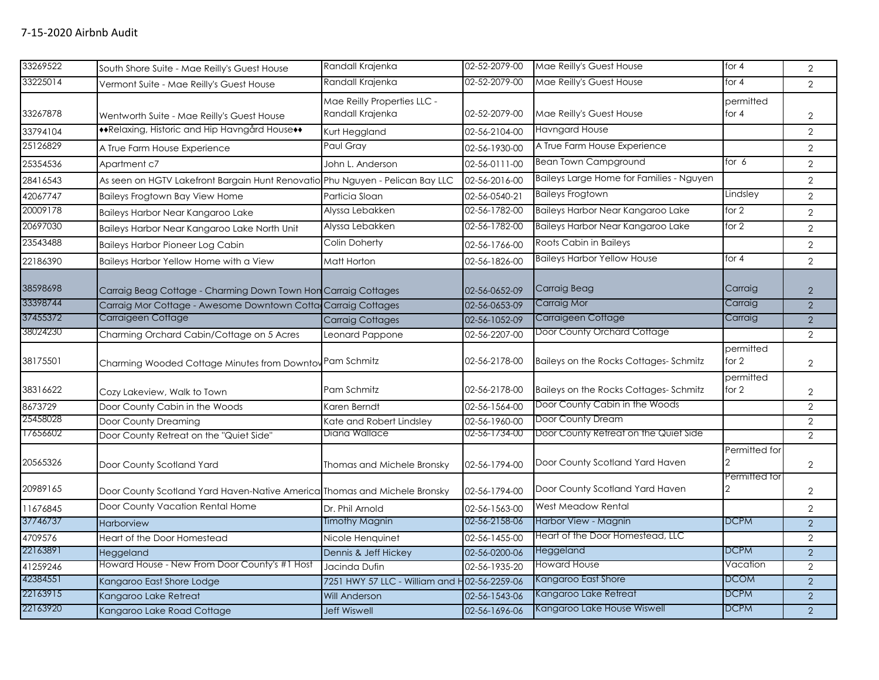| 33269522 | South Shore Suite - Mae Reilly's Guest House                                  | Randall Krajenka                             | 02-52-2079-00 | Mae Reilly's Guest House                 | for 4                | $\overline{2}$ |
|----------|-------------------------------------------------------------------------------|----------------------------------------------|---------------|------------------------------------------|----------------------|----------------|
| 33225014 |                                                                               | Randall Krajenka                             | 02-52-2079-00 | Mae Reilly's Guest House                 | for 4                |                |
|          | Vermont Suite - Mae Reilly's Guest House                                      |                                              |               |                                          |                      | $\overline{2}$ |
|          |                                                                               | Mae Reilly Properties LLC -                  |               |                                          | permitted            |                |
| 33267878 | Wentworth Suite - Mae Reilly's Guest House                                    | Randall Krajenka                             | 02-52-2079-00 | Mae Reilly's Guest House                 | for $4$              | $\overline{2}$ |
| 33794104 | **Relaxing, Historic and Hip Havngård House**                                 | Kurt Heggland                                | 02-56-2104-00 | <b>Havngard House</b>                    |                      | $\overline{2}$ |
| 25126829 | A True Farm House Experience                                                  | Paul Gray                                    | 02-56-1930-00 | A True Farm House Experience             |                      | $\overline{2}$ |
| 25354536 | Apartment c7                                                                  | John L. Anderson                             | 02-56-0111-00 | <b>Bean Town Campground</b>              | for $6$              | $\overline{2}$ |
| 28416543 | As seen on HGTV Lakefront Bargain Hunt Renovatio Phu Nguyen - Pelican Bay LLC |                                              | 02-56-2016-00 | Baileys Large Home for Families - Nguyen |                      | $\overline{2}$ |
| 42067747 | Baileys Frogtown Bay View Home                                                | Particia Sloan                               | 02-56-0540-21 | <b>Baileys Frogtown</b>                  | Lindsley             | $\overline{2}$ |
| 20009178 | Baileys Harbor Near Kangaroo Lake                                             | Alyssa Lebakken                              | 02-56-1782-00 | <b>Baileys Harbor Near Kangaroo Lake</b> | for 2                | $\overline{2}$ |
| 20697030 | Baileys Harbor Near Kangaroo Lake North Unit                                  | Alyssa Lebakken                              | 02-56-1782-00 | Baileys Harbor Near Kangaroo Lake        | for 2                | $\overline{2}$ |
| 23543488 | <b>Baileys Harbor Pioneer Log Cabin</b>                                       | Colin Doherty                                | 02-56-1766-00 | Roots Cabin in Baileys                   |                      | $\overline{2}$ |
| 22186390 | Baileys Harbor Yellow Home with a View                                        | Matt Horton                                  | 02-56-1826-00 | <b>Baileys Harbor Yellow House</b>       | for $4$              | $\overline{2}$ |
|          |                                                                               |                                              |               |                                          |                      |                |
| 38598698 | Carraig Beag Cottage - Charming Down Town Hon Carraig Cottages                |                                              | 02-56-0652-09 | Carraig Beag                             | Carraig              | $\overline{2}$ |
| 33398744 | Carraig Mor Cottage - Awesome Downtown Cotta Carraig Cottages                 |                                              | 02-56-0653-09 | Carraig Mor                              | Carraig              | $\overline{2}$ |
| 37455372 | Carraigeen Cottage                                                            | <b>Carraig Cottages</b>                      | 02-56-1052-09 | Carraigeen Cottage                       | Carraig              | $\overline{2}$ |
| 38024230 | Charming Orchard Cabin/Cottage on 5 Acres                                     | Leonard Pappone                              | 02-56-2207-00 | Door County Orchard Cottage              |                      | $\overline{2}$ |
| 38175501 | Charming Wooded Cottage Minutes from Downtov Pam Schmitz                      |                                              | 02-56-2178-00 | Baileys on the Rocks Cottages-Schmitz    | permitted<br>for $2$ | $\overline{2}$ |
| 38316622 | Cozy Lakeview, Walk to Town                                                   | Pam Schmitz                                  | 02-56-2178-00 | Baileys on the Rocks Cottages-Schmitz    | permitted<br>for 2   | $\overline{2}$ |
| 8673729  | Door County Cabin in the Woods                                                | Karen Berndt                                 | 02-56-1564-00 | Door County Cabin in the Woods           |                      | $\overline{2}$ |
| 25458028 | Door County Dreaming                                                          | Kate and Robert Lindsley                     | 02-56-1960-00 | Door County Dream                        |                      | $\overline{2}$ |
| 17656602 | Door County Retreat on the "Quiet Side"                                       | Diana Wallace                                | 02-56-1734-00 | Door County Retreat on the Quiet Side    |                      | $\overline{2}$ |
| 20565326 | Door County Scotland Yard                                                     | Thomas and Michele Bronsky                   | 02-56-1794-00 | Door County Scotland Yard Haven          | Permitted for        | $\overline{2}$ |
| 20989165 | Door County Scotland Yard Haven-Native America Thomas and Michele Bronsky     |                                              | 02-56-1794-00 | Door County Scotland Yard Haven          | Permitted for<br>2   | $\overline{2}$ |
| 11676845 | Door County Vacation Rental Home                                              | Dr. Phil Arnold                              | 02-56-1563-00 | West Meadow Rental                       |                      | $\overline{2}$ |
| 37746737 | Harborview                                                                    | Timothy Magnin                               | 02-56-2158-06 | Harbor View - Magnin                     | <b>DCPM</b>          | $\overline{2}$ |
| 4709576  | Heart of the Door Homestead                                                   | Nicole Henquinet                             | 02-56-1455-00 | Heart of the Door Homestead, LLC         |                      | $\overline{2}$ |
| 22163891 | Heggeland                                                                     | Dennis & Jeff Hickey                         | 02-56-0200-06 | Heggeland                                | <b>DCPM</b>          | $\overline{2}$ |
| 41259246 | Howard House - New From Door County's #1 Host                                 | Jacinda Dufin                                | 02-56-1935-20 | <b>Howard House</b>                      | Vacation             | $\overline{2}$ |
| 42384551 | Kangaroo East Shore Lodge                                                     | 7251 HWY 57 LLC - William and H02-56-2259-06 |               | Kangaroo East Shore                      | <b>DCOM</b>          | 2              |
| 22163915 | Kangaroo Lake Retreat                                                         | <b>Will Anderson</b>                         | 02-56-1543-06 | Kangaroo Lake Retreat                    | <b>DCPM</b>          | $\overline{2}$ |
| 22163920 | Kangaroo Lake Road Cottage                                                    | <b>Jeff Wiswell</b>                          | 02-56-1696-06 | Kangaroo Lake House Wiswell              | <b>DCPM</b>          | $\overline{2}$ |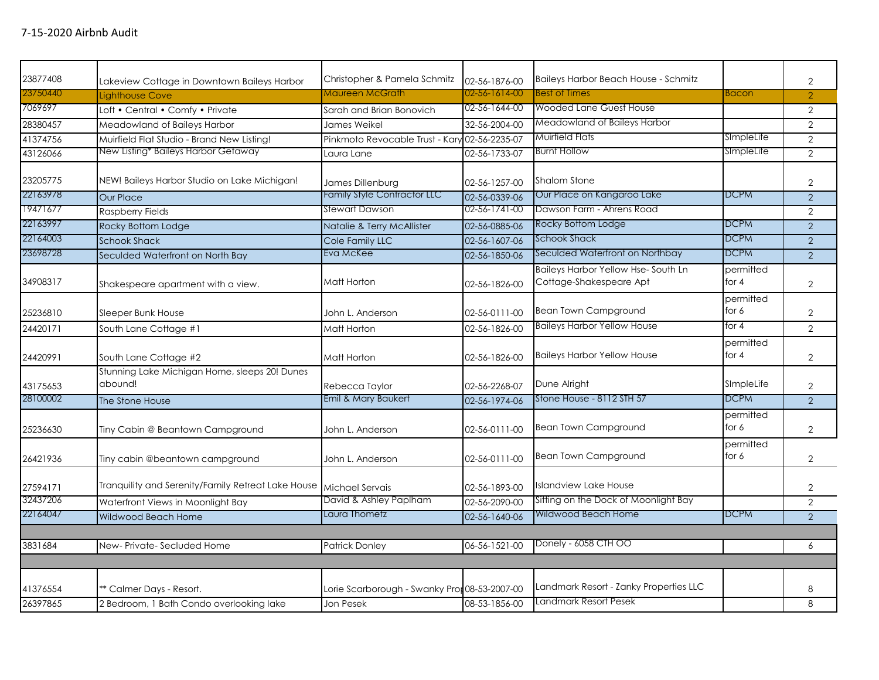| 23750440<br>Maureen McGrath<br>02-56-1614-00<br><b>Best of Times</b><br><b>Bacon</b><br>$\overline{2}$<br>Lighthouse Cove<br>7069697<br>02-56-1644-00<br><b>Wooded Lane Guest House</b><br>Loft • Central • Comfy • Private<br>$\overline{2}$<br>Sarah and Brian Bonovich<br>Meadowland of Baileys Harbor<br>32-56-2004-00<br>$\overline{2}$<br>28380457<br>Meadowland of Baileys Harbor<br>James Weikel<br>Muirfield Flats<br>SimpleLife<br>41374756<br>Muirfield Flat Studio - Brand New Listing!<br>Pinkmoto Revocable Trust - Kary 02-56-2235-07<br>2<br>New Listing* Baileys Harbor Getaway<br><b>Burnt Hollow</b><br>SImpleLife<br>43126066<br>02-56-1733-07<br>2<br>Laura Lane<br>23205775<br>NEW! Baileys Harbor Studio on Lake Michigan!<br><b>Shalom Stone</b><br>$\overline{2}$<br>James Dillenburg<br>02-56-1257-00<br>22163978<br>Family Style Contractor LLC<br>Our Place on Kangaroo Lake<br><b>DCPM</b><br>02-56-0339-06<br>2<br><b>Our Place</b><br>19471677<br>Stewart Dawson<br>Dawson Farm - Ahrens Road<br>02-56-1741-00<br><b>Raspberry Fields</b><br>$\overline{2}$<br>22163997<br>Rocky Bottom Lodge<br><b>DCPM</b><br>$\overline{2}$<br>Rocky Bottom Lodge<br>Natalie & Terry McAllister<br>02-56-0885-06<br>22164003<br><b>DCPM</b><br>Schook Shack<br><b>Schook Shack</b><br>Cole Family LLC<br>02-56-1607-06<br>2<br>Seculded Waterfront on Northbay<br><b>DCPM</b><br>23698728<br>Eva McKee<br>$\overline{2}$<br>02-56-1850-06<br>Seculded Waterfront on North Bay<br>Baileys Harbor Yellow Hse-South Ln<br>permitted<br>Cottage-Shakespeare Apt<br>for $4$<br>34908317<br>Matt Horton<br>Shakespeare apartment with a view.<br>02-56-1826-00<br>$\overline{2}$<br>permitted<br><b>Bean Town Campground</b><br>for 6<br>$\overline{2}$<br>25236810<br>Sleeper Bunk House<br>John L. Anderson<br>02-56-0111-00<br><b>Baileys Harbor Yellow House</b><br>for $4$<br>South Lane Cottage #1<br>02-56-1826-00<br>2<br>24420171<br>Matt Horton<br>permitted<br>for $4$<br><b>Baileys Harbor Yellow House</b><br>$\overline{2}$<br>24420991<br>South Lane Cottage #2<br>Matt Horton<br>02-56-1826-00<br>Stunning Lake Michigan Home, sleeps 20! Dunes<br>abound!<br>SImpleLife<br>Dune Alright<br>02-56-2268-07<br>$\overline{2}$<br>43175653<br>Rebecca Taylor<br><b>DCPM</b><br>28100002<br>Emil & Mary Baukert<br>Stone House - 8112 STH 57<br>2<br>02-56-1974-06<br>The Stone House<br>permitted<br><b>Bean Town Campground</b><br>for 6<br>$\overline{2}$<br>25236630<br>Tiny Cabin @ Beantown Campground<br>John L. Anderson<br>02-56-0111-00<br>permitted<br><b>Bean Town Campground</b><br>for 6<br>$\overline{2}$<br>26421936<br>02-56-0111-00<br>Tiny cabin @beantown campground<br>John L. Anderson<br>Tranquility and Serenity/Family Retreat Lake House<br><b>Islandview Lake House</b><br>02-56-1893-00<br>27594171<br>Michael Servais<br>$\overline{2}$<br>David & Ashley Paplham<br>Sitting on the Dock of Moonlight Bay<br>32437206<br>Waterfront Views in Moonlight Bay<br>02-56-2090-00<br>2<br>22164047<br>Laura Thometz<br>Wildwood Beach Home<br><b>DCPM</b><br>02-56-1640-06<br>$\overline{2}$<br>Wildwood Beach Home<br>Donely - 6058 CTH OO<br>06-56-1521-00<br>3831684<br>Patrick Donley<br>New-Private-Secluded Home<br>6<br>Landmark Resort - Zanky Properties LLC<br>Lorie Scarborough - Swanky Pror 08-53-2007-00<br>41376554<br>** Calmer Days - Resort.<br>8<br>Landmark Resort Pesek<br>26397865<br>08-53-1856-00<br>8<br>2 Bedroom, 1 Bath Condo overlooking lake<br>Jon Pesek | 23877408 | Lakeview Cottage in Downtown Baileys Harbor | Christopher & Pamela Schmitz | 02-56-1876-00 | Baileys Harbor Beach House - Schmitz | $\overline{2}$ |
|----------------------------------------------------------------------------------------------------------------------------------------------------------------------------------------------------------------------------------------------------------------------------------------------------------------------------------------------------------------------------------------------------------------------------------------------------------------------------------------------------------------------------------------------------------------------------------------------------------------------------------------------------------------------------------------------------------------------------------------------------------------------------------------------------------------------------------------------------------------------------------------------------------------------------------------------------------------------------------------------------------------------------------------------------------------------------------------------------------------------------------------------------------------------------------------------------------------------------------------------------------------------------------------------------------------------------------------------------------------------------------------------------------------------------------------------------------------------------------------------------------------------------------------------------------------------------------------------------------------------------------------------------------------------------------------------------------------------------------------------------------------------------------------------------------------------------------------------------------------------------------------------------------------------------------------------------------------------------------------------------------------------------------------------------------------------------------------------------------------------------------------------------------------------------------------------------------------------------------------------------------------------------------------------------------------------------------------------------------------------------------------------------------------------------------------------------------------------------------------------------------------------------------------------------------------------------------------------------------------------------------------------------------------------------------------------------------------------------------------------------------------------------------------------------------------------------------------------------------------------------------------------------------------------------------------------------------------------------------------------------------------------------------------------------------------------------------------------------------------------------------------------------------------------------------------------------------------------------------------------------------------------------------------------------------------------------------------------------------------------------------------------------------------------------------------------------------------------------------------------------------------------------------------|----------|---------------------------------------------|------------------------------|---------------|--------------------------------------|----------------|
|                                                                                                                                                                                                                                                                                                                                                                                                                                                                                                                                                                                                                                                                                                                                                                                                                                                                                                                                                                                                                                                                                                                                                                                                                                                                                                                                                                                                                                                                                                                                                                                                                                                                                                                                                                                                                                                                                                                                                                                                                                                                                                                                                                                                                                                                                                                                                                                                                                                                                                                                                                                                                                                                                                                                                                                                                                                                                                                                                                                                                                                                                                                                                                                                                                                                                                                                                                                                                                                                                                                                        |          |                                             |                              |               |                                      |                |
|                                                                                                                                                                                                                                                                                                                                                                                                                                                                                                                                                                                                                                                                                                                                                                                                                                                                                                                                                                                                                                                                                                                                                                                                                                                                                                                                                                                                                                                                                                                                                                                                                                                                                                                                                                                                                                                                                                                                                                                                                                                                                                                                                                                                                                                                                                                                                                                                                                                                                                                                                                                                                                                                                                                                                                                                                                                                                                                                                                                                                                                                                                                                                                                                                                                                                                                                                                                                                                                                                                                                        |          |                                             |                              |               |                                      |                |
|                                                                                                                                                                                                                                                                                                                                                                                                                                                                                                                                                                                                                                                                                                                                                                                                                                                                                                                                                                                                                                                                                                                                                                                                                                                                                                                                                                                                                                                                                                                                                                                                                                                                                                                                                                                                                                                                                                                                                                                                                                                                                                                                                                                                                                                                                                                                                                                                                                                                                                                                                                                                                                                                                                                                                                                                                                                                                                                                                                                                                                                                                                                                                                                                                                                                                                                                                                                                                                                                                                                                        |          |                                             |                              |               |                                      |                |
|                                                                                                                                                                                                                                                                                                                                                                                                                                                                                                                                                                                                                                                                                                                                                                                                                                                                                                                                                                                                                                                                                                                                                                                                                                                                                                                                                                                                                                                                                                                                                                                                                                                                                                                                                                                                                                                                                                                                                                                                                                                                                                                                                                                                                                                                                                                                                                                                                                                                                                                                                                                                                                                                                                                                                                                                                                                                                                                                                                                                                                                                                                                                                                                                                                                                                                                                                                                                                                                                                                                                        |          |                                             |                              |               |                                      |                |
|                                                                                                                                                                                                                                                                                                                                                                                                                                                                                                                                                                                                                                                                                                                                                                                                                                                                                                                                                                                                                                                                                                                                                                                                                                                                                                                                                                                                                                                                                                                                                                                                                                                                                                                                                                                                                                                                                                                                                                                                                                                                                                                                                                                                                                                                                                                                                                                                                                                                                                                                                                                                                                                                                                                                                                                                                                                                                                                                                                                                                                                                                                                                                                                                                                                                                                                                                                                                                                                                                                                                        |          |                                             |                              |               |                                      |                |
|                                                                                                                                                                                                                                                                                                                                                                                                                                                                                                                                                                                                                                                                                                                                                                                                                                                                                                                                                                                                                                                                                                                                                                                                                                                                                                                                                                                                                                                                                                                                                                                                                                                                                                                                                                                                                                                                                                                                                                                                                                                                                                                                                                                                                                                                                                                                                                                                                                                                                                                                                                                                                                                                                                                                                                                                                                                                                                                                                                                                                                                                                                                                                                                                                                                                                                                                                                                                                                                                                                                                        |          |                                             |                              |               |                                      |                |
|                                                                                                                                                                                                                                                                                                                                                                                                                                                                                                                                                                                                                                                                                                                                                                                                                                                                                                                                                                                                                                                                                                                                                                                                                                                                                                                                                                                                                                                                                                                                                                                                                                                                                                                                                                                                                                                                                                                                                                                                                                                                                                                                                                                                                                                                                                                                                                                                                                                                                                                                                                                                                                                                                                                                                                                                                                                                                                                                                                                                                                                                                                                                                                                                                                                                                                                                                                                                                                                                                                                                        |          |                                             |                              |               |                                      |                |
|                                                                                                                                                                                                                                                                                                                                                                                                                                                                                                                                                                                                                                                                                                                                                                                                                                                                                                                                                                                                                                                                                                                                                                                                                                                                                                                                                                                                                                                                                                                                                                                                                                                                                                                                                                                                                                                                                                                                                                                                                                                                                                                                                                                                                                                                                                                                                                                                                                                                                                                                                                                                                                                                                                                                                                                                                                                                                                                                                                                                                                                                                                                                                                                                                                                                                                                                                                                                                                                                                                                                        |          |                                             |                              |               |                                      |                |
|                                                                                                                                                                                                                                                                                                                                                                                                                                                                                                                                                                                                                                                                                                                                                                                                                                                                                                                                                                                                                                                                                                                                                                                                                                                                                                                                                                                                                                                                                                                                                                                                                                                                                                                                                                                                                                                                                                                                                                                                                                                                                                                                                                                                                                                                                                                                                                                                                                                                                                                                                                                                                                                                                                                                                                                                                                                                                                                                                                                                                                                                                                                                                                                                                                                                                                                                                                                                                                                                                                                                        |          |                                             |                              |               |                                      |                |
|                                                                                                                                                                                                                                                                                                                                                                                                                                                                                                                                                                                                                                                                                                                                                                                                                                                                                                                                                                                                                                                                                                                                                                                                                                                                                                                                                                                                                                                                                                                                                                                                                                                                                                                                                                                                                                                                                                                                                                                                                                                                                                                                                                                                                                                                                                                                                                                                                                                                                                                                                                                                                                                                                                                                                                                                                                                                                                                                                                                                                                                                                                                                                                                                                                                                                                                                                                                                                                                                                                                                        |          |                                             |                              |               |                                      |                |
|                                                                                                                                                                                                                                                                                                                                                                                                                                                                                                                                                                                                                                                                                                                                                                                                                                                                                                                                                                                                                                                                                                                                                                                                                                                                                                                                                                                                                                                                                                                                                                                                                                                                                                                                                                                                                                                                                                                                                                                                                                                                                                                                                                                                                                                                                                                                                                                                                                                                                                                                                                                                                                                                                                                                                                                                                                                                                                                                                                                                                                                                                                                                                                                                                                                                                                                                                                                                                                                                                                                                        |          |                                             |                              |               |                                      |                |
|                                                                                                                                                                                                                                                                                                                                                                                                                                                                                                                                                                                                                                                                                                                                                                                                                                                                                                                                                                                                                                                                                                                                                                                                                                                                                                                                                                                                                                                                                                                                                                                                                                                                                                                                                                                                                                                                                                                                                                                                                                                                                                                                                                                                                                                                                                                                                                                                                                                                                                                                                                                                                                                                                                                                                                                                                                                                                                                                                                                                                                                                                                                                                                                                                                                                                                                                                                                                                                                                                                                                        |          |                                             |                              |               |                                      |                |
|                                                                                                                                                                                                                                                                                                                                                                                                                                                                                                                                                                                                                                                                                                                                                                                                                                                                                                                                                                                                                                                                                                                                                                                                                                                                                                                                                                                                                                                                                                                                                                                                                                                                                                                                                                                                                                                                                                                                                                                                                                                                                                                                                                                                                                                                                                                                                                                                                                                                                                                                                                                                                                                                                                                                                                                                                                                                                                                                                                                                                                                                                                                                                                                                                                                                                                                                                                                                                                                                                                                                        |          |                                             |                              |               |                                      |                |
|                                                                                                                                                                                                                                                                                                                                                                                                                                                                                                                                                                                                                                                                                                                                                                                                                                                                                                                                                                                                                                                                                                                                                                                                                                                                                                                                                                                                                                                                                                                                                                                                                                                                                                                                                                                                                                                                                                                                                                                                                                                                                                                                                                                                                                                                                                                                                                                                                                                                                                                                                                                                                                                                                                                                                                                                                                                                                                                                                                                                                                                                                                                                                                                                                                                                                                                                                                                                                                                                                                                                        |          |                                             |                              |               |                                      |                |
|                                                                                                                                                                                                                                                                                                                                                                                                                                                                                                                                                                                                                                                                                                                                                                                                                                                                                                                                                                                                                                                                                                                                                                                                                                                                                                                                                                                                                                                                                                                                                                                                                                                                                                                                                                                                                                                                                                                                                                                                                                                                                                                                                                                                                                                                                                                                                                                                                                                                                                                                                                                                                                                                                                                                                                                                                                                                                                                                                                                                                                                                                                                                                                                                                                                                                                                                                                                                                                                                                                                                        |          |                                             |                              |               |                                      |                |
|                                                                                                                                                                                                                                                                                                                                                                                                                                                                                                                                                                                                                                                                                                                                                                                                                                                                                                                                                                                                                                                                                                                                                                                                                                                                                                                                                                                                                                                                                                                                                                                                                                                                                                                                                                                                                                                                                                                                                                                                                                                                                                                                                                                                                                                                                                                                                                                                                                                                                                                                                                                                                                                                                                                                                                                                                                                                                                                                                                                                                                                                                                                                                                                                                                                                                                                                                                                                                                                                                                                                        |          |                                             |                              |               |                                      |                |
|                                                                                                                                                                                                                                                                                                                                                                                                                                                                                                                                                                                                                                                                                                                                                                                                                                                                                                                                                                                                                                                                                                                                                                                                                                                                                                                                                                                                                                                                                                                                                                                                                                                                                                                                                                                                                                                                                                                                                                                                                                                                                                                                                                                                                                                                                                                                                                                                                                                                                                                                                                                                                                                                                                                                                                                                                                                                                                                                                                                                                                                                                                                                                                                                                                                                                                                                                                                                                                                                                                                                        |          |                                             |                              |               |                                      |                |
|                                                                                                                                                                                                                                                                                                                                                                                                                                                                                                                                                                                                                                                                                                                                                                                                                                                                                                                                                                                                                                                                                                                                                                                                                                                                                                                                                                                                                                                                                                                                                                                                                                                                                                                                                                                                                                                                                                                                                                                                                                                                                                                                                                                                                                                                                                                                                                                                                                                                                                                                                                                                                                                                                                                                                                                                                                                                                                                                                                                                                                                                                                                                                                                                                                                                                                                                                                                                                                                                                                                                        |          |                                             |                              |               |                                      |                |
|                                                                                                                                                                                                                                                                                                                                                                                                                                                                                                                                                                                                                                                                                                                                                                                                                                                                                                                                                                                                                                                                                                                                                                                                                                                                                                                                                                                                                                                                                                                                                                                                                                                                                                                                                                                                                                                                                                                                                                                                                                                                                                                                                                                                                                                                                                                                                                                                                                                                                                                                                                                                                                                                                                                                                                                                                                                                                                                                                                                                                                                                                                                                                                                                                                                                                                                                                                                                                                                                                                                                        |          |                                             |                              |               |                                      |                |
|                                                                                                                                                                                                                                                                                                                                                                                                                                                                                                                                                                                                                                                                                                                                                                                                                                                                                                                                                                                                                                                                                                                                                                                                                                                                                                                                                                                                                                                                                                                                                                                                                                                                                                                                                                                                                                                                                                                                                                                                                                                                                                                                                                                                                                                                                                                                                                                                                                                                                                                                                                                                                                                                                                                                                                                                                                                                                                                                                                                                                                                                                                                                                                                                                                                                                                                                                                                                                                                                                                                                        |          |                                             |                              |               |                                      |                |
|                                                                                                                                                                                                                                                                                                                                                                                                                                                                                                                                                                                                                                                                                                                                                                                                                                                                                                                                                                                                                                                                                                                                                                                                                                                                                                                                                                                                                                                                                                                                                                                                                                                                                                                                                                                                                                                                                                                                                                                                                                                                                                                                                                                                                                                                                                                                                                                                                                                                                                                                                                                                                                                                                                                                                                                                                                                                                                                                                                                                                                                                                                                                                                                                                                                                                                                                                                                                                                                                                                                                        |          |                                             |                              |               |                                      |                |
|                                                                                                                                                                                                                                                                                                                                                                                                                                                                                                                                                                                                                                                                                                                                                                                                                                                                                                                                                                                                                                                                                                                                                                                                                                                                                                                                                                                                                                                                                                                                                                                                                                                                                                                                                                                                                                                                                                                                                                                                                                                                                                                                                                                                                                                                                                                                                                                                                                                                                                                                                                                                                                                                                                                                                                                                                                                                                                                                                                                                                                                                                                                                                                                                                                                                                                                                                                                                                                                                                                                                        |          |                                             |                              |               |                                      |                |
|                                                                                                                                                                                                                                                                                                                                                                                                                                                                                                                                                                                                                                                                                                                                                                                                                                                                                                                                                                                                                                                                                                                                                                                                                                                                                                                                                                                                                                                                                                                                                                                                                                                                                                                                                                                                                                                                                                                                                                                                                                                                                                                                                                                                                                                                                                                                                                                                                                                                                                                                                                                                                                                                                                                                                                                                                                                                                                                                                                                                                                                                                                                                                                                                                                                                                                                                                                                                                                                                                                                                        |          |                                             |                              |               |                                      |                |
|                                                                                                                                                                                                                                                                                                                                                                                                                                                                                                                                                                                                                                                                                                                                                                                                                                                                                                                                                                                                                                                                                                                                                                                                                                                                                                                                                                                                                                                                                                                                                                                                                                                                                                                                                                                                                                                                                                                                                                                                                                                                                                                                                                                                                                                                                                                                                                                                                                                                                                                                                                                                                                                                                                                                                                                                                                                                                                                                                                                                                                                                                                                                                                                                                                                                                                                                                                                                                                                                                                                                        |          |                                             |                              |               |                                      |                |
|                                                                                                                                                                                                                                                                                                                                                                                                                                                                                                                                                                                                                                                                                                                                                                                                                                                                                                                                                                                                                                                                                                                                                                                                                                                                                                                                                                                                                                                                                                                                                                                                                                                                                                                                                                                                                                                                                                                                                                                                                                                                                                                                                                                                                                                                                                                                                                                                                                                                                                                                                                                                                                                                                                                                                                                                                                                                                                                                                                                                                                                                                                                                                                                                                                                                                                                                                                                                                                                                                                                                        |          |                                             |                              |               |                                      |                |
|                                                                                                                                                                                                                                                                                                                                                                                                                                                                                                                                                                                                                                                                                                                                                                                                                                                                                                                                                                                                                                                                                                                                                                                                                                                                                                                                                                                                                                                                                                                                                                                                                                                                                                                                                                                                                                                                                                                                                                                                                                                                                                                                                                                                                                                                                                                                                                                                                                                                                                                                                                                                                                                                                                                                                                                                                                                                                                                                                                                                                                                                                                                                                                                                                                                                                                                                                                                                                                                                                                                                        |          |                                             |                              |               |                                      |                |
|                                                                                                                                                                                                                                                                                                                                                                                                                                                                                                                                                                                                                                                                                                                                                                                                                                                                                                                                                                                                                                                                                                                                                                                                                                                                                                                                                                                                                                                                                                                                                                                                                                                                                                                                                                                                                                                                                                                                                                                                                                                                                                                                                                                                                                                                                                                                                                                                                                                                                                                                                                                                                                                                                                                                                                                                                                                                                                                                                                                                                                                                                                                                                                                                                                                                                                                                                                                                                                                                                                                                        |          |                                             |                              |               |                                      |                |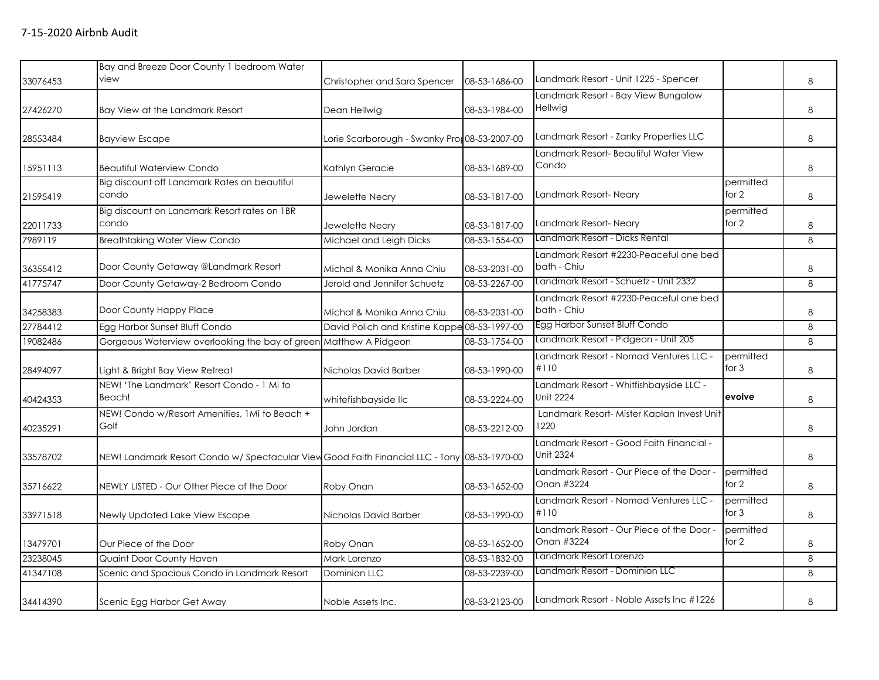|          | Bay and Breeze Door County 1 bedroom Water                                                   |                                               |               |                                                              |                      |   |
|----------|----------------------------------------------------------------------------------------------|-----------------------------------------------|---------------|--------------------------------------------------------------|----------------------|---|
| 33076453 | view                                                                                         | Christopher and Sara Spencer                  | 08-53-1686-00 | Landmark Resort - Unit 1225 - Spencer                        |                      | 8 |
|          |                                                                                              |                                               |               | Landmark Resort - Bay View Bungalow                          |                      |   |
| 27426270 | Bay View at the Landmark Resort                                                              | Dean Hellwig                                  | 08-53-1984-00 | Hellwig                                                      |                      | 8 |
| 28553484 | <b>Bayview Escape</b>                                                                        | Lorie Scarborough - Swanky Pror 08-53-2007-00 |               | Landmark Resort - Zanky Properties LLC                       |                      | 8 |
| 15951113 | <b>Beautiful Waterview Condo</b>                                                             | Kathlyn Geracie                               | 08-53-1689-00 | Landmark Resort- Beautiful Water View<br>Condo               |                      | 8 |
| 21595419 | Big discount off Landmark Rates on beautiful<br>condo                                        | Jewelette Neary                               | 08-53-1817-00 | Landmark Resort-Neary                                        | permitted<br>for $2$ | 8 |
| 22011733 | Big discount on Landmark Resort rates on 1BR<br>condo                                        | Jewelette Neary                               | 08-53-1817-00 | Landmark Resort-Neary                                        | permitted<br>for 2   | 8 |
| 7989119  | <b>Breathtaking Water View Condo</b>                                                         | Michael and Leigh Dicks                       | 08-53-1554-00 | Landmark Resort - Dicks Rental                               |                      | 8 |
| 36355412 | Door County Getaway @Landmark Resort                                                         | Michal & Monika Anna Chiu                     | 08-53-2031-00 | Landmark Resort #2230-Peaceful one bed<br>bath - Chiu        |                      | 8 |
| 41775747 | Door County Getaway-2 Bedroom Condo                                                          | Jerold and Jennifer Schuetz                   | 08-53-2267-00 | Landmark Resort - Schuetz - Unit 2332                        |                      | 8 |
| 34258383 | Door County Happy Place                                                                      | Michal & Monika Anna Chiu                     | 08-53-2031-00 | Landmark Resort #2230-Peaceful one bed<br>bath - Chiu        |                      | 8 |
| 27784412 | Egg Harbor Sunset Bluff Condo                                                                | David Polich and Kristine Kappe 08-53-1997-00 |               | Egg Harbor Sunset Bluff Condo                                |                      | 8 |
| 19082486 | Gorgeous Waterview overlooking the bay of green Matthew A Pidgeon                            |                                               | 08-53-1754-00 | Landmark Resort - Pidgeon - Unit 205                         |                      | 8 |
| 28494097 | Light & Bright Bay View Retreat                                                              | Nicholas David Barber                         | 08-53-1990-00 | Landmark Resort - Nomad Ventures LLC -<br>#110               | permitted<br>for 3   | 8 |
| 40424353 | NEW! 'The Landmark' Resort Condo - 1 Mi to<br>Beach!                                         | whitefishbayside llc                          | 08-53-2224-00 | Landmark Resort - Whitfishbayside LLC -<br><b>Unit 2224</b>  | evolve               | 8 |
| 40235291 | NEW! Condo w/Resort Amenities, 1Mi to Beach +<br>Golf                                        | John Jordan                                   | 08-53-2212-00 | Landmark Resort- Mister Kaplan Invest Unit<br>1220           |                      | 8 |
| 33578702 | NEW! Landmark Resort Condo w/ Spectacular View Good Faith Financial LLC - Tony 08-53-1970-00 |                                               |               | Landmark Resort - Good Faith Financial -<br><b>Unit 2324</b> |                      | 8 |
| 35716622 | NEWLY LISTED - Our Other Piece of the Door                                                   | Roby Onan                                     | 08-53-1652-00 | Landmark Resort - Our Piece of the Door -<br>Onan #3224      | permitted<br>for $2$ | 8 |
| 33971518 | Newly Updated Lake View Escape                                                               | Nicholas David Barber                         | 08-53-1990-00 | Landmark Resort - Nomad Ventures LLC -<br>#110               | permitted<br>for $3$ | 8 |
| 13479701 | Our Piece of the Door                                                                        | Roby Onan                                     | 08-53-1652-00 | Landmark Resort - Our Piece of the Door -<br>Onan #3224      | permitted<br>for 2   | 8 |
| 23238045 | Quaint Door County Haven                                                                     | Mark Lorenzo                                  | 08-53-1832-00 | Landmark Resort Lorenzo                                      |                      | 8 |
| 41347108 | Scenic and Spacious Condo in Landmark Resort                                                 | Dominion LLC                                  | 08-53-2239-00 | Landmark Resort - Dominion LLC                               |                      | 8 |
| 34414390 | Scenic Egg Harbor Get Away                                                                   | Noble Assets Inc.                             | 08-53-2123-00 | Landmark Resort - Noble Assets Inc #1226                     |                      | 8 |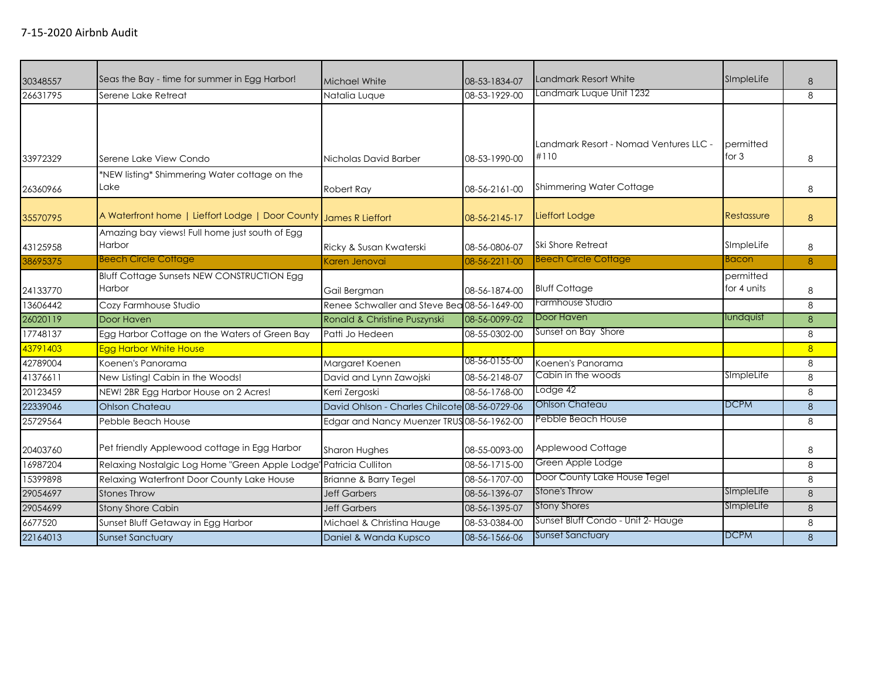| 30348557 | Seas the Bay - time for summer in Egg Harbor!               | Michael White                                 | 08-53-1834-07 | Landmark Resort White                  | SImpleLife               | 8              |
|----------|-------------------------------------------------------------|-----------------------------------------------|---------------|----------------------------------------|--------------------------|----------------|
| 26631795 | Serene Lake Retreat                                         | Natalia Luque                                 | 08-53-1929-00 | Landmark Luque Unit 1232               |                          | 8              |
|          |                                                             |                                               |               | Landmark Resort - Nomad Ventures LLC - | permitted                |                |
| 33972329 | Serene Lake View Condo                                      | Nicholas David Barber                         | 08-53-1990-00 | #110                                   | for $3$                  | 8              |
| 26360966 | *NEW listing* Shimmering Water cottage on the<br>Lake       | Robert Ray                                    | 08-56-2161-00 | <b>Shimmering Water Cottage</b>        |                          | 8              |
| 35570795 | A Waterfront home   Lieffort Lodge   Door County            | James R Lieffort                              | 08-56-2145-17 | Lieffort Lodge                         | Restassure               | 8              |
| 43125958 | Amazing bay views! Full home just south of Egg<br>Harbor    | Ricky & Susan Kwaterski                       | 08-56-0806-07 | Ski Shore Retreat                      | SImpleLife               | 8              |
| 38695375 | <b>Beech Circle Cottage</b>                                 | Karen Jenovai                                 | 08-56-2211-00 | <b>Beech Circle Cottage</b>            | Bacon                    | 8              |
| 24133770 | <b>Bluff Cottage Sunsets NEW CONSTRUCTION Egg</b><br>Harbor | Gail Bergman                                  | 08-56-1874-00 | <b>Bluff Cottage</b>                   | permitted<br>for 4 units | 8              |
| 13606442 | Cozy Farmhouse Studio                                       | Renee Schwaller and Steve Bea 08-56-1649-00   |               | Farmhouse Studio                       |                          | 8              |
| 26020119 | Door Haven                                                  | Ronald & Christine Puszynski                  | 08-56-0099-02 | Door Haven                             | lundquist                | 8              |
| 17748137 | Egg Harbor Cottage on the Waters of Green Bay               | Patti Jo Hedeen                               | 08-55-0302-00 | Sunset on Bay Shore                    |                          | 8              |
| 43791403 | <b>Egg Harbor White House</b>                               |                                               |               |                                        |                          | 8 <sup>2</sup> |
| 42789004 | Koenen's Panorama                                           | Margaret Koenen                               | 08-56-0155-00 | Koenen's Panorama                      |                          | 8              |
| 41376611 | New Listing! Cabin in the Woods!                            | David and Lynn Zawojski                       | 08-56-2148-07 | Cabin in the woods                     | SimpleLife               | 8              |
| 20123459 | NEW! 2BR Egg Harbor House on 2 Acres!                       | Kerri Zergoski                                | 08-56-1768-00 | Lodge 42                               |                          | 8              |
| 22339046 | <b>Ohlson Chateau</b>                                       | David Ohlson - Charles Chilcote 08-56-0729-06 |               | <b>Ohlson Chateau</b>                  | <b>DCPM</b>              | 8              |
| 25729564 | Pebble Beach House                                          | Edgar and Nancy Muenzer TRUS 08-56-1962-00    |               | Pebble Beach House                     |                          | 8              |
| 20403760 | Pet friendly Applewood cottage in Egg Harbor                | Sharon Hughes                                 | 08-55-0093-00 | Applewood Cottage                      |                          | 8              |
| 16987204 | Relaxing Nostalgic Log Home "Green Apple Lodge"             | Patricia Culliton                             | 08-56-1715-00 | Green Apple Lodge                      |                          | 8              |
| 15399898 | Relaxing Waterfront Door County Lake House                  | Brianne & Barry Tegel                         | 08-56-1707-00 | Door County Lake House Tegel           |                          | 8              |
| 29054697 | <b>Stones Throw</b>                                         | <b>Jeff Garbers</b>                           | 08-56-1396-07 | <b>Stone's Throw</b>                   | SImpleLife               | 8              |
| 29054699 | <b>Stony Shore Cabin</b>                                    | <b>Jeff Garbers</b>                           | 08-56-1395-07 | <b>Stony Shores</b>                    | SimpleLife               | $\delta$       |
| 6677520  | Sunset Bluff Getaway in Egg Harbor                          | Michael & Christina Hauge                     | 08-53-0384-00 | Sunset Bluff Condo - Unit 2- Hauge     |                          | 8              |
| 22164013 | <b>Sunset Sanctuary</b>                                     | Daniel & Wanda Kupsco                         | 08-56-1566-06 | <b>Sunset Sanctuary</b>                | <b>DCPM</b>              | 8              |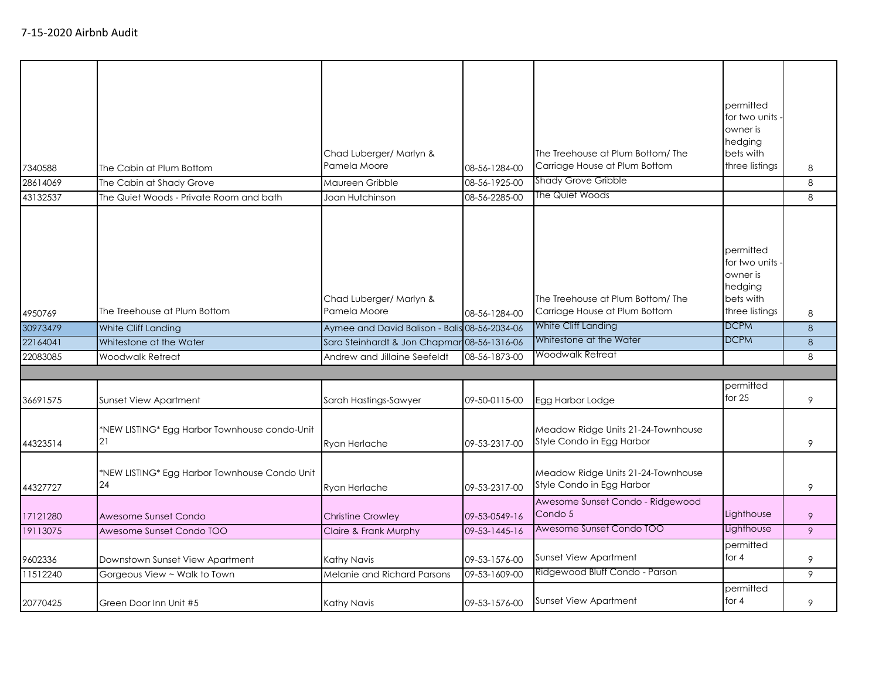| 7340588<br>28614069<br>43132537 | The Cabin at Plum Bottom<br>The Cabin at Shady Grove<br>The Quiet Woods - Private Room and bath | Chad Luberger/ Marlyn &<br>Pamela Moore<br>Maureen Gribble<br>Joan Hutchinson | 08-56-1284-00<br>08-56-1925-00<br>08-56-2285-00 | The Treehouse at Plum Bottom/The<br>Carriage House at Plum Bottom<br><b>Shady Grove Gribble</b><br>The Quiet Woods | permitted<br>for two units<br>owner is<br>hedging<br>bets with<br>three listings | 8<br>8<br>8 |
|---------------------------------|-------------------------------------------------------------------------------------------------|-------------------------------------------------------------------------------|-------------------------------------------------|--------------------------------------------------------------------------------------------------------------------|----------------------------------------------------------------------------------|-------------|
| 4950769                         | The Treehouse at Plum Bottom                                                                    | Chad Luberger/ Marlyn &<br>Pamela Moore                                       | 08-56-1284-00                                   | The Treehouse at Plum Bottom/The<br>Carriage House at Plum Bottom                                                  | permitted<br>for two units<br>owner is<br>hedging<br>bets with<br>three listings | 8           |
| 30973479                        | White Cliff Landing                                                                             | Aymee and David Balison - Balis 08-56-2034-06                                 |                                                 | White Cliff Landing                                                                                                | <b>DCPM</b>                                                                      | 8           |
| 22164041                        | Whitestone at the Water                                                                         | Sara Steinhardt & Jon Chapmar 08-56-1316-06                                   |                                                 | Whitestone at the Water                                                                                            | <b>DCPM</b>                                                                      | 8           |
| 22083085                        | Woodwalk Retreat                                                                                | Andrew and Jillaine Seefeldt                                                  | 08-56-1873-00                                   | Woodwalk Retreat                                                                                                   |                                                                                  | 8           |
|                                 |                                                                                                 |                                                                               |                                                 |                                                                                                                    |                                                                                  |             |
| 36691575                        | <b>Sunset View Apartment</b>                                                                    | Sarah Hastings-Sawyer                                                         | 09-50-0115-00                                   | Egg Harbor Lodge                                                                                                   | permitted<br>for $25$                                                            | 9           |
| 44323514                        | *NEW LISTING* Egg Harbor Townhouse condo-Unit<br>21                                             | Ryan Herlache                                                                 | 09-53-2317-00                                   | Meadow Ridge Units 21-24-Townhouse<br>Style Condo in Egg Harbor                                                    |                                                                                  | 9           |
| 44327727                        | *NEW LISTING* Egg Harbor Townhouse Condo Unit<br>24                                             | Ryan Herlache                                                                 | 09-53-2317-00                                   | Meadow Ridge Units 21-24-Townhouse<br>Style Condo in Egg Harbor                                                    |                                                                                  | 9           |
| 17121280                        | Awesome Sunset Condo                                                                            | <b>Christine Crowley</b>                                                      | 09-53-0549-16                                   | Awesome Sunset Condo - Ridgewood<br>Condo 5                                                                        | Lighthouse                                                                       | 9           |
| 19113075                        | Awesome Sunset Condo TOO                                                                        | Claire & Frank Murphy                                                         | 09-53-1445-16                                   | Awesome Sunset Condo TOO                                                                                           | Lighthouse                                                                       | 9           |
| 9602336                         | Downstown Sunset View Apartment                                                                 | Kathy Navis                                                                   | 09-53-1576-00                                   | Sunset View Apartment                                                                                              | permitted<br>for $4$                                                             | 9           |
| 11512240                        | Gorgeous View ~ Walk to Town                                                                    | Melanie and Richard Parsons                                                   | 09-53-1609-00                                   | Ridgewood Bluff Condo - Parson                                                                                     |                                                                                  | 9           |
| 20770425                        | Green Door Inn Unit #5                                                                          | Kathy Navis                                                                   | 09-53-1576-00                                   | <b>Sunset View Apartment</b>                                                                                       | permitted<br>for $4$                                                             | 9           |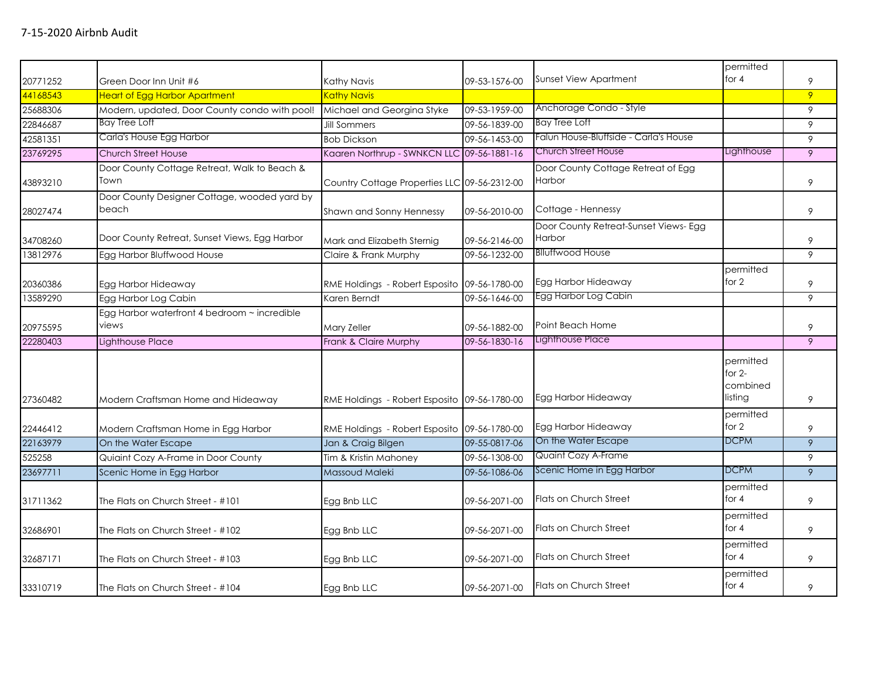|          |                                                       |                                              |               |                                                 | permitted                                    |   |
|----------|-------------------------------------------------------|----------------------------------------------|---------------|-------------------------------------------------|----------------------------------------------|---|
| 20771252 | Green Door Inn Unit #6                                | Kathy Navis                                  | 09-53-1576-00 | Sunset View Apartment                           | for $4$                                      | 9 |
| 44168543 | <b>Heart of Egg Harbor Apartment</b>                  | <b>Kathy Navis</b>                           |               |                                                 |                                              | 9 |
| 25688306 | Modern, updated, Door County condo with pool!         | Michael and Georgina Styke                   | 09-53-1959-00 | Anchorage Condo - Style                         |                                              | 9 |
| 22846687 | Bay Tree Loft                                         | <b>Jill Sommers</b>                          | 09-56-1839-00 | <b>Bay Tree Loft</b>                            |                                              | 9 |
| 42581351 | Carla's House Egg Harbor                              | <b>Bob Dickson</b>                           | 09-56-1453-00 | Falun House-Bluffside - Carla's House           |                                              | 9 |
| 23769295 | <b>Church Street House</b>                            | Kaaren Northrup - SWNKCN LLC 09-56-1881-16   |               | <b>Church Street House</b>                      | Lighthouse                                   | 9 |
| 43893210 | Door County Cottage Retreat, Walk to Beach &<br>Town  | Country Cottage Properties LLC 09-56-2312-00 |               | Door County Cottage Retreat of Egg<br>Harbor    |                                              | 9 |
| 28027474 | Door County Designer Cottage, wooded yard by<br>beach | Shawn and Sonny Hennessy                     | 09-56-2010-00 | Cottage - Hennessy                              |                                              | 9 |
| 34708260 | Door County Retreat, Sunset Views, Egg Harbor         | Mark and Elizabeth Sternig                   | 09-56-2146-00 | Door County Retreat-Sunset Views- Egg<br>Harbor |                                              | 9 |
| 13812976 | Egg Harbor Bluffwood House                            | Claire & Frank Murphy                        | 09-56-1232-00 | <b>Blluffwood House</b>                         |                                              | 9 |
| 20360386 | Egg Harbor Hideaway                                   | RME Holdings - Robert Esposito 09-56-1780-00 |               | Egg Harbor Hideaway                             | permitted<br>for 2                           | 9 |
| 13589290 | Egg Harbor Log Cabin                                  | Karen Berndt                                 | 09-56-1646-00 | Egg Harbor Log Cabin                            |                                              | 9 |
| 20975595 | Egg Harbor waterfront 4 bedroom ~ incredible<br>views | Mary Zeller                                  | 09-56-1882-00 | Point Beach Home                                |                                              | 9 |
| 22280403 | Lighthouse Place                                      | Frank & Claire Murphy                        | 09-56-1830-16 | <b>Lighthouse Place</b>                         |                                              | 9 |
| 27360482 | Modern Craftsman Home and Hideaway                    | RME Holdings - Robert Esposito 09-56-1780-00 |               | Egg Harbor Hideaway                             | permitted<br>for $2-$<br>combined<br>listing | 9 |
| 22446412 | Modern Craftsman Home in Egg Harbor                   | RME Holdings - Robert Esposito 09-56-1780-00 |               | Egg Harbor Hideaway                             | permitted<br>for 2                           | 9 |
| 22163979 | On the Water Escape                                   | Jan & Craig Bilgen                           | 09-55-0817-06 | On the Water Escape                             | <b>DCPM</b>                                  | 9 |
| 525258   | Quiaint Cozy A-Frame in Door County                   | Tim & Kristin Mahoney                        | 09-56-1308-00 | Quaint Cozy A-Frame                             |                                              | 9 |
| 23697711 | Scenic Home in Egg Harbor                             | Massoud Maleki                               | 09-56-1086-06 | Scenic Home in Egg Harbor                       | <b>DCPM</b>                                  | 9 |
| 31711362 | The Flats on Church Street - #101                     | Egg Bnb LLC                                  | 09-56-2071-00 | Flats on Church Street                          | permitted<br>for $4$                         | 9 |
| 32686901 | The Flats on Church Street - #102                     | Egg Bnb LLC                                  | 09-56-2071-00 | <b>Flats on Church Street</b>                   | permitted<br>for 4                           | 9 |
| 32687171 | The Flats on Church Street - #103                     | Egg Bnb LLC                                  | 09-56-2071-00 | <b>Flats on Church Street</b>                   | permitted<br>for 4                           | 9 |
| 33310719 | The Flats on Church Street - #104                     | Egg Bnb LLC                                  | 09-56-2071-00 | Flats on Church Street                          | permitted<br>for $4$                         | 9 |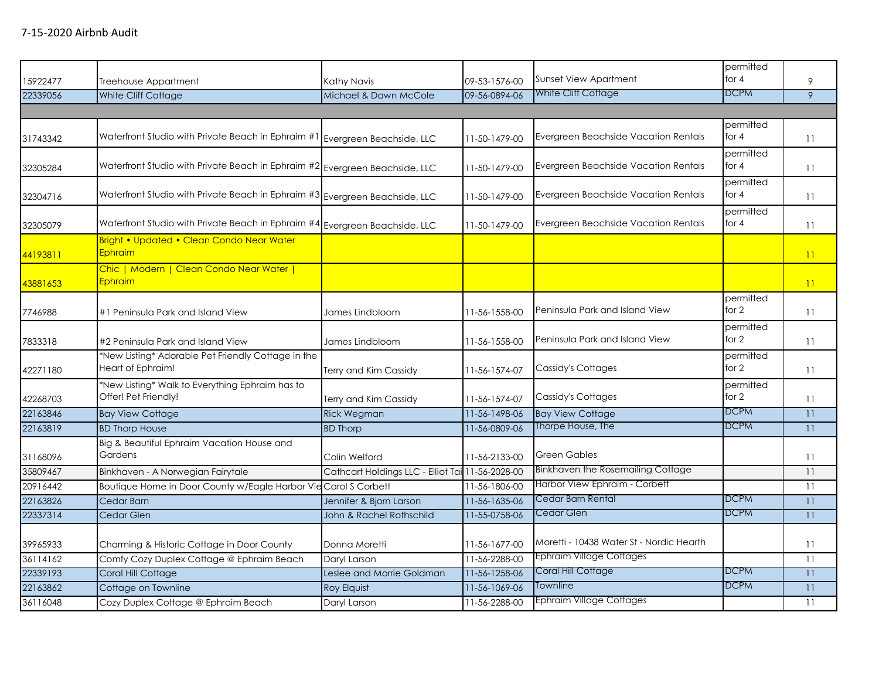| 15922477 | Treehouse Appartment                                                        | Kathy Navis                                      | 09-53-1576-00 | <b>Sunset View Apartment</b>             | permitted<br>for $4$ | 9  |
|----------|-----------------------------------------------------------------------------|--------------------------------------------------|---------------|------------------------------------------|----------------------|----|
| 22339056 | White Cliff Cottage                                                         | Michael & Dawn McCole                            | 09-56-0894-06 | White Cliff Cottage                      | <b>DCPM</b>          | 9  |
|          |                                                                             |                                                  |               |                                          |                      |    |
| 31743342 | Waterfront Studio with Private Beach in Ephraim #1 Evergreen Beachside, LLC |                                                  | 11-50-1479-00 | Evergreen Beachside Vacation Rentals     | permitted<br>for $4$ | 11 |
| 32305284 | Waterfront Studio with Private Beach in Ephraim #2 Evergreen Beachside, LLC |                                                  | 11-50-1479-00 | Evergreen Beachside Vacation Rentals     | permitted<br>for $4$ | 11 |
| 32304716 | Waterfront Studio with Private Beach in Ephraim #3 Evergreen Beachside, LLC |                                                  | 11-50-1479-00 | Evergreen Beachside Vacation Rentals     | permitted<br>for 4   | 11 |
| 32305079 | Waterfront Studio with Private Beach in Ephraim #4 Evergreen Beachside, LLC |                                                  | 11-50-1479-00 | Evergreen Beachside Vacation Rentals     | permitted<br>for 4   | 11 |
| 44193811 | Bright • Updated • Clean Condo Near Water<br>Ephraim                        |                                                  |               |                                          |                      | 11 |
| 43881653 | Chic   Modern   Clean Condo Near Water  <br><b>Ephraim</b>                  |                                                  |               |                                          |                      | 11 |
| 7746988  | #1 Peninsula Park and Island View                                           | James Lindbloom                                  | 11-56-1558-00 | Peninsula Park and Island View           | permitted<br>for 2   | 11 |
| 7833318  | #2 Peninsula Park and Island View                                           | James Lindbloom                                  | 11-56-1558-00 | Peninsula Park and Island View           | permitted<br>for 2   | 11 |
| 42271180 | *New Listing* Adorable Pet Friendly Cottage in the<br>Heart of Ephraim!     | Terry and Kim Cassidy                            | 11-56-1574-07 | Cassidy's Cottages                       | permitted<br>for 2   | 11 |
| 42268703 | *New Listing* Walk to Everything Ephraim has to<br>Offer! Pet Friendly!     | Terry and Kim Cassidy                            | 11-56-1574-07 | Cassidy's Cottages                       | permitted<br>for 2   | 11 |
| 22163846 | <b>Bay View Cottage</b>                                                     | <b>Rick Wegman</b>                               | 11-56-1498-06 | <b>Bay View Cottage</b>                  | <b>DCPM</b>          | 11 |
| 22163819 | <b>BD Thorp House</b>                                                       | <b>BD Thorp</b>                                  | 11-56-0809-06 | Thorpe House, The                        | <b>DCPM</b>          | 11 |
| 31168096 | Big & Beautiful Ephraim Vacation House and<br>Gardens                       | Colin Welford                                    | 11-56-2133-00 | <b>Green Gables</b>                      |                      | 11 |
| 35809467 | Binkhaven - A Norwegian Fairytale                                           | Cathcart Holdings LLC - Elliot Tai 11-56-2028-00 |               | Binkhaven the Rosemailing Cottage        |                      | 11 |
| 20916442 | Boutique Home in Door County w/Eagle Harbor Vie Carol S Corbett             |                                                  | 11-56-1806-00 | Harbor View Ephraim - Corbett            |                      | 11 |
| 22163826 | Cedar Barn                                                                  | Jennifer & Bjorn Larson                          | 11-56-1635-06 | Cedar Barn Rental                        | <b>DCPM</b>          | 11 |
| 22337314 | Cedar Glen                                                                  | John & Rachel Rothschild                         | 11-55-0758-06 | Cedar Glen                               | <b>DCPM</b>          | 11 |
| 39965933 | Charming & Historic Cottage in Door County                                  | Donna Moretti                                    | 11-56-1677-00 | Moretti - 10438 Water St - Nordic Hearth |                      | 11 |
| 36114162 | Comfy Cozy Duplex Cottage @ Ephraim Beach                                   | Daryl Larson                                     | 11-56-2288-00 | <b>Ephraim Village Cottages</b>          |                      | 11 |
| 22339193 | Coral Hill Cottage                                                          | Leslee and Morrie Goldman                        | 11-56-1258-06 | Coral Hill Cottage                       | <b>DCPM</b>          | 11 |
| 22163862 | Cottage on Townline                                                         | <b>Roy Elquist</b>                               | 11-56-1069-06 | Townline                                 | <b>DCPM</b>          | 11 |
| 36116048 | Cozy Duplex Cottage @ Ephraim Beach                                         | Daryl Larson                                     | 11-56-2288-00 | <b>Ephraim Village Cottages</b>          |                      | 11 |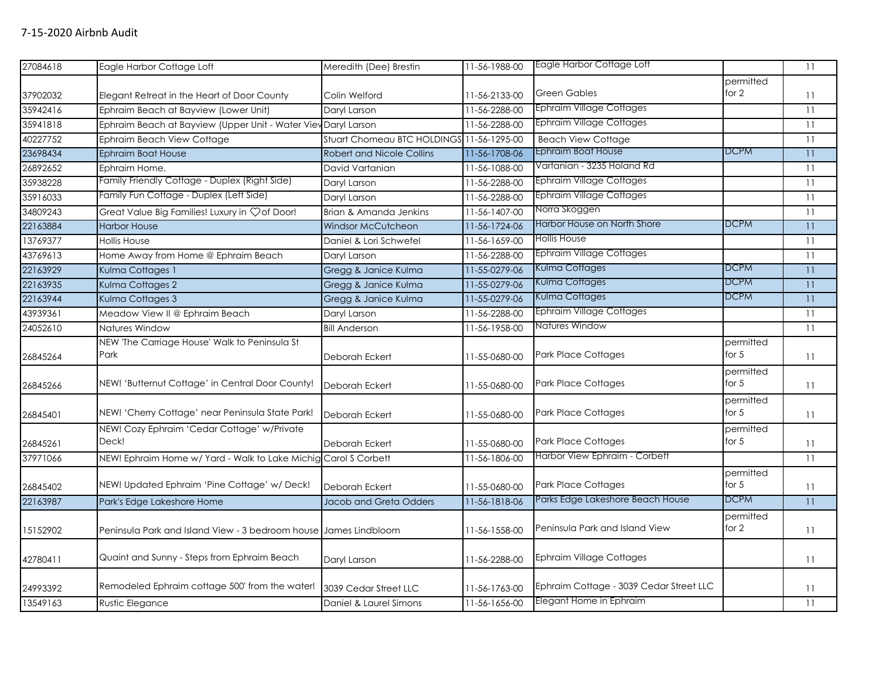| 27084618 | Eagle Harbor Cottage Loft                                        | Meredith (Dee) Brestin                    | 11-56-1988-00 | Eagle Harbor Cottage Loft               |                      | 11 |
|----------|------------------------------------------------------------------|-------------------------------------------|---------------|-----------------------------------------|----------------------|----|
|          |                                                                  |                                           |               | <b>Green Gables</b>                     | permitted<br>for 2   |    |
| 37902032 | Elegant Retreat in the Heart of Door County                      | Colin Welford                             | 11-56-2133-00 |                                         |                      | 11 |
| 35942416 | Ephraim Beach at Bayview (Lower Unit)                            | Daryl Larson                              | 11-56-2288-00 | <b>Ephraim Village Cottages</b>         |                      | 11 |
| 35941818 | Ephraim Beach at Bayview (Upper Unit - Water View Daryl Larson   |                                           | 11-56-2288-00 | <b>Ephraim Village Cottages</b>         |                      | 11 |
| 40227752 | Ephraim Beach View Cottage                                       | Stuart Chomeau BTC HOLDINGS 11-56-1295-00 |               | <b>Beach View Cottage</b>               |                      | 11 |
| 23698434 | <b>Ephraim Boat House</b>                                        | <b>Robert and Nicole Collins</b>          | 11-56-1708-06 | Ephraim Boat House                      | <b>DCPM</b>          | 11 |
| 26892652 | Ephraim Home.                                                    | David Vartanian                           | 11-56-1088-00 | Vartanian - 3235 Holand Rd              |                      | 11 |
| 35938228 | Family Friendly Cottage - Duplex (Right Side)                    | Daryl Larson                              | 11-56-2288-00 | Ephraim Village Cottages                |                      | 11 |
| 35916033 | Family Fun Cottage - Duplex (Left Side)                          | Daryl Larson                              | 11-56-2288-00 | Ephraim Village Cottages                |                      | 11 |
| 34809243 | Great Value Big Families! Luxury in Çof Door!                    | Brian & Amanda Jenkins                    | 11-56-1407-00 | Norra Skoggen                           |                      | 11 |
| 22163884 | <b>Harbor House</b>                                              | Windsor McCutcheon                        | 11-56-1724-06 | Harbor House on North Shore             | <b>DCPM</b>          | 11 |
| 13769377 | <b>Hollis House</b>                                              | Daniel & Lori Schwefel                    | 11-56-1659-00 | Hollis House                            |                      | 11 |
| 43769613 | Home Away from Home @ Ephraim Beach                              | Daryl Larson                              | 11-56-2288-00 | Ephraim Village Cottages                |                      | 11 |
| 22163929 | Kulma Cottages 1                                                 | Gregg & Janice Kulma                      | 11-55-0279-06 | Kulma Cottages                          | <b>DCPM</b>          | 11 |
| 22163935 | Kulma Cottages 2                                                 | Gregg & Janice Kulma                      | 11-55-0279-06 | Kulma Cottages                          | <b>DCPM</b>          | 11 |
| 22163944 | Kulma Cottages 3                                                 | Gregg & Janice Kulma                      | 11-55-0279-06 | Kulma Cottages                          | <b>DCPM</b>          | 11 |
| 43939361 | Meadow View II @ Ephraim Beach                                   | Daryl Larson                              | 11-56-2288-00 | <b>Ephraim Village Cottages</b>         |                      | 11 |
| 24052610 | Natures Window                                                   | <b>Bill Anderson</b>                      | 11-56-1958-00 | Natures Window                          |                      | 11 |
|          | NEW 'The Carriage House' Walk to Peninsula St                    |                                           |               |                                         | permitted            |    |
| 26845264 | Park                                                             | Deborah Eckert                            | 11-55-0680-00 | <b>Park Place Cottages</b>              | for $5$              | 11 |
| 26845266 | NEW! 'Butternut Cottage' in Central Door County!                 | Deborah Eckert                            | 11-55-0680-00 | Park Place Cottages                     | permitted<br>for $5$ | 11 |
| 26845401 | NEW! 'Cherry Cottage' near Peninsula State Park!                 | Deborah Eckert                            | 11-55-0680-00 | <b>Park Place Cottages</b>              | permitted<br>for $5$ | 11 |
| 26845261 | NEW! Cozy Ephraim 'Cedar Cottage' w/Private<br>Deck!             | Deborah Eckert                            | 11-55-0680-00 | <b>Park Place Cottages</b>              | permitted<br>for $5$ | 11 |
| 37971066 | NEW! Ephraim Home w/ Yard - Walk to Lake Michig Carol S Corbett  |                                           | 11-56-1806-00 | Harbor View Ephraim - Corbett           |                      | 11 |
| 26845402 | NEW! Updated Ephraim 'Pine Cottage' w/ Deck!                     | Deborah Eckert                            | 11-55-0680-00 | Park Place Cottages                     | permitted<br>for $5$ | 11 |
| 22163987 | Park's Edge Lakeshore Home                                       | Jacob and Greta Odders                    | 11-56-1818-06 | Parks Edge Lakeshore Beach House        | <b>DCPM</b>          | 11 |
| 15152902 | Peninsula Park and Island View - 3 bedroom house James Lindbloom |                                           | 11-56-1558-00 | Peninsula Park and Island View          | permitted<br>for 2   | 11 |
| 42780411 | Quaint and Sunny - Steps from Ephraim Beach                      | Daryl Larson                              | 11-56-2288-00 | <b>Ephraim Village Cottages</b>         |                      | 11 |
| 24993392 | Remodeled Ephraim cottage 500' from the water!                   | 3039 Cedar Street LLC                     | 11-56-1763-00 | Ephraim Cottage - 3039 Cedar Street LLC |                      | 11 |
| 13549163 | <b>Rustic Elegance</b>                                           | Daniel & Laurel Simons                    | 11-56-1656-00 | Elegant Home in Ephraim                 |                      | 11 |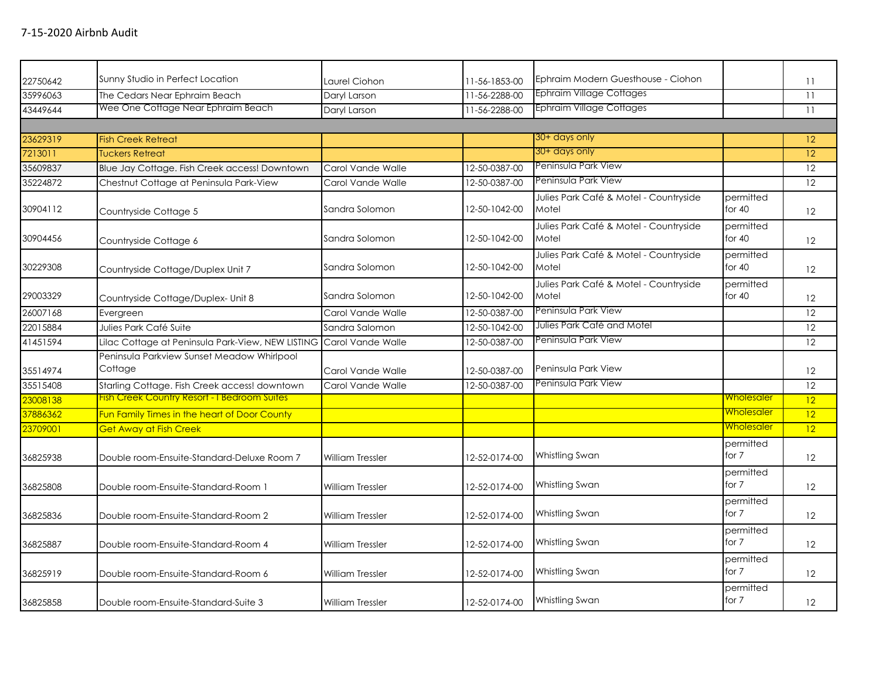| 22750642 | Sunny Studio in Perfect Location                      | aurel Ciohon.           | 11-56-1853-00         | Ephraim Modern Guesthouse - Ciohon              |                       | 11                |
|----------|-------------------------------------------------------|-------------------------|-----------------------|-------------------------------------------------|-----------------------|-------------------|
| 35996063 | The Cedars Near Ephraim Beach                         | Daryl Larson            | 11-56-2288-00         | <b>Ephraim Village Cottages</b>                 |                       | 11                |
| 43449644 | Wee One Cottage Near Ephraim Beach                    | Daryl Larson            | 11-56-2288-00         | <b>Ephraim Village Cottages</b>                 |                       | 11                |
|          |                                                       |                         |                       |                                                 |                       |                   |
| 23629319 | <b>Fish Creek Retreat</b>                             |                         |                       | 30+ days only                                   |                       | 12                |
| 7213011  | <b>Tuckers Retreat</b>                                |                         |                       | 30+ days only                                   |                       | 12                |
| 35609837 | Blue Jay Cottage. Fish Creek access! Downtown         | Carol Vande Walle       | 12-50-0387-00         | Peninsula Park View                             |                       | 12                |
| 35224872 | Chestnut Cottage at Peninsula Park-View               | Carol Vande Walle       | 12-50-0387-00         | Peninsula Park View                             |                       | 12                |
| 30904112 | Countryside Cottage 5                                 | Sandra Solomon          | 12-50-1042-00         | Julies Park Café & Motel - Countryside<br>Motel | permitted<br>for $40$ | 12                |
| 30904456 | Countryside Cottage 6                                 | Sandra Solomon          | 12-50-1042-00         | Julies Park Café & Motel - Countryside<br>Motel | permitted<br>for $40$ | 12                |
| 30229308 | Countryside Cottage/Duplex Unit 7                     | Sandra Solomon          | 12-50-1042-00         | Julies Park Café & Motel - Countryside<br>Motel | permitted<br>for $40$ | 12                |
| 29003329 | Countryside Cottage/Duplex- Unit 8                    | Sandra Solomon          | 12-50-1042-00         | Julies Park Café & Motel - Countryside<br>Motel | permitted<br>for $40$ | 12                |
| 26007168 | Evergreen                                             | Carol Vande Walle       | 12-50-0387-00         | Peninsula Park View                             |                       | 12                |
| 22015884 | Julies Park Café Suite                                | Sandra Salomon          | $12 - 50 - 1042 - 00$ | Julies Park Café and Motel                      |                       | 12                |
| 41451594 | Lilac Cottage at Peninsula Park-View, NEW LISTING     | Carol Vande Walle       | 12-50-0387-00         | Peninsula Park View                             |                       | 12                |
| 35514974 | Peninsula Parkview Sunset Meadow Whirlpool<br>Cottage | Carol Vande Walle       | 12-50-0387-00         | Peninsula Park View                             |                       | $12 \overline{ }$ |
| 35515408 | Starling Cottage. Fish Creek access! downtown         | Carol Vande Walle       | 12-50-0387-00         | Peninsula Park View                             |                       | 12                |
| 23008138 | Fish Creek Country Resort - I Bedroom Suites          |                         |                       |                                                 | <u>Wholesaler</u>     | 12                |
| 37886362 | Fun Family Times in the heart of Door County          |                         |                       |                                                 | <b>Wholesaler</b>     | 12                |
| 23709001 | Get Away at Fish Creek                                |                         |                       |                                                 | Wholesaler            | 12                |
| 36825938 | Double room-Ensuite-Standard-Deluxe Room 7            | <b>William Tressler</b> | 12-52-0174-00         | Whistling Swan                                  | permitted<br>for 7    | 12                |
| 36825808 | Double room-Ensuite-Standard-Room 1                   | <b>William Tressler</b> | 12-52-0174-00         | Whistling Swan                                  | permitted<br>for 7    | 12                |
| 36825836 | Double room-Ensuite-Standard-Room 2                   | William Tressler        | 12-52-0174-00         | Whistling Swan                                  | permitted<br>for 7    | 12                |
| 36825887 | Double room-Ensuite-Standard-Room 4                   | William Tressler        | 12-52-0174-00         | Whistling Swan                                  | permitted<br>for 7    | 12                |
| 36825919 | Double room-Ensuite-Standard-Room 6                   | William Tressler        | 12-52-0174-00         | Whistling Swan                                  | permitted<br>for 7    | $12 \overline{ }$ |
| 36825858 | Double room-Ensuite-Standard-Suite 3                  | <b>William Tressler</b> | 12-52-0174-00         | Whistling Swan                                  | permitted<br>for 7    | 12                |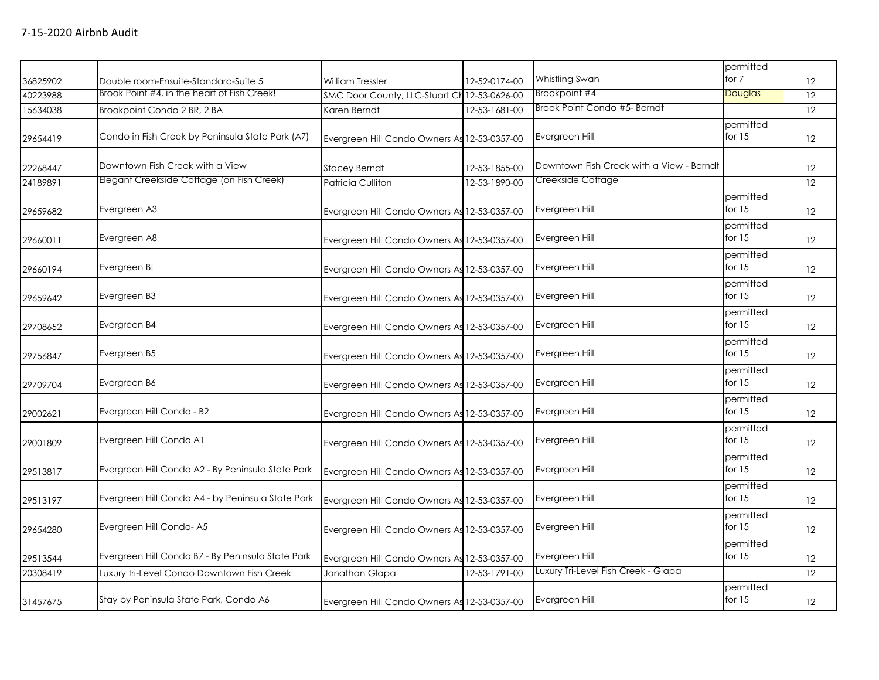| 36825902 | Double room-Ensuite-Standard-Suite 5              | <b>William Tressler</b>                      | 12-52-0174-00 | Whistling Swan                           | permitted<br>for 7    | 12 |
|----------|---------------------------------------------------|----------------------------------------------|---------------|------------------------------------------|-----------------------|----|
| 40223988 | Brook Point #4, in the heart of Fish Creek!       | SMC Door County, LLC-Stuart Ch 12-53-0626-00 |               | Brookpoint #4                            | Douglas               | 12 |
| 15634038 | Brookpoint Condo 2 BR, 2 BA                       | Karen Berndt                                 | 12-53-1681-00 | Brook Point Condo #5- Berndt             |                       | 12 |
| 29654419 | Condo in Fish Creek by Peninsula State Park (A7)  | Evergreen Hill Condo Owners As 12-53-0357-00 |               | Evergreen Hill                           | permitted<br>for $15$ | 12 |
| 22268447 | Downtown Fish Creek with a View                   | <b>Stacey Berndt</b>                         | 12-53-1855-00 | Downtown Fish Creek with a View - Berndt |                       | 12 |
| 24189891 | Elegant Creekside Cottage (on Fish Creek)         | Patricia Culliton                            | 12-53-1890-00 | Creekside Cottage                        |                       | 12 |
| 29659682 | Evergreen A3                                      | Evergreen Hill Condo Owners As 12-53-0357-00 |               | Evergreen Hill                           | permitted<br>for $15$ | 12 |
| 29660011 | Evergreen A8                                      | Evergreen Hill Condo Owners As 12-53-0357-00 |               | Evergreen Hill                           | permitted<br>for $15$ | 12 |
| 29660194 | Evergreen B!                                      | Evergreen Hill Condo Owners As 12-53-0357-00 |               | Evergreen Hill                           | permitted<br>for $15$ | 12 |
| 29659642 | Evergreen B3                                      | Evergreen Hill Condo Owners As 12-53-0357-00 |               | Evergreen Hill                           | permitted<br>for $15$ | 12 |
| 29708652 | Evergreen B4                                      | Evergreen Hill Condo Owners As 12-53-0357-00 |               | Evergreen Hill                           | permitted<br>for $15$ | 12 |
| 29756847 | Evergreen B5                                      | Evergreen Hill Condo Owners As 12-53-0357-00 |               | Evergreen Hill                           | permitted<br>for $15$ | 12 |
| 29709704 | Evergreen B6                                      | Evergreen Hill Condo Owners As 12-53-0357-00 |               | Evergreen Hill                           | permitted<br>for $15$ | 12 |
| 29002621 | Evergreen Hill Condo - B2                         | Evergreen Hill Condo Owners As 12-53-0357-00 |               | Evergreen Hill                           | permitted<br>for $15$ | 12 |
| 29001809 | Evergreen Hill Condo A1                           | Evergreen Hill Condo Owners As 12-53-0357-00 |               | Evergreen Hill                           | permitted<br>for $15$ | 12 |
| 29513817 | Evergreen Hill Condo A2 - By Peninsula State Park | Evergreen Hill Condo Owners As 12-53-0357-00 |               | Evergreen Hill                           | permitted<br>for $15$ | 12 |
| 29513197 | Evergreen Hill Condo A4 - by Peninsula State Park | Evergreen Hill Condo Owners As 12-53-0357-00 |               | Evergreen Hill                           | permitted<br>for $15$ | 12 |
| 29654280 | Evergreen Hill Condo-A5                           | Evergreen Hill Condo Owners As 12-53-0357-00 |               | Evergreen Hill                           | permitted<br>for $15$ | 12 |
| 29513544 | Evergreen Hill Condo B7 - By Peninsula State Park | Evergreen Hill Condo Owners As 12-53-0357-00 |               | Evergreen Hill                           | permitted<br>for $15$ | 12 |
| 20308419 | Luxury tri-Level Condo Downtown Fish Creek        | Jonathan Glapa                               | 12-53-1791-00 | Luxury Tri-Level Fish Creek - Glapa      |                       | 12 |
| 31457675 | Stay by Peninsula State Park, Condo A6            | Evergreen Hill Condo Owners As 12-53-0357-00 |               | Evergreen Hill                           | permitted<br>for $15$ | 12 |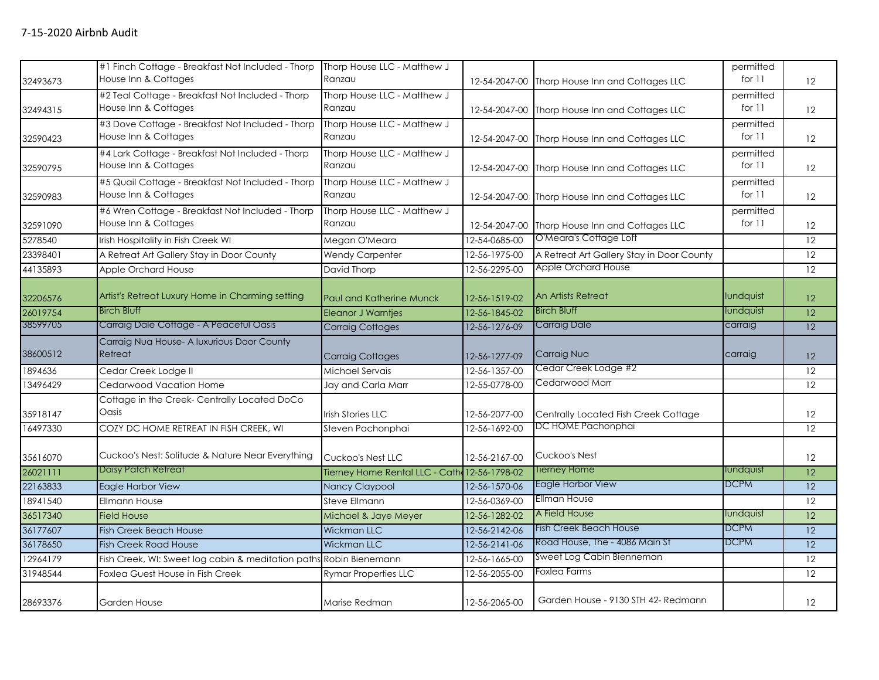| 32493673 | #1 Finch Cottage - Breakfast Not Included - Thorp<br>House Inn & Cottages | Thorp House LLC - Matthew J<br>Ranzau        |                       | 12-54-2047-00 Thorp House Inn and Cottages LLC | permitted<br>for $11$ | 12              |
|----------|---------------------------------------------------------------------------|----------------------------------------------|-----------------------|------------------------------------------------|-----------------------|-----------------|
| 32494315 | #2 Teal Cottage - Breakfast Not Included - Thorp<br>House Inn & Cottages  | Thorp House LLC - Matthew J<br>Ranzau        |                       | 12-54-2047-00 Thorp House Inn and Cottages LLC | permitted<br>for $11$ | 12              |
| 32590423 | #3 Dove Cottage - Breakfast Not Included - Thorp<br>House Inn & Cottages  | Thorp House LLC - Matthew J<br>Ranzau        |                       | 12-54-2047-00 Thorp House Inn and Cottages LLC | permitted<br>for $11$ | 12              |
| 32590795 | #4 Lark Cottage - Breakfast Not Included - Thorp<br>House Inn & Cottages  | Thorp House LLC - Matthew J<br>Ranzau        | 12-54-2047-00         | Thorp House Inn and Cottages LLC               | permitted<br>for $11$ | 12              |
| 32590983 | #5 Quail Cottage - Breakfast Not Included - Thorp<br>House Inn & Cottages | Thorp House LLC - Matthew J<br>Ranzau        |                       | 12-54-2047-00 Thorp House Inn and Cottages LLC | permitted<br>for $11$ | 12              |
| 32591090 | #6 Wren Cottage - Breakfast Not Included - Thorp<br>House Inn & Cottages  | Thorp House LLC - Matthew J<br>Ranzau        | 12-54-2047-00         | Thorp House Inn and Cottages LLC               | permitted<br>for $11$ | 12              |
| 5278540  | Irish Hospitality in Fish Creek WI                                        | Megan O'Meara                                | 12-54-0685-00         | O'Meara's Cottage Loft                         |                       | 12              |
| 23398401 | A Retreat Art Gallery Stay in Door County                                 | <b>Wendy Carpenter</b>                       | 12-56-1975-00         | A Retreat Art Gallery Stay in Door County      |                       | 12              |
| 44135893 | Apple Orchard House                                                       | David Thorp                                  | 12-56-2295-00         | Apple Orchard House                            |                       | 12              |
| 32206576 | Artist's Retreat Luxury Home in Charming setting                          | Paul and Katherine Munck                     | 12-56-1519-02         | <b>An Artists Retreat</b>                      | lundquist             | 12              |
| 26019754 | <b>Birch Bluff</b>                                                        | Eleanor J Warntjes                           | 12-56-1845-02         | <b>Birch Bluff</b>                             | <b>lundquist</b>      | $\overline{12}$ |
| 38599705 | Carraig Dale Cottage - A Peaceful Oasis                                   | <b>Carraig Cottages</b>                      | 12-56-1276-09         | <b>Carraig Dale</b>                            | carraig               | 12              |
| 38600512 | Carraig Nua House- A luxurious Door County<br>Retreat                     | <b>Carraig Cottages</b>                      | 12-56-1277-09         | Carraig Nua                                    | carraig               | 12              |
| 1894636  | Cedar Creek Lodge II                                                      | Michael Servais                              | 12-56-1357-00         | Cedar Creek Lodge #2                           |                       | 12              |
| 13496429 | Cedarwood Vacation Home                                                   | Jay and Carla Marr                           | 12-55-0778-00         | Cedarwood Marr                                 |                       | 12              |
| 35918147 | Cottage in the Creek- Centrally Located DoCo<br>Oasis                     | Irish Stories LLC                            | 12-56-2077-00         | Centrally Located Fish Creek Cottage           |                       | 12              |
| 16497330 | COZY DC HOME RETREAT IN FISH CREEK, WI                                    | Steven Pachonphai                            | 12-56-1692-00         | DC HOME Pachonphai                             |                       | 12              |
| 35616070 | Cuckoo's Nest: Solitude & Nature Near Everything                          | Cuckoo's Nest LLC                            | 12-56-2167-00         | Cuckoo's Nest                                  |                       | 12              |
| 26021111 | <b>Daisy Patch Retreat</b>                                                | Tierney Home Rental LLC - Cath 12-56-1798-02 |                       | <b>Tierney Home</b>                            | lundquist             | $\overline{12}$ |
| 22163833 | Eagle Harbor View                                                         | Nancy Claypool                               | 12-56-1570-06         | Eagle Harbor View                              | <b>DCPM</b>           | 12              |
| 18941540 | <b>Ellmann House</b>                                                      | Steve Ellmann                                | 12-56-0369-00         | <b>Ellman House</b>                            |                       | 12              |
| 36517340 | <b>Field House</b>                                                        | Michael & Jaye Meyer                         | 12-56-1282-02         | A Field House                                  | lundquist             | 12              |
| 36177607 | <b>Fish Creek Beach House</b>                                             | <b>Wickman LLC</b>                           | 12-56-2142-06         | <b>Fish Creek Beach House</b>                  | <b>DCPM</b>           | 12              |
| 36178650 | <b>Fish Creek Road House</b>                                              | <b>Wickman LLC</b>                           | 12-56-2141-06         | Road House, The - 4086 Main St                 | <b>DCPM</b>           | 12              |
| 12964179 | Fish Creek, WI: Sweet log cabin & meditation paths Robin Bienemann        |                                              | $12 - 56 - 1665 - 00$ | Sweet Log Cabin Bienneman                      |                       | 12              |
| 31948544 | Foxlea Guest House in Fish Creek                                          | <b>Rymar Properties LLC</b>                  | 12-56-2055-00         | Foxlea Farms                                   |                       | 12              |
| 28693376 | <b>Garden House</b>                                                       | Marise Redman                                | 12-56-2065-00         | Garden House - 9130 STH 42- Redmann            |                       | 12              |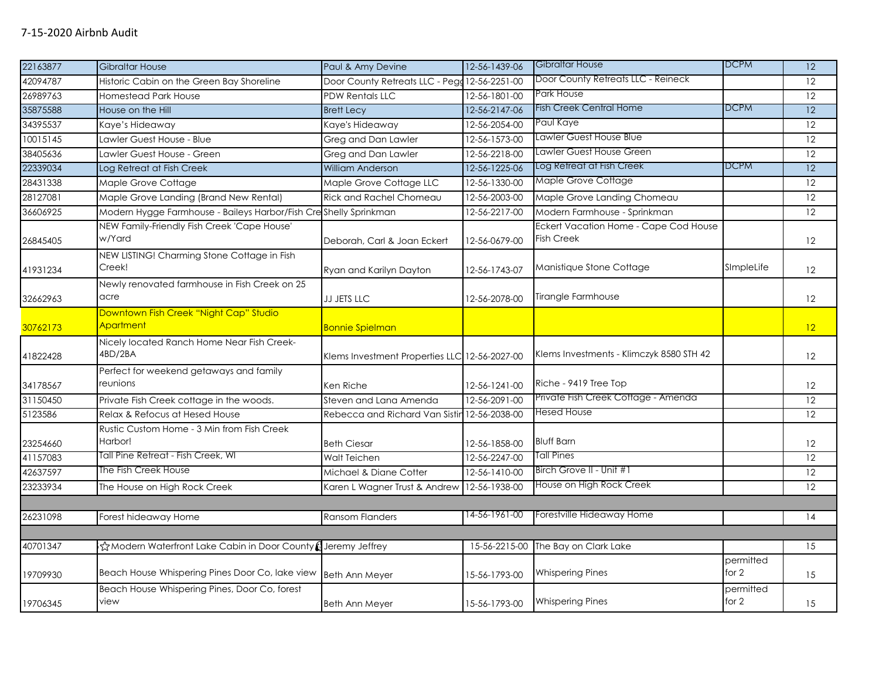| 22163877 | <b>Gibraltar House</b>                                           | Paul & Amy Devine                             | 12-56-1439-06 | Gibraltar House                                            | <b>DCPM</b>          | $\overline{12}$   |
|----------|------------------------------------------------------------------|-----------------------------------------------|---------------|------------------------------------------------------------|----------------------|-------------------|
| 42094787 | Historic Cabin on the Green Bay Shoreline                        | Door County Retreats LLC - Pegg 12-56-2251-00 |               | Door County Retreats LLC - Reineck                         |                      | 12                |
| 26989763 | Homestead Park House                                             | <b>PDW Rentals LLC</b>                        | 12-56-1801-00 | Park House                                                 |                      | $\overline{12}$   |
| 35875588 | House on the Hill                                                | <b>Brett Lecy</b>                             | 12-56-2147-06 | <b>Fish Creek Central Home</b>                             | <b>DCPM</b>          | $\overline{12}$   |
| 34395537 | Kaye's Hideaway                                                  | Kaye's Hideaway                               | 12-56-2054-00 | Paul Kaye                                                  |                      | 12                |
| 10015145 | Lawler Guest House - Blue                                        | Greg and Dan Lawler                           | 12-56-1573-00 | Lawler Guest House Blue                                    |                      | 12                |
| 38405636 | Lawler Guest House - Green                                       | Greg and Dan Lawler                           | 12-56-2218-00 | Lawler Guest House Green                                   |                      | 12                |
| 22339034 | Log Retreat at Fish Creek                                        | William Anderson                              | 12-56-1225-06 | Log Retreat at Fish Creek                                  | <b>DCPM</b>          | $\overline{12}$   |
| 28431338 | Maple Grove Cottage                                              | Maple Grove Cottage LLC                       | 12-56-1330-00 | Maple Grove Cottage                                        |                      | 12                |
| 28127081 | Maple Grove Landing (Brand New Rental)                           | Rick and Rachel Chomeau                       | 12-56-2003-00 | Maple Grove Landing Chomeau                                |                      | 12                |
| 36606925 | Modern Hygge Farmhouse - Baileys Harbor/Fish Creshelly Sprinkman |                                               | 12-56-2217-00 | Modern Farmhouse - Sprinkman                               |                      | 12                |
| 26845405 | NEW Family-Friendly Fish Creek 'Cape House'<br>w/Yard            | Deborah, Carl & Joan Eckert                   | 12-56-0679-00 | Eckert Vacation Home - Cape Cod House<br><b>Fish Creek</b> |                      | 12                |
| 41931234 | NEW LISTING! Charming Stone Cottage in Fish<br>Creek!            | Ryan and Karilyn Dayton                       | 12-56-1743-07 | Manistique Stone Cottage                                   | SImpleLife           | 12                |
| 32662963 | Newly renovated farmhouse in Fish Creek on 25<br>acre            | JJ JETS LLC                                   | 12-56-2078-00 | Tirangle Farmhouse                                         |                      | $12 \overline{ }$ |
| 30762173 | Downtown Fish Creek "Night Cap" Studio<br>Apartment              | <b>Bonnie Spielman</b>                        |               |                                                            |                      | 12                |
| 41822428 | Nicely located Ranch Home Near Fish Creek-<br>4BD/2BA            | Klems Investment Properties LLC 12-56-2027-00 |               | Klems Investments - Klimczyk 8580 STH 42                   |                      | 12                |
| 34178567 | Perfect for weekend getaways and family<br>reunions              | Ken Riche                                     | 12-56-1241-00 | Riche - 9419 Tree Top                                      |                      | 12                |
| 31150450 | Private Fish Creek cottage in the woods.                         | Steven and Lana Amenda                        | 12-56-2091-00 | Private Fish Creek Cottage - Amenda                        |                      | 12                |
| 5123586  | Relax & Refocus at Hesed House                                   | Rebecca and Richard Van Sistin 12-56-2038-00  |               | Hesed House                                                |                      | 12                |
| 23254660 | Rustic Custom Home - 3 Min from Fish Creek<br>Harbor!            | <b>Beth Ciesar</b>                            | 12-56-1858-00 | <b>Bluff Barn</b>                                          |                      | 12                |
| 41157083 | Tall Pine Retreat - Fish Creek, WI                               | Walt Teichen                                  | 12-56-2247-00 | Tall Pines                                                 |                      | 12                |
| 42637597 | The Fish Creek House                                             | Michael & Diane Cotter                        | 12-56-1410-00 | Birch Grove II - Unit #1                                   |                      | 12                |
| 23233934 | The House on High Rock Creek                                     | Karen L Wagner Trust & Andrew                 | 12-56-1938-00 | House on High Rock Creek                                   |                      | 12                |
|          |                                                                  |                                               |               |                                                            |                      |                   |
| 26231098 | Forest hideaway Home                                             | <b>Ransom Flanders</b>                        | 14-56-1961-00 | Forestville Hideaway Home                                  |                      | 14                |
|          |                                                                  |                                               |               |                                                            |                      |                   |
| 40701347 | ☆Modern Waterfront Lake Cabin in Door County (Jeremy Jeffrey     |                                               | 15-56-2215-00 | The Bay on Clark Lake                                      |                      | 15                |
| 19709930 | Beach House Whispering Pines Door Co, lake view Beth Ann Meyer   |                                               | 15-56-1793-00 | <b>Whispering Pines</b>                                    | permitted<br>for $2$ | 15                |
| 19706345 | Beach House Whispering Pines, Door Co, forest<br>view            | <b>Beth Ann Meyer</b>                         | 15-56-1793-00 | <b>Whispering Pines</b>                                    | permitted<br>for 2   | 15                |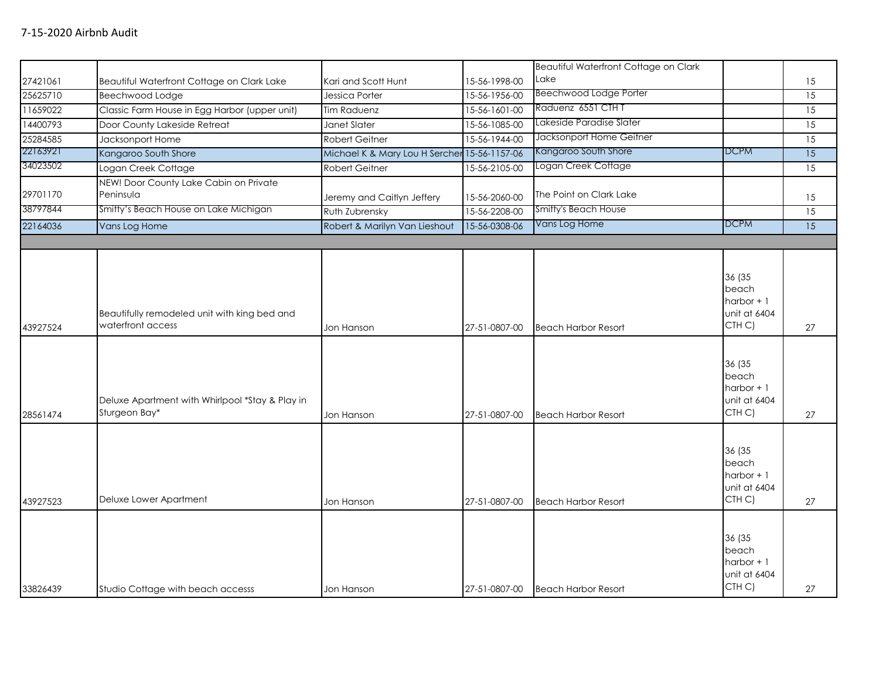|          |                                                                   |                                              |               | Beautiful Waterfront Cottage on Clark |                                                                       |                 |
|----------|-------------------------------------------------------------------|----------------------------------------------|---------------|---------------------------------------|-----------------------------------------------------------------------|-----------------|
| 27421061 | Beautiful Waterfront Cottage on Clark Lake                        | Kari and Scott Hunt                          | 15-56-1998-00 | Lake                                  |                                                                       | 15              |
| 25625710 | Beechwood Lodge                                                   | Jessica Porter                               | 15-56-1956-00 | Beechwood Lodge Porter                |                                                                       | 15              |
| 11659022 | Classic Farm House in Egg Harbor (upper unit)                     | <b>Tim Raduenz</b>                           | 15-56-1601-00 | Raduenz 6551 CTH T                    |                                                                       | 15              |
| 14400793 | Door County Lakeside Retreat                                      | Janet Slater                                 | 15-56-1085-00 | Lakeside Paradise Slater              |                                                                       | $\overline{15}$ |
| 25284585 | Jacksonport Home                                                  | <b>Robert Geitner</b>                        | 15-56-1944-00 | Jacksonport Home Geitner              |                                                                       | 15              |
| 22163921 | Kangaroo South Shore                                              | Michael K & Mary Lou H Sercher 15-56-1157-06 |               | Kangaroo South Shore                  | <b>DCPM</b>                                                           | $\overline{15}$ |
| 34023502 | Logan Creek Cottage                                               | <b>Robert Geitner</b>                        | 15-56-2105-00 | Logan Creek Cottage                   |                                                                       | 15              |
|          | NEW! Door County Lake Cabin on Private                            |                                              |               |                                       |                                                                       |                 |
| 29701170 | Peninsula                                                         | Jeremy and Caitlyn Jeffery                   | 15-56-2060-00 | The Point on Clark Lake               |                                                                       | 15              |
| 38797844 | Smitty's Beach House on Lake Michigan                             | Ruth Zubrensky                               | 15-56-2208-00 | <b>Smitty's Beach House</b>           |                                                                       | 15              |
| 22164036 | Vans Log Home                                                     | Robert & Marilyn Van Lieshout                | 15-56-0308-06 | Vans Log Home                         | <b>DCPM</b>                                                           | 15              |
|          |                                                                   |                                              |               |                                       |                                                                       |                 |
| 43927524 | Beautifully remodeled unit with king bed and<br>waterfront access | Jon Hanson                                   | 27-51-0807-00 | <b>Beach Harbor Resort</b>            | 36 (35<br>beach<br>$harbor + 1$<br>unit at 6404<br>CTH <sub>C</sub> ) | 27              |
| 28561474 | Deluxe Apartment with Whirlpool *Stay & Play in<br>Sturgeon Bay*  | Jon Hanson                                   | 27-51-0807-00 | <b>Beach Harbor Resort</b>            | 36 (35<br>beach<br>harbor $+1$<br>unit at 6404<br>CTH <sub>C</sub> )  | 27              |
| 43927523 | Deluxe Lower Apartment                                            | Jon Hanson                                   | 27-51-0807-00 | <b>Beach Harbor Resort</b>            | 36 (35<br>beach<br>$harbor + 1$<br>unit at 6404<br>CTH C)             | 27              |
| 33826439 | Studio Cottage with beach accesss                                 | Jon Hanson                                   | 27-51-0807-00 | <b>Beach Harbor Resort</b>            | 36 (35<br>beach<br>harbor $+1$<br>unit at 6404<br>CTH C)              | 27              |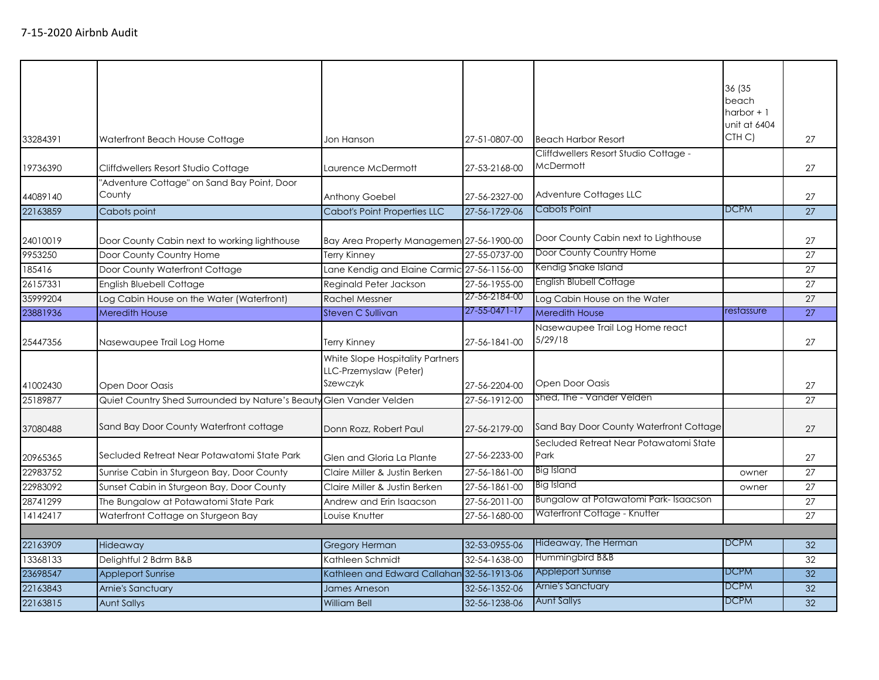| 33284391             | Waterfront Beach House Cottage                                                         | Jon Hanson                                                             | 27-51-0807-00                  | <b>Beach Harbor Resort</b>                                       | 36 (35<br>beach<br>harbor $+1$<br>unit at 6404<br>CTH C) | 27              |
|----------------------|----------------------------------------------------------------------------------------|------------------------------------------------------------------------|--------------------------------|------------------------------------------------------------------|----------------------------------------------------------|-----------------|
|                      |                                                                                        |                                                                        |                                | Cliffdwellers Resort Studio Cottage -                            |                                                          |                 |
| 19736390             | Cliffdwellers Resort Studio Cottage                                                    | Laurence McDermott                                                     | 27-53-2168-00                  | McDermott                                                        |                                                          | 27              |
| 44089140             | "Adventure Cottage" on Sand Bay Point, Door<br>County                                  | Anthony Goebel                                                         | 27-56-2327-00                  | Adventure Cottages LLC                                           |                                                          | 27              |
| 22163859             | Cabots point                                                                           | <b>Cabot's Point Properties LLC</b>                                    | 27-56-1729-06                  | Cabots Point                                                     | <b>DCPM</b>                                              | 27              |
| 24010019             | Door County Cabin next to working lighthouse                                           | Bay Area Property Managemen 27-56-1900-00                              |                                | Door County Cabin next to Lighthouse<br>Door County Country Home |                                                          | 27              |
| 9953250              | Door County Country Home                                                               | <b>Terry Kinney</b>                                                    | 27-55-0737-00                  |                                                                  |                                                          | 27              |
| 185416               | Door County Waterfront Cottage                                                         | Lane Kendig and Elaine Carmic 27-56-1156-00                            |                                | Kendig Snake Island                                              |                                                          | 27              |
| 26157331             | <b>English Bluebell Cottage</b>                                                        | Reginald Peter Jackson                                                 | 27-56-1955-00                  | <b>English Blubell Cottage</b>                                   |                                                          | 27              |
| 35999204             | Log Cabin House on the Water (Waterfront)                                              | <b>Rachel Messner</b>                                                  | 27-56-2184-00                  | Log Cabin House on the Water                                     |                                                          | 27              |
| 23881936             | <b>Meredith House</b>                                                                  | Steven C Sullivan                                                      | 27-55-0471-17                  | <b>Meredith House</b>                                            | restassure                                               | $\overline{27}$ |
| 25447356             | Nasewaupee Trail Log Home                                                              | <b>Terry Kinney</b>                                                    | 27-56-1841-00                  | Nasewaupee Trail Log Home react<br>5/29/18                       |                                                          | 27              |
| 41002430<br>25189877 | Open Door Oasis<br>Quiet Country Shed Surrounded by Nature's Beauty Glen Vander Velden | White Slope Hospitality Partners<br>LLC-Przemyslaw (Peter)<br>Szewczyk | 27-56-2204-00<br>27-56-1912-00 | Open Door Oasis<br>Shed, The - Vander Velden                     |                                                          | 27<br>27        |
|                      |                                                                                        |                                                                        |                                |                                                                  |                                                          |                 |
| 37080488             | Sand Bay Door County Waterfront cottage                                                | Donn Rozz, Robert Paul                                                 | 27-56-2179-00                  | Sand Bay Door County Waterfront Cottage                          |                                                          | 27              |
| 20965365             | Secluded Retreat Near Potawatomi State Park                                            | Glen and Gloria La Plante                                              | 27-56-2233-00                  | Secluded Retreat Near Potawatomi State<br>Park                   |                                                          | 27              |
| 22983752             | Sunrise Cabin in Sturgeon Bay, Door County                                             | Claire Miller & Justin Berken                                          | 27-56-1861-00                  | <b>Big Island</b>                                                | owner                                                    | 27              |
| 22983092             | Sunset Cabin in Sturgeon Bay, Door County                                              | Claire Miller & Justin Berken                                          | 27-56-1861-00                  | <b>Big Island</b>                                                | owner                                                    | 27              |
| 28741299             | The Bungalow at Potawatomi State Park                                                  | Andrew and Erin Isaacson                                               | 27-56-2011-00                  | Bungalow at Potawatomi Park-Isaacson                             |                                                          | 27              |
| 14142417             | Waterfront Cottage on Sturgeon Bay                                                     | Louise Knutter                                                         | 27-56-1680-00                  | Waterfront Cottage - Knutter                                     |                                                          | 27              |
|                      |                                                                                        |                                                                        |                                |                                                                  |                                                          |                 |
| 22163909             | Hideaway                                                                               | <b>Gregory Herman</b>                                                  | 32-53-0955-06                  | Hideaway, The Herman                                             | <b>DCPM</b>                                              | 32              |
| 13368133             | Delightful 2 Bdrm B&B                                                                  | Kathleen Schmidt                                                       | 32-54-1638-00                  | Hummingbird B&B                                                  |                                                          | 32              |
| 23698547             | <b>Appleport Sunrise</b>                                                               | Kathleen and Edward Callahan 32-56-1913-06                             |                                | <b>Appleport Sunrise</b>                                         | <b>DCPM</b>                                              | 32              |
| 22163843             | Arnie's Sanctuary                                                                      | James Arneson                                                          | 32-56-1352-06                  | <b>Arnie's Sanctuary</b>                                         | <b>DCPM</b>                                              | 32              |
| 22163815             | <b>Aunt Sallys</b>                                                                     | <b>William Bell</b>                                                    | 32-56-1238-06                  | <b>Aunt Sallys</b>                                               | <b>DCPM</b>                                              | 32              |
|                      |                                                                                        |                                                                        |                                |                                                                  |                                                          |                 |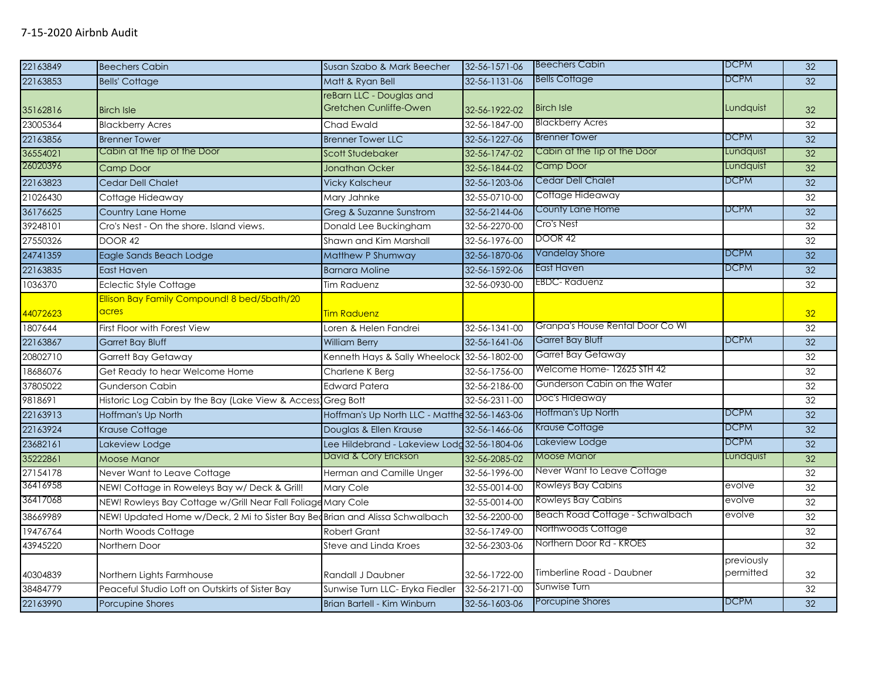| 22163849 | <b>Beechers Cabin</b>                                                        | Susan Szabo & Mark Beecher                    | 32-56-1571-06         | <b>Beechers Cabin</b>            | <b>DCPM</b> | 32              |
|----------|------------------------------------------------------------------------------|-----------------------------------------------|-----------------------|----------------------------------|-------------|-----------------|
| 22163853 | <b>Bells' Cottage</b>                                                        | Matt & Ryan Bell                              | 32-56-1131-06         | <b>Bells Cottage</b>             | DCPM        | 32              |
|          |                                                                              | reBarn LLC - Douglas and                      |                       |                                  |             |                 |
| 35162816 | <b>Birch Isle</b>                                                            | Gretchen Cunliffe-Owen                        | 32-56-1922-02         | <b>Birch Isle</b>                | Lundquist   | 32 <sub>2</sub> |
| 23005364 | <b>Blackberry Acres</b>                                                      | Chad Ewald                                    | 32-56-1847-00         | <b>Blackberry Acres</b>          |             | 32              |
| 22163856 | <b>Brenner Tower</b>                                                         | <b>Brenner Tower LLC</b>                      | 32-56-1227-06         | <b>Brenner Tower</b>             | <b>DCPM</b> | 32              |
| 36554021 | Cabin at the tip of the Door                                                 | Scott Studebaker                              | 32-56-1747-02         | Cabin at the Tip of the Door     | Lundquist   | 32              |
| 26020396 | <b>Camp Door</b>                                                             | <b>Jonathan Ocker</b>                         | 32-56-1844-02         | Camp Door                        | Lundquist   | 32              |
| 22163823 | <b>Cedar Dell Chalet</b>                                                     | <b>Vicky Kalscheur</b>                        | 32-56-1203-06         | <b>Cedar Dell Chalet</b>         | <b>DCPM</b> | 32              |
| 21026430 | Cottage Hideaway                                                             | Mary Jahnke                                   | 32-55-0710-00         | Cottage Hideaway                 |             | 32              |
| 36176625 | <b>Country Lane Home</b>                                                     | Greg & Suzanne Sunstrom                       | 32-56-2144-06         | County Lane Home                 | <b>DCPM</b> | 32              |
| 39248101 | Cro's Nest - On the shore. Island views.                                     | Donald Lee Buckingham                         | 32-56-2270-00         | Cro's Nest                       |             | 32              |
| 27550326 | <b>DOOR 42</b>                                                               | Shawn and Kim Marshall                        | 32-56-1976-00         | DOOR 42                          |             | 32              |
| 24741359 | Eagle Sands Beach Lodge                                                      | Matthew P Shumway                             | 32-56-1870-06         | Vandelay Shore                   | <b>DCPM</b> | $\overline{32}$ |
| 22163835 | <b>East Haven</b>                                                            | <b>Barnara Moline</b>                         | 32-56-1592-06         | East Haven                       | <b>DCPM</b> | 32              |
| 1036370  | <b>Eclectic Style Cottage</b>                                                | <b>Tim Raduenz</b>                            | 32-56-0930-00         | <b>EBDC-Raduenz</b>              |             | 32              |
|          | Ellison Bay Family Compound! 8 bed/5bath/20                                  |                                               |                       |                                  |             |                 |
| 44072623 | acres                                                                        | <b>Tim Raduenz</b>                            |                       |                                  |             | 32              |
| 1807644  | First Floor with Forest View                                                 | Loren & Helen Fandrei                         | $32 - 56 - 1341 - 00$ | Granpa's House Rental Door Co WI |             | 32              |
| 22163867 | <b>Garret Bay Bluff</b>                                                      | <b>William Berry</b>                          | 32-56-1641-06         | Garret Bay Bluff                 | <b>DCPM</b> | 32              |
| 20802710 | <b>Garrett Bay Getaway</b>                                                   | Kenneth Hays & Sally Wheelock 32-56-1802-00   |                       | Garret Bay Getaway               |             | 32              |
| 18686076 | Get Ready to hear Welcome Home                                               | Charlene K Berg                               | 32-56-1756-00         | Welcome Home- 12625 STH 42       |             | 32              |
| 37805022 | <b>Gunderson Cabin</b>                                                       | <b>Edward Patera</b>                          | 32-56-2186-00         | Gunderson Cabin on the Water     |             | 32              |
| 9818691  | Historic Log Cabin by the Bay (Lake View & Access) Greg Bott                 |                                               | 32-56-2311-00         | Doc's Hideaway                   |             | 32              |
| 22163913 | Hoffman's Up North                                                           | Hoffman's Up North LLC - Matthe 32-56-1463-06 |                       | Hoffman's Up North               | <b>DCPM</b> | 32              |
| 22163924 | Krause Cottage                                                               | Douglas & Ellen Krause                        | 32-56-1466-06         | Krause Cottage                   | <b>DCPM</b> | 32              |
| 23682161 | Lakeview Lodge                                                               | Lee Hildebrand - Lakeview Lodd 32-56-1804-06  |                       | Lakeview Lodge                   | <b>DCPM</b> | 32              |
| 35222861 | <b>Moose Manor</b>                                                           | David & Cory Erickson                         | 32-56-2085-02         | <b>Moose Manor</b>               | Lundquist   | 32              |
| 27154178 | Never Want to Leave Cottage                                                  | Herman and Camille Unger                      | 32-56-1996-00         | Never Want to Leave Cottage      |             | 32              |
| 36416958 | NEW! Cottage in Roweleys Bay w/ Deck & Grill!                                | Mary Cole                                     | 32-55-0014-00         | Rowleys Bay Cabins               | evolve      | 32              |
| 36417068 | NEW! Rowleys Bay Cottage w/Grill Near Fall Foliage Mary Cole                 |                                               | 32-55-0014-00         | Rowleys Bay Cabins               | evolve      | 32              |
| 38669989 | NEW! Updated Home w/Deck, 2 Mi to Sister Bay Bed Brian and Alissa Schwalbach |                                               | 32-56-2200-00         | Beach Road Cottage - Schwalbach  | evolve      | 32              |
| 19476764 | North Woods Cottage                                                          | Robert Grant                                  | 32-56-1749-00         | Northwoods Cottage               |             | 32              |
| 43945220 | Northern Door                                                                | Steve and Linda Kroes                         | 32-56-2303-06         | Northern Door Rd - KROES         |             | 32              |
|          |                                                                              |                                               |                       |                                  | previously  |                 |
| 40304839 | Northern Lights Farmhouse                                                    | Randall J Daubner                             | 32-56-1722-00         | Timberline Road - Daubner        | permitted   | 32              |
| 38484779 | Peaceful Studio Loft on Outskirts of Sister Bay                              | Sunwise Turn LLC- Eryka Fiedler               | 32-56-2171-00         | Sunwise Turn                     |             | 32              |
| 22163990 | Porcupine Shores                                                             | Brian Bartell - Kim Winburn                   | 32-56-1603-06         | Porcupine Shores                 | DCPM        | 32              |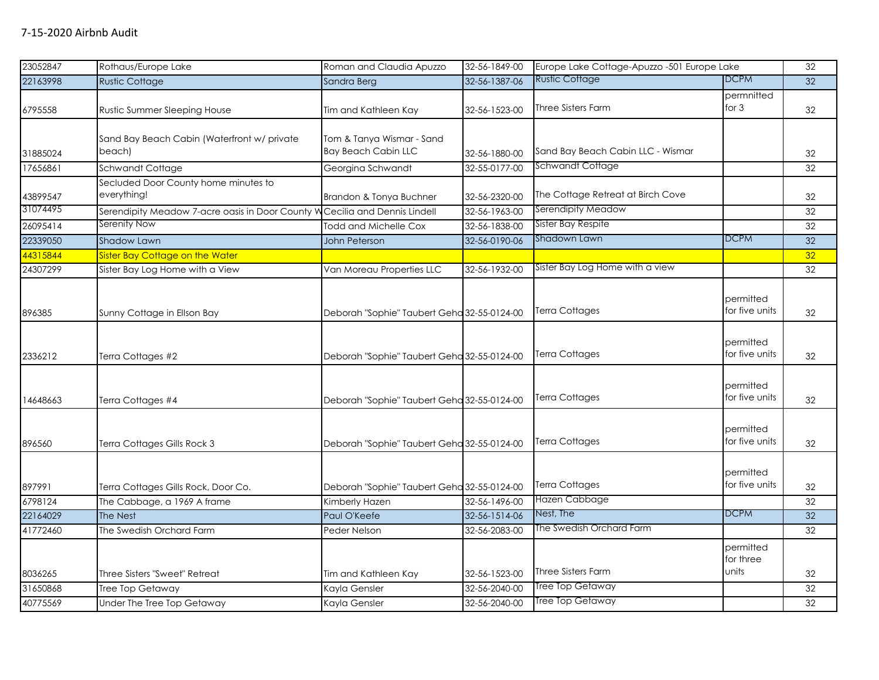| 23052847 | Rothaus/Europe Lake                                                         | Roman and Claudia Apuzzo                                | 32-56-1849-00 | Europe Lake Cottage-Apuzzo -501 Europe Lake |                                 | 32 |
|----------|-----------------------------------------------------------------------------|---------------------------------------------------------|---------------|---------------------------------------------|---------------------------------|----|
| 22163998 | <b>Rustic Cottage</b>                                                       | Sandra Berg                                             | 32-56-1387-06 | Rustic Cottage                              | DCPM                            | 32 |
| 6795558  | Rustic Summer Sleeping House                                                | Tim and Kathleen Kay                                    | 32-56-1523-00 | Three Sisters Farm                          | permnitted<br>for $3$           | 32 |
| 31885024 | Sand Bay Beach Cabin (Waterfront w/ private<br>beach)                       | Tom & Tanya Wismar - Sand<br><b>Bay Beach Cabin LLC</b> | 32-56-1880-00 | Sand Bay Beach Cabin LLC - Wismar           |                                 | 32 |
| 17656861 | Schwandt Cottage                                                            | Georgina Schwandt                                       | 32-55-0177-00 | Schwandt Cottage                            |                                 | 32 |
| 43899547 | Secluded Door County home minutes to<br>everything!                         | Brandon & Tonya Buchner                                 | 32-56-2320-00 | The Cottage Retreat at Birch Cove           |                                 | 32 |
| 31074495 | Serendipity Meadow 7-acre oasis in Door County W Cecilia and Dennis Lindell |                                                         | 32-56-1963-00 | Serendipity Meadow                          |                                 | 32 |
| 26095414 | Serenity Now                                                                | Todd and Michelle Cox                                   | 32-56-1838-00 | <b>Sister Bay Respite</b>                   |                                 | 32 |
| 22339050 | <b>Shadow Lawn</b>                                                          | <b>John Peterson</b>                                    | 32-56-0190-06 | Shadown Lawn                                | <b>DCPM</b>                     | 32 |
| 44315844 | Sister Bay Cottage on the Water                                             |                                                         |               |                                             |                                 | 32 |
| 24307299 | Sister Bay Log Home with a View                                             | Van Moreau Properties LLC                               | 32-56-1932-00 | Sister Bay Log Home with a view             |                                 | 32 |
| 896385   | Sunny Cottage in Ellson Bay                                                 | Deborah "Sophie" Taubert Geha 32-55-0124-00             |               | <b>Terra Cottages</b>                       | permitted<br>for five units     | 32 |
| 2336212  | Terra Cottages #2                                                           | Deborah "Sophie" Taubert Geha 32-55-0124-00             |               | <b>Terra Cottages</b>                       | permitted<br>for five units     | 32 |
| 14648663 | Terra Cottages #4                                                           | Deborah "Sophie" Taubert Geha 32-55-0124-00             |               | <b>Terra Cottages</b>                       | permitted<br>for five units     | 32 |
| 896560   | Terra Cottages Gills Rock 3                                                 | Deborah "Sophie" Taubert Geha 32-55-0124-00             |               | <b>Terra Cottages</b>                       | permitted<br>for five units     | 32 |
| 897991   | Terra Cottages Gills Rock, Door Co.                                         | Deborah "Sophie" Taubert Geha 32-55-0124-00             |               | <b>Terra Cottages</b>                       | permitted<br>for five units     | 32 |
| 6798124  | The Cabbage, a 1969 A frame                                                 | Kimberly Hazen                                          | 32-56-1496-00 | Hazen Cabbage                               |                                 | 32 |
| 22164029 | The Nest                                                                    | Paul O'Keefe                                            | 32-56-1514-06 | Nest, The                                   | <b>DCPM</b>                     | 32 |
| 41772460 | The Swedish Orchard Farm                                                    | Peder Nelson                                            | 32-56-2083-00 | The Swedish Orchard Farm                    |                                 | 32 |
| 8036265  | Three Sisters "Sweet" Retreat                                               | Tim and Kathleen Kay                                    | 32-56-1523-00 | Three Sisters Farm                          | permitted<br>for three<br>units | 32 |
| 31650868 | Tree Top Getaway                                                            | Kayla Gensler                                           | 32-56-2040-00 | <b>Tree Top Getaway</b>                     |                                 | 32 |
| 40775569 | Under The Tree Top Getaway                                                  | Kayla Gensler                                           | 32-56-2040-00 | <b>Tree Top Getaway</b>                     |                                 | 32 |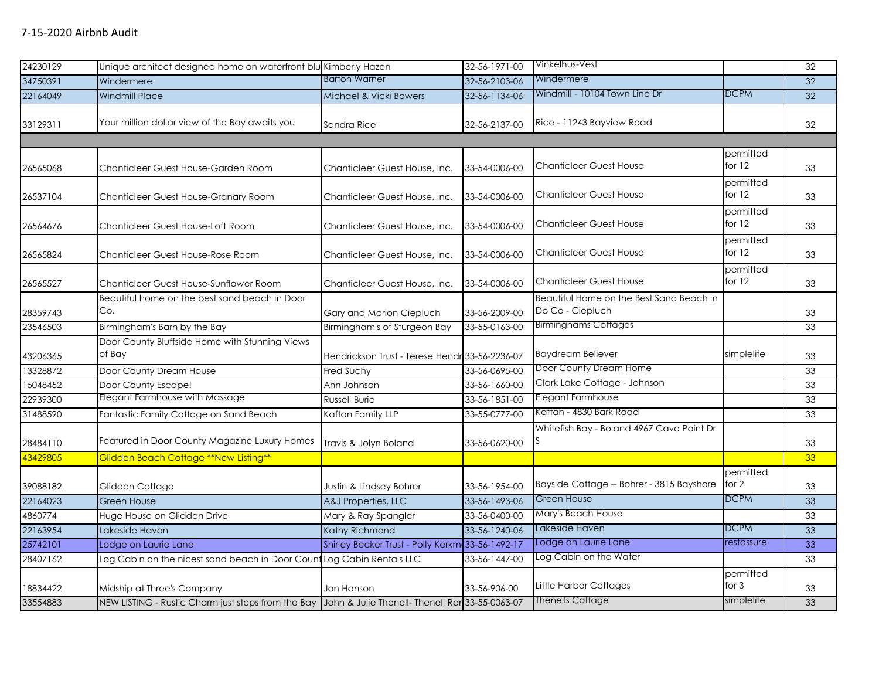| 24230129 | Unique architect designed home on waterfront blu Kimberly Hazen                                    |                                                  | 32-56-1971-00 | Vinkelhus-Vest                                               |                       | 32 |
|----------|----------------------------------------------------------------------------------------------------|--------------------------------------------------|---------------|--------------------------------------------------------------|-----------------------|----|
| 34750391 | Windermere                                                                                         | <b>Barton Warner</b>                             | 32-56-2103-06 | Windermere                                                   |                       | 32 |
| 22164049 | <b>Windmill Place</b>                                                                              | Michael & Vicki Bowers                           | 32-56-1134-06 | Windmill - 10104 Town Line Dr                                | <b>DCPM</b>           | 32 |
| 33129311 | Your million dollar view of the Bay awaits you                                                     | Sandra Rice                                      | 32-56-2137-00 | Rice - 11243 Bayview Road                                    |                       | 32 |
|          |                                                                                                    |                                                  |               |                                                              |                       |    |
| 26565068 | Chanticleer Guest House-Garden Room                                                                | Chanticleer Guest House, Inc.                    | 33-54-0006-00 | <b>Chanticleer Guest House</b>                               | permitted<br>for $12$ | 33 |
| 26537104 | Chanticleer Guest House-Granary Room                                                               | Chanticleer Guest House, Inc.                    | 33-54-0006-00 | <b>Chanticleer Guest House</b>                               | permitted<br>for $12$ | 33 |
| 26564676 | Chanticleer Guest House-Loft Room                                                                  | Chanticleer Guest House, Inc.                    | 33-54-0006-00 | <b>Chanticleer Guest House</b>                               | permitted<br>for 12   | 33 |
| 26565824 | Chanticleer Guest House-Rose Room                                                                  | Chanticleer Guest House, Inc.                    | 33-54-0006-00 | <b>Chanticleer Guest House</b>                               | permitted<br>for 12   | 33 |
| 26565527 | Chanticleer Guest House-Sunflower Room                                                             | Chanticleer Guest House, Inc.                    | 33-54-0006-00 | <b>Chanticleer Guest House</b>                               | permitted<br>for $12$ | 33 |
| 28359743 | Beautiful home on the best sand beach in Door<br>Co.                                               | Gary and Marion Ciepluch                         | 33-56-2009-00 | Beautiful Home on the Best Sand Beach in<br>Do Co - Ciepluch |                       | 33 |
| 23546503 | Birmingham's Barn by the Bay                                                                       | Birmingham's of Sturgeon Bay                     | 33-55-0163-00 | <b>Birminghams Cottages</b>                                  |                       | 33 |
| 43206365 | Door County Bluffside Home with Stunning Views<br>of Bay                                           | Hendrickson Trust - Terese Hendr 33-56-2236-07   |               | <b>Baydream Believer</b>                                     | simplelife            | 33 |
| 13328872 | Door County Dream House                                                                            | Fred Suchy                                       | 33-56-0695-00 | Door County Dream Home                                       |                       | 33 |
| 15048452 | Door County Escape!                                                                                | Ann Johnson                                      | 33-56-1660-00 | Clark Lake Cottage - Johnson                                 |                       | 33 |
| 22939300 | Elegant Farmhouse with Massage                                                                     | <b>Russell Burie</b>                             | 33-56-1851-00 | <b>Elegant Farmhouse</b>                                     |                       | 33 |
| 31488590 | Fantastic Family Cottage on Sand Beach                                                             | Kaftan Family LLP                                | 33-55-0777-00 | Kaftan - 4830 Bark Road                                      |                       | 33 |
| 28484110 | Featured in Door County Magazine Luxury Homes                                                      | Travis & Jolyn Boland                            | 33-56-0620-00 | Whitefish Bay - Boland 4967 Cave Point Dr                    |                       | 33 |
| 43429805 | <b>Glidden Beach Cottage **New Listing**</b>                                                       |                                                  |               |                                                              |                       | 33 |
| 39088182 | Glidden Cottage                                                                                    | Justin & Lindsey Bohrer                          | 33-56-1954-00 | Bayside Cottage -- Bohrer - 3815 Bayshore                    | permitted<br>for $2$  | 33 |
| 22164023 | <b>Green House</b>                                                                                 | A&J Properties, LLC                              | 33-56-1493-06 | <b>Green House</b>                                           | <b>DCPM</b>           | 33 |
| 4860774  | Huge House on Glidden Drive                                                                        | Mary & Ray Spangler                              | 33-56-0400-00 | Mary's Beach House                                           |                       | 33 |
| 22163954 | Lakeside Haven                                                                                     | Kathy Richmond                                   | 33-56-1240-06 | Lakeside Haven                                               | <b>DCPM</b>           | 33 |
| 25742101 | Lodge on Laurie Lane                                                                               | Shirley Becker Trust - Polly Kerkm 33-56-1492-17 |               | Lodge on Laurie Lane                                         | restassure            | 33 |
| 28407162 | Log Cabin on the nicest sand beach in Door Count Log Cabin Rentals LLC                             |                                                  | 33-56-1447-00 | Log Cabin on the Water                                       |                       | 33 |
| 18834422 | Midship at Three's Company                                                                         | Jon Hanson                                       | 33-56-906-00  | Little Harbor Cottages                                       | permitted<br>for $3$  | 33 |
| 33554883 | NEW LISTING - Rustic Charm just steps from the Bay John & Julie Thenell- Thenell Ren 33-55-0063-07 |                                                  |               | <b>Thenells Cottage</b>                                      | simplelife            | 33 |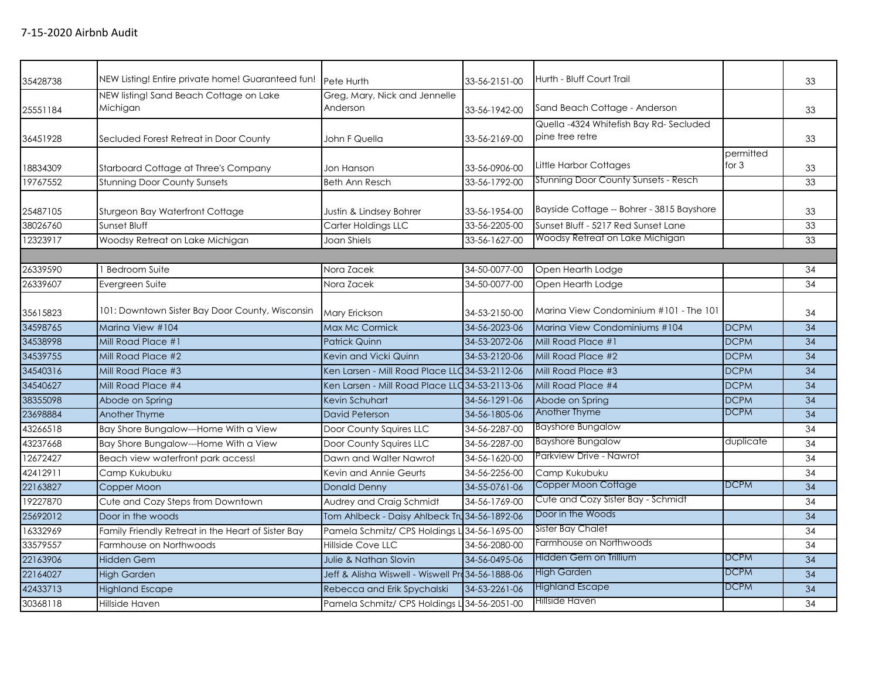| 35428738 | NEW Listing! Entire private home! Guaranteed fun!   | Pete Hurth                                        | 33-56-2151-00 | Hurth - Bluff Court Trail                                 |                      | 33 |
|----------|-----------------------------------------------------|---------------------------------------------------|---------------|-----------------------------------------------------------|----------------------|----|
| 25551184 | NEW listing! Sand Beach Cottage on Lake<br>Michigan | Greg, Mary, Nick and Jennelle<br>Anderson         | 33-56-1942-00 | Sand Beach Cottage - Anderson                             |                      | 33 |
| 36451928 | Secluded Forest Retreat in Door County              | John F Quella                                     | 33-56-2169-00 | Quella -4324 Whitefish Bay Rd-Secluded<br>pine tree retre |                      | 33 |
| 18834309 | Starboard Cottage at Three's Company                | Jon Hanson                                        | 33-56-0906-00 | Little Harbor Cottages                                    | permitted<br>for $3$ | 33 |
| 19767552 | <b>Stunning Door County Sunsets</b>                 | Beth Ann Resch                                    | 33-56-1792-00 | <b>Stunning Door County Sunsets - Resch</b>               |                      | 33 |
| 25487105 | Sturgeon Bay Waterfront Cottage                     | Justin & Lindsey Bohrer                           | 33-56-1954-00 | Bayside Cottage -- Bohrer - 3815 Bayshore                 |                      | 33 |
| 38026760 | Sunset Bluff                                        | Carter Holdings LLC                               | 33-56-2205-00 | Sunset Bluff - 5217 Red Sunset Lane                       |                      | 33 |
| 12323917 | Woodsy Retreat on Lake Michigan                     | Joan Shiels                                       | 33-56-1627-00 | Woodsy Retreat on Lake Michigan                           |                      | 33 |
|          |                                                     |                                                   |               |                                                           |                      |    |
| 26339590 | Bedroom Suite                                       | Nora Zacek                                        | 34-50-0077-00 | Open Hearth Lodge                                         |                      | 34 |
| 26339607 | Evergreen Suite                                     | Nora Zacek                                        | 34-50-0077-00 | Open Hearth Lodge                                         |                      | 34 |
| 35615823 | 101: Downtown Sister Bay Door County, Wisconsin     | <b>Mary Erickson</b>                              | 34-53-2150-00 | Marina View Condominium #101 - The 101                    |                      | 34 |
| 34598765 | Marina View #104                                    | Max Mc Cormick                                    | 34-56-2023-06 | Marina View Condominiums #104                             | <b>DCPM</b>          | 34 |
| 34538998 | Mill Road Place #1                                  | <b>Patrick Quinn</b>                              | 34-53-2072-06 | Mill Road Place #1                                        | <b>DCPM</b>          | 34 |
| 34539755 | Mill Road Place #2                                  | Kevin and Vicki Quinn                             | 34-53-2120-06 | Mill Road Place #2                                        | <b>DCPM</b>          | 34 |
| 34540316 | Mill Road Place #3                                  | Ken Larsen - Mill Road Place LLC 34-53-2112-06    |               | Mill Road Place #3                                        | <b>DCPM</b>          | 34 |
| 34540627 | Mill Road Place #4                                  | Ken Larsen - Mill Road Place LLC 34-53-2113-06    |               | Mill Road Place #4                                        | <b>DCPM</b>          | 34 |
| 38355098 | Abode on Spring                                     | Kevin Schuhart                                    | 34-56-1291-06 | Abode on Spring                                           | <b>DCPM</b>          | 34 |
| 23698884 | <b>Another Thyme</b>                                | David Peterson                                    | 34-56-1805-06 | Another Thyme                                             | <b>DCPM</b>          | 34 |
| 43266518 | Bay Shore Bungalow---Home With a View               | Door County Squires LLC                           | 34-56-2287-00 | <b>Bayshore Bungalow</b>                                  |                      | 34 |
| 43237668 | Bay Shore Bungalow---Home With a View               | Door County Squires LLC                           | 34-56-2287-00 | <b>Bayshore Bungalow</b>                                  | duplicate            | 34 |
| 12672427 | Beach view waterfront park access!                  | Dawn and Walter Nawrot                            | 34-56-1620-00 | Parkview Drive - Nawrot                                   |                      | 34 |
| 42412911 | Camp Kukubuku                                       | Kevin and Annie Geurts                            | 34-56-2256-00 | Camp Kukubuku                                             |                      | 34 |
| 22163827 | Copper Moon                                         | <b>Donald Denny</b>                               | 34-55-0761-06 | Copper Moon Cottage                                       | <b>DCPM</b>          | 34 |
| 19227870 | Cute and Cozy Steps from Downtown                   | Audrey and Craig Schmidt                          | 34-56-1769-00 | Cute and Cozy Sister Bay - Schmidt                        |                      | 34 |
| 25692012 | Door in the woods                                   | Tom Ahlbeck - Daisy Ahlbeck Tru 34-56-1892-06     |               | Door in the Woods                                         |                      | 34 |
| 16332969 | Family Friendly Retreat in the Heart of Sister Bay  | Pamela Schmitz/ CPS Holdings L 34-56-1695-00      |               | Sister Bay Chalet                                         |                      | 34 |
| 33579557 | Farmhouse on Northwoods                             | Hillside Cove LLC                                 | 34-56-2080-00 | Farmhouse on Northwoods                                   |                      | 34 |
| 22163906 | <b>Hidden Gem</b>                                   | Julie & Nathan Slovin                             | 34-56-0495-06 | Hidden Gem on Trillium                                    | <b>DCPM</b>          | 34 |
| 22164027 | <b>High Garden</b>                                  | Jeff & Alisha Wiswell - Wiswell Prd 34-56-1888-06 |               | <b>High Garden</b>                                        | <b>DCPM</b>          | 34 |
| 42433713 | <b>Highland Escape</b>                              | Rebecca and Erik Spychalski                       | 34-53-2261-06 | <b>Highland Escape</b>                                    | <b>DCPM</b>          | 34 |
| 30368118 | Hillside Haven                                      | Pamela Schmitz/ CPS Holdings L 34-56-2051-00      |               | Hillside Haven                                            |                      | 34 |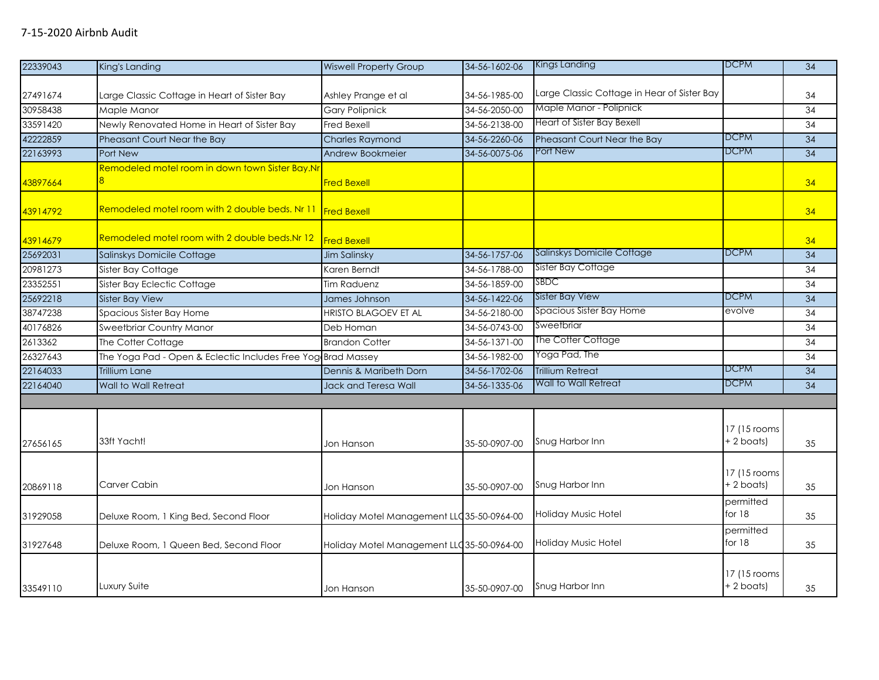| 22339043 | King's Landing                                               | <b>Wiswell Property Group</b>              | 34-56-1602-06 | Kings Landing                               | <b>DCPM</b>                  | $\overline{34}$ |
|----------|--------------------------------------------------------------|--------------------------------------------|---------------|---------------------------------------------|------------------------------|-----------------|
|          |                                                              |                                            |               |                                             |                              |                 |
| 27491674 | Large Classic Cottage in Heart of Sister Bay                 | Ashley Prange et al                        | 34-56-1985-00 | Large Classic Cottage in Hear of Sister Bay |                              | 34              |
| 30958438 | Maple Manor                                                  | <b>Gary Polipnick</b>                      | 34-56-2050-00 | Maple Manor - Polipnick                     |                              | 34              |
| 33591420 | Newly Renovated Home in Heart of Sister Bay                  | <b>Fred Bexell</b>                         | 34-56-2138-00 | Heart of Sister Bay Bexell                  |                              | 34              |
| 42222859 | Pheasant Court Near the Bay                                  | <b>Charles Raymond</b>                     | 34-56-2260-06 | Pheasant Court Near the Bay                 | <b>DCPM</b>                  | 34              |
| 22163993 | Port New                                                     | Andrew Bookmeier                           | 34-56-0075-06 | Port New                                    | <b>DCPM</b>                  | 34              |
| 43897664 | Remodeled motel room in down town Sister Bay.Nr              | <b>Fred Bexell</b>                         |               |                                             |                              | 34              |
| 43914792 | Remodeled motel room with 2 double beds. Nr 11 Fred Bexell   |                                            |               |                                             |                              | 34              |
| 43914679 | Remodeled motel room with 2 double beds.Nr 12                | <b>Fred Bexell</b>                         |               |                                             |                              | 34              |
| 25692031 | Salinskys Domicile Cottage                                   | <b>Jim Salinsky</b>                        | 34-56-1757-06 | Salinskys Domicile Cottage                  | <b>DCPM</b>                  | 34              |
| 20981273 | Sister Bay Cottage                                           | Karen Berndt                               | 34-56-1788-00 | Sister Bay Cottage                          |                              | 34              |
| 23352551 | Sister Bay Eclectic Cottage                                  | Tim Raduenz                                | 34-56-1859-00 | SBDC                                        |                              | 34              |
| 25692218 | Sister Bay View                                              | James Johnson                              | 34-56-1422-06 | <b>Sister Bay View</b>                      | <b>DCPM</b>                  | 34              |
| 38747238 | Spacious Sister Bay Home                                     | <b>HRISTO BLAGOEV ET AL</b>                | 34-56-2180-00 | Spacious Sister Bay Home                    | evolve                       | 34              |
| 40176826 | Sweetbriar Country Manor                                     | Deb Homan                                  | 34-56-0743-00 | Sweetbriar                                  |                              | 34              |
| 2613362  | The Cotter Cottage                                           | <b>Brandon Cotter</b>                      | 34-56-1371-00 | The Cotter Cottage                          |                              | 34              |
| 26327643 | The Yoga Pad - Open & Eclectic Includes Free Yog Brad Massey |                                            | 34-56-1982-00 | Yoga Pad, The                               |                              | 34              |
| 22164033 | <b>Trillium Lane</b>                                         | Dennis & Maribeth Dorn                     | 34-56-1702-06 | <b>Trillium Retreat</b>                     | <b>DCPM</b>                  | 34              |
| 22164040 | <b>Wall to Wall Retreat</b>                                  | Jack and Teresa Wall                       | 34-56-1335-06 | Wall to Wall Retreat                        | <b>DCPM</b>                  | 34              |
|          |                                                              |                                            |               |                                             |                              |                 |
| 27656165 | 33ft Yacht!                                                  | Jon Hanson                                 | 35-50-0907-00 | Snug Harbor Inn                             | 17 (15 rooms<br>$+2$ boats)  | 35              |
| 20869118 | Carver Cabin                                                 | Jon Hanson                                 | 35-50-0907-00 | Snug Harbor Inn                             | 17 (15 rooms<br>+2 boats)    | 35              |
| 31929058 | Deluxe Room, 1 King Bed, Second Floor                        | Holiday Motel Management LLC 35-50-0964-00 |               | Holiday Music Hotel                         | permitted<br>for $18$        | 35              |
| 31927648 | Deluxe Room, 1 Queen Bed, Second Floor                       | Holiday Motel Management LLC 35-50-0964-00 |               | Holiday Music Hotel                         | permitted<br>for 18          | 35              |
| 33549110 | Luxury Suite                                                 | Jon Hanson                                 | 35-50-0907-00 | Snug Harbor Inn                             | 17 (15 rooms<br>$+ 2$ boats) | 35              |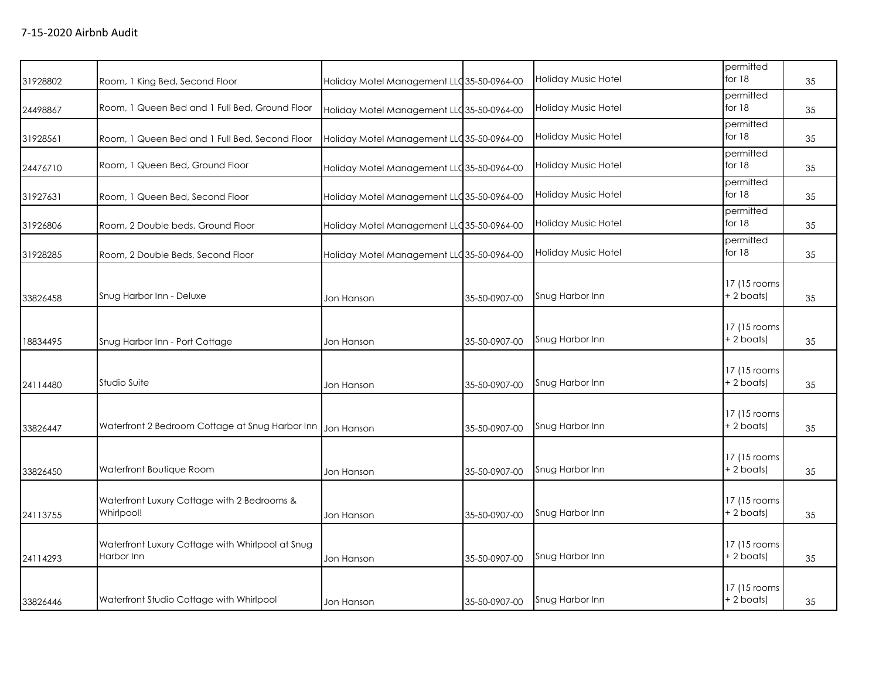| 31928802 | Room, 1 King Bed, Second Floor                                 | Holiday Motel Management LLC35-50-0964-00  |               | Holiday Music Hotel | permitted<br>for $18$        | 35 |
|----------|----------------------------------------------------------------|--------------------------------------------|---------------|---------------------|------------------------------|----|
| 24498867 | Room, 1 Queen Bed and 1 Full Bed, Ground Floor                 | Holiday Motel Management LLC 35-50-0964-00 |               | Holiday Music Hotel | permitted<br>for $18$        | 35 |
| 31928561 | Room, 1 Queen Bed and 1 Full Bed, Second Floor                 | Holiday Motel Management LLC 35-50-0964-00 |               | Holiday Music Hotel | permitted<br>for 18          | 35 |
| 24476710 | Room, 1 Queen Bed, Ground Floor                                | Holiday Motel Management LLC 35-50-0964-00 |               | Holiday Music Hotel | permitted<br>for 18          | 35 |
| 31927631 | Room, 1 Queen Bed, Second Floor                                | Holiday Motel Management LLC 35-50-0964-00 |               | Holiday Music Hotel | permitted<br>for 18          | 35 |
| 31926806 | Room, 2 Double beds, Ground Floor                              | Holiday Motel Management LLC 35-50-0964-00 |               | Holiday Music Hotel | permitted<br>for 18          | 35 |
| 31928285 | Room, 2 Double Beds, Second Floor                              | Holiday Motel Management LLC 35-50-0964-00 |               | Holiday Music Hotel | permitted<br>for 18          | 35 |
| 33826458 | Snug Harbor Inn - Deluxe                                       | Jon Hanson                                 | 35-50-0907-00 | Snug Harbor Inn     | 17 (15 rooms<br>$+ 2$ boats) | 35 |
| 18834495 | Snug Harbor Inn - Port Cottage                                 | Jon Hanson                                 | 35-50-0907-00 | Snug Harbor Inn     | 17 (15 rooms<br>$+ 2$ boats) | 35 |
| 24114480 | Studio Suite                                                   | Jon Hanson                                 | 35-50-0907-00 | Snug Harbor Inn     | 17 (15 rooms)<br>$+2$ boats) | 35 |
| 33826447 | Waterfront 2 Bedroom Cottage at Snug Harbor Inn                | Jon Hanson                                 | 35-50-0907-00 | Snug Harbor Inn     | 17 (15 rooms<br>$+2$ boats)  | 35 |
| 33826450 | Waterfront Boutique Room                                       | Jon Hanson                                 | 35-50-0907-00 | Snug Harbor Inn     | 17 (15 rooms<br>$+2$ boats)  | 35 |
| 24113755 | Waterfront Luxury Cottage with 2 Bedrooms &<br>Whirlpool!      | Jon Hanson                                 | 35-50-0907-00 | Snug Harbor Inn     | 17 (15 rooms<br>$+2$ boats)  | 35 |
| 24114293 | Waterfront Luxury Cottage with Whirlpool at Snug<br>Harbor Inn | Jon Hanson                                 | 35-50-0907-00 | Snug Harbor Inn     | 17 (15 rooms<br>$+ 2$ boats) | 35 |
| 33826446 | Waterfront Studio Cottage with Whirlpool                       | Jon Hanson                                 | 35-50-0907-00 | Snug Harbor Inn     | 17 (15 rooms<br>$+2$ boats)  | 35 |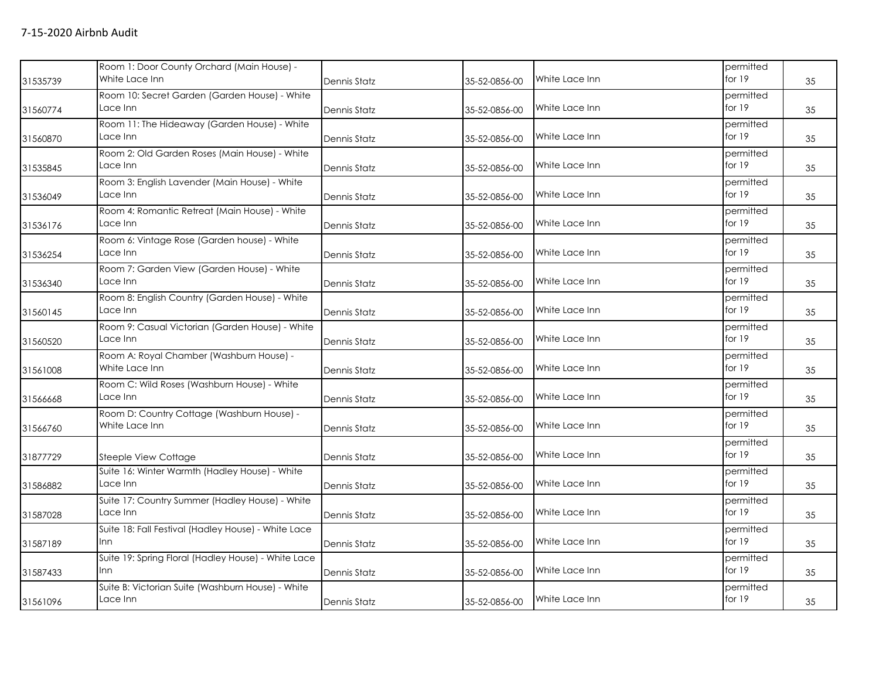|          | Room 1: Door County Orchard (Main House) -                    |                     |               |                | permitted             |    |
|----------|---------------------------------------------------------------|---------------------|---------------|----------------|-----------------------|----|
| 31535739 | White Lace Inn                                                | Dennis Statz        | 35-52-0856-00 | White Lace Inn | for $19$              | 35 |
| 31560774 | Room 10: Secret Garden (Garden House) - White<br>Lace Inn     | Dennis Statz        | 35-52-0856-00 | White Lace Inn | permitted<br>for 19   | 35 |
| 31560870 | Room 11: The Hideaway (Garden House) - White<br>Lace Inn      | Dennis Statz        | 35-52-0856-00 | White Lace Inn | permitted<br>for 19   | 35 |
| 31535845 | Room 2: Old Garden Roses (Main House) - White<br>Lace Inn     | <b>Dennis Statz</b> | 35-52-0856-00 | White Lace Inn | permitted<br>for 19   | 35 |
| 31536049 | Room 3: English Lavender (Main House) - White<br>Lace Inn     | Dennis Statz        | 35-52-0856-00 | White Lace Inn | permitted<br>for 19   | 35 |
| 31536176 | Room 4: Romantic Retreat (Main House) - White<br>Lace Inn     | Dennis Statz        | 35-52-0856-00 | White Lace Inn | permitted<br>for $19$ | 35 |
| 31536254 | Room 6: Vintage Rose (Garden house) - White<br>Lace Inn       | Dennis Statz        | 35-52-0856-00 | White Lace Inn | permitted<br>for $19$ | 35 |
| 31536340 | Room 7: Garden View (Garden House) - White<br>Lace Inn        | Dennis Statz        | 35-52-0856-00 | White Lace Inn | permitted<br>for $19$ | 35 |
| 31560145 | Room 8: English Country (Garden House) - White<br>Lace Inn    | Dennis Statz        | 35-52-0856-00 | White Lace Inn | permitted<br>for 19   | 35 |
| 31560520 | Room 9: Casual Victorian (Garden House) - White<br>Lace Inn   | Dennis Statz        | 35-52-0856-00 | White Lace Inn | permitted<br>for 19   | 35 |
| 31561008 | Room A: Royal Chamber (Washburn House) -<br>White Lace Inn    | Dennis Statz        | 35-52-0856-00 | White Lace Inn | permitted<br>for 19   | 35 |
| 31566668 | Room C: Wild Roses (Washburn House) - White<br>Lace Inn       | Dennis Statz        | 35-52-0856-00 | White Lace Inn | permitted<br>for 19   | 35 |
| 31566760 | Room D: Country Cottage (Washburn House) -<br>White Lace Inn  | Dennis Statz        | 35-52-0856-00 | White Lace Inn | permitted<br>for 19   | 35 |
| 31877729 | Steeple View Cottage                                          | Dennis Statz        | 35-52-0856-00 | White Lace Inn | permitted<br>for 19   | 35 |
| 31586882 | Suite 16: Winter Warmth (Hadley House) - White<br>Lace Inn    | Dennis Statz        | 35-52-0856-00 | White Lace Inn | permitted<br>for 19   | 35 |
| 31587028 | Suite 17: Country Summer (Hadley House) - White<br>Lace Inn   | Dennis Statz        | 35-52-0856-00 | White Lace Inn | permitted<br>for 19   | 35 |
| 31587189 | Suite 18: Fall Festival (Hadley House) - White Lace<br>Inn    | Dennis Statz        | 35-52-0856-00 | White Lace Inn | permitted<br>for 19   | 35 |
| 31587433 | Suite 19: Spring Floral (Hadley House) - White Lace<br>Inn    | Dennis Statz        | 35-52-0856-00 | White Lace Inn | permitted<br>for 19   | 35 |
| 31561096 | Suite B: Victorian Suite (Washburn House) - White<br>Lace Inn | <b>Dennis Statz</b> | 35-52-0856-00 | White Lace Inn | permitted<br>for 19   | 35 |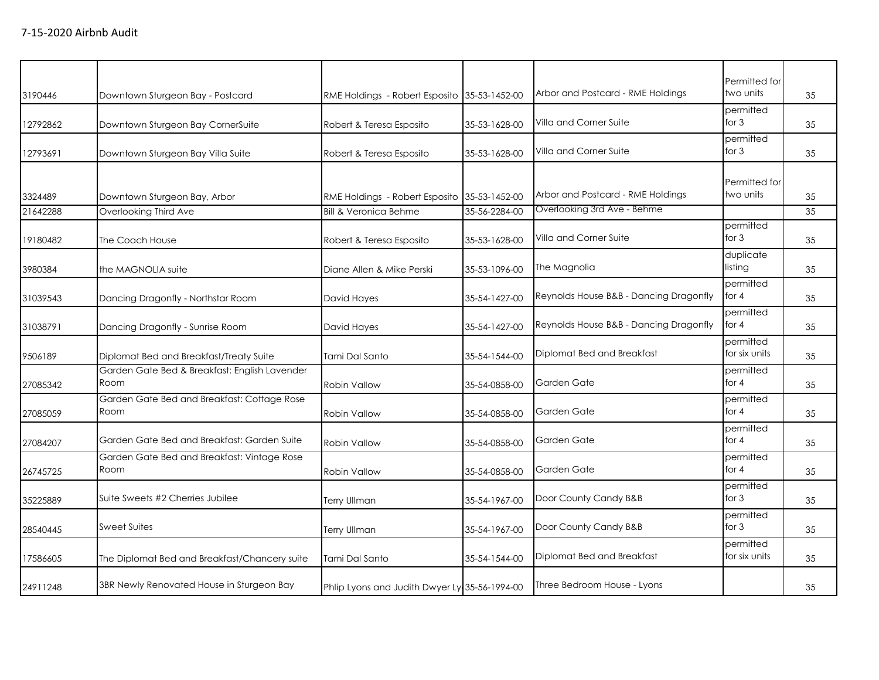| 3190446  | Downtown Sturgeon Bay - Postcard                      | RME Holdings - Robert Esposito 35-53-1452-00  |               | Arbor and Postcard - RME Holdings      | Permitted for<br>two units | 35 |
|----------|-------------------------------------------------------|-----------------------------------------------|---------------|----------------------------------------|----------------------------|----|
| 12792862 | Downtown Sturgeon Bay CornerSuite                     | Robert & Teresa Esposito                      | 35-53-1628-00 | Villa and Corner Suite                 | permitted<br>for $3$       | 35 |
| 12793691 | Downtown Sturgeon Bay Villa Suite                     | Robert & Teresa Esposito                      | 35-53-1628-00 | Villa and Corner Suite                 | permitted<br>for $3$       | 35 |
| 3324489  | Downtown Sturgeon Bay, Arbor                          | RME Holdings - Robert Esposito 35-53-1452-00  |               | Arbor and Postcard - RME Holdings      | Permitted for<br>two units | 35 |
| 21642288 | Overlooking Third Ave                                 | <b>Bill &amp; Veronica Behme</b>              | 35-56-2284-00 | Overlooking 3rd Ave - Behme            |                            | 35 |
| 19180482 | The Coach House                                       | Robert & Teresa Esposito                      | 35-53-1628-00 | Villa and Corner Suite                 | permitted<br>for $3$       | 35 |
| 3980384  | the MAGNOLIA suite                                    | Diane Allen & Mike Perski                     | 35-53-1096-00 | The Magnolia                           | duplicate<br>listing       | 35 |
| 31039543 | Dancing Dragonfly - Northstar Room                    | David Hayes                                   | 35-54-1427-00 | Reynolds House B&B - Dancing Dragonfly | permitted<br>for 4         | 35 |
| 31038791 | Dancing Dragonfly - Sunrise Room                      | David Hayes                                   | 35-54-1427-00 | Reynolds House B&B - Dancing Dragonfly | permitted<br>for 4         | 35 |
| 9506189  | Diplomat Bed and Breakfast/Treaty Suite               | Tami Dal Santo                                | 35-54-1544-00 | Diplomat Bed and Breakfast             | permitted<br>for six units | 35 |
| 27085342 | Garden Gate Bed & Breakfast: English Lavender<br>Room | <b>Robin Vallow</b>                           | 35-54-0858-00 | Garden Gate                            | permitted<br>for 4         | 35 |
| 27085059 | Garden Gate Bed and Breakfast: Cottage Rose<br>Room   | <b>Robin Vallow</b>                           | 35-54-0858-00 | Garden Gate                            | permitted<br>for 4         | 35 |
| 27084207 | Garden Gate Bed and Breakfast: Garden Suite           | <b>Robin Vallow</b>                           | 35-54-0858-00 | Garden Gate                            | permitted<br>for 4         | 35 |
| 26745725 | Garden Gate Bed and Breakfast: Vintage Rose<br>Room   | <b>Robin Vallow</b>                           | 35-54-0858-00 | Garden Gate                            | permitted<br>for 4         | 35 |
| 35225889 | Suite Sweets #2 Cherries Jubilee                      | Terry Ullman                                  | 35-54-1967-00 | Door County Candy B&B                  | permitted<br>for $3$       | 35 |
| 28540445 | <b>Sweet Suites</b>                                   | <b>Terry Ullman</b>                           | 35-54-1967-00 | Door County Candy B&B                  | permitted<br>for 3         | 35 |
| 17586605 | The Diplomat Bed and Breakfast/Chancery suite         | Tami Dal Santo                                | 35-54-1544-00 | Diplomat Bed and Breakfast             | permitted<br>for six units | 35 |
| 24911248 | 3BR Newly Renovated House in Sturgeon Bay             | Phlip Lyons and Judith Dwyer Ly 35-56-1994-00 |               | Three Bedroom House - Lyons            |                            | 35 |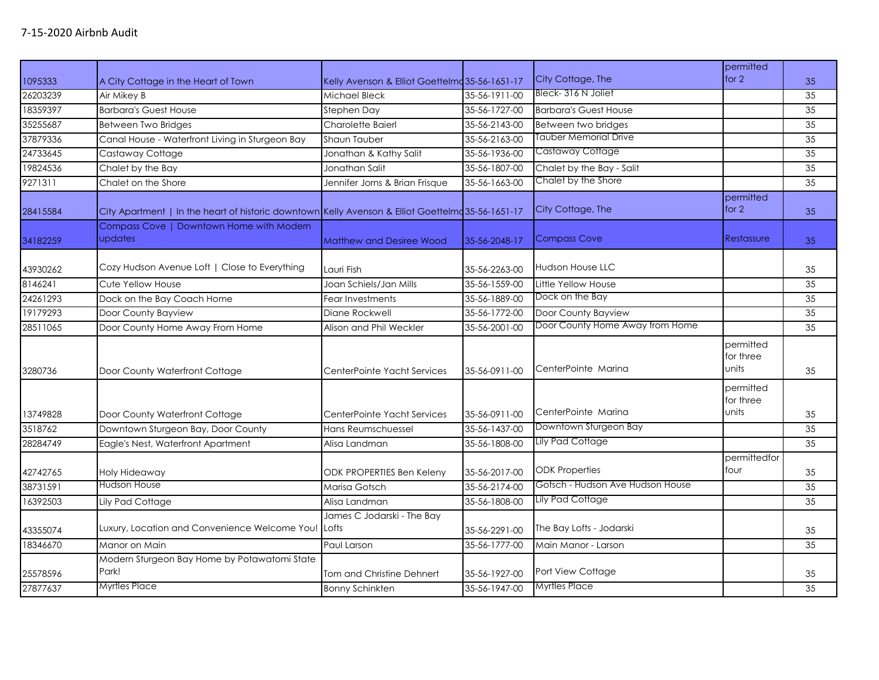|                     |                                                                                                   |                                                   |                                |                                              | permitted                       |          |
|---------------------|---------------------------------------------------------------------------------------------------|---------------------------------------------------|--------------------------------|----------------------------------------------|---------------------------------|----------|
| 1095333             | A City Cottage in the Heart of Town                                                               | Kelly Avenson & Elliot Goettelmd 35-56-1651-17    |                                | City Cottage, The                            | for $2$                         | 35       |
| 26203239            | Air Mikey B                                                                                       | Michael Bleck                                     | 35-56-1911-00                  | Bleck-316 N Joliet                           |                                 | 35       |
| 18359397            | <b>Barbara's Guest House</b>                                                                      | Stephen Day                                       | 35-56-1727-00                  | <b>Barbara's Guest House</b>                 |                                 | 35       |
| 35255687            | <b>Between Two Bridges</b>                                                                        | <b>Charolette Baierl</b>                          | 35-56-2143-00                  | Between two bridges                          |                                 | 35       |
| 37879336            | Canal House - Waterfront Living in Sturgeon Bay                                                   | Shaun Tauber                                      | 35-56-2163-00                  | Tauber Memorial Drive                        |                                 | 35       |
| 24733645            | Castaway Cottage                                                                                  | Jonathan & Kathy Salit                            | 35-56-1936-00                  | Castaway Cottage                             |                                 | 35       |
| 19824536            | Chalet by the Bay                                                                                 | Jonathan Salit                                    | 35-56-1807-00                  | Chalet by the Bay - Salit                    |                                 | 35       |
| 9271311             | Chalet on the Shore                                                                               | Jennifer Jorns & Brian Frisque                    | 35-56-1663-00                  | Chalet by the Shore                          |                                 | 35       |
| 28415584            | City Apartment   In the heart of historic downtown Kelly Avenson & Elliot Goettelmd 35-56-1651-17 |                                                   |                                | City Cottage, The                            | permitted<br>for $2$            | 35       |
| 34182259            | Compass Cove   Downtown Home with Modern<br>updates                                               | <b>Matthew and Desiree Wood</b>                   | 35-56-2048-17                  | <b>Compass Cove</b>                          | <b>Restassure</b>               | 35       |
| 43930262            | Cozy Hudson Avenue Loft   Close to Everything                                                     | Lauri Fish                                        | 35-56-2263-00                  | <b>Hudson House LLC</b>                      |                                 | 35       |
| 8146241             | Cute Yellow House                                                                                 | Joan Schiels/Jan Mills                            | 35-56-1559-00                  | Little Yellow House                          |                                 | 35       |
| 24261293            | Dock on the Bay Coach Home                                                                        | Fear Investments                                  | 35-56-1889-00                  | Dock on the Bay                              |                                 | 35       |
| 19179293            | Door County Bayview                                                                               | Diane Rockwell                                    | 35-56-1772-00                  | Door County Bayview                          |                                 | 35       |
| 28511065            | Door County Home Away From Home                                                                   | Alison and Phil Weckler                           | 35-56-2001-00                  | Door County Home Away from Home              |                                 | 35       |
| 3280736             | Door County Waterfront Cottage                                                                    | CenterPointe Yacht Services                       | 35-56-0911-00                  | CenterPointe Marina                          | permitted<br>for three<br>units | 35       |
| 13749828<br>3518762 | Door County Waterfront Cottage<br>Downtown Sturgeon Bay, Door County                              | CenterPointe Yacht Services<br>Hans Reumschuessel | 35-56-0911-00<br>35-56-1437-00 | CenterPointe Marina<br>Downtown Sturgeon Bay | permitted<br>for three<br>units | 35<br>35 |
| 28284749            | Eagle's Nest, Waterfront Apartment                                                                | Alisa Landman                                     | 35-56-1808-00                  | Lily Pad Cottage                             |                                 | 35       |
| 42742765            | Holy Hideaway                                                                                     | <b>ODK PROPERTIES Ben Keleny</b>                  | 35-56-2017-00                  | <b>ODK Properties</b>                        | permittedfor<br>four            | 35       |
| 38731591            | Hudson House                                                                                      | Marisa Gotsch                                     | 35-56-2174-00                  | Gotsch - Hudson Ave Hudson House             |                                 | 35       |
| 16392503            | Lily Pad Cottage                                                                                  | Alisa Landman                                     | 35-56-1808-00                  | Lily Pad Cottage                             |                                 | 35       |
| 43355074            | Luxury, Location and Convenience Welcome You!                                                     | James C Jodarski - The Bay<br><b>Lofts</b>        | 35-56-2291-00                  | The Bay Lofts - Jodarski                     |                                 | 35       |
| 18346670            | Manor on Main                                                                                     | Paul Larson                                       | 35-56-1777-00                  | Main Manor - Larson                          |                                 | 35       |
| 25578596            | Modern Sturgeon Bay Home by Potawatomi State<br>Park!                                             | Tom and Christine Dehnert                         | 35-56-1927-00                  | Port View Cottage                            |                                 | 35       |
| 27877637            | <b>Myrtles Place</b>                                                                              | <b>Bonny Schinkten</b>                            | 35-56-1947-00                  | <b>Myrtles Place</b>                         |                                 | 35       |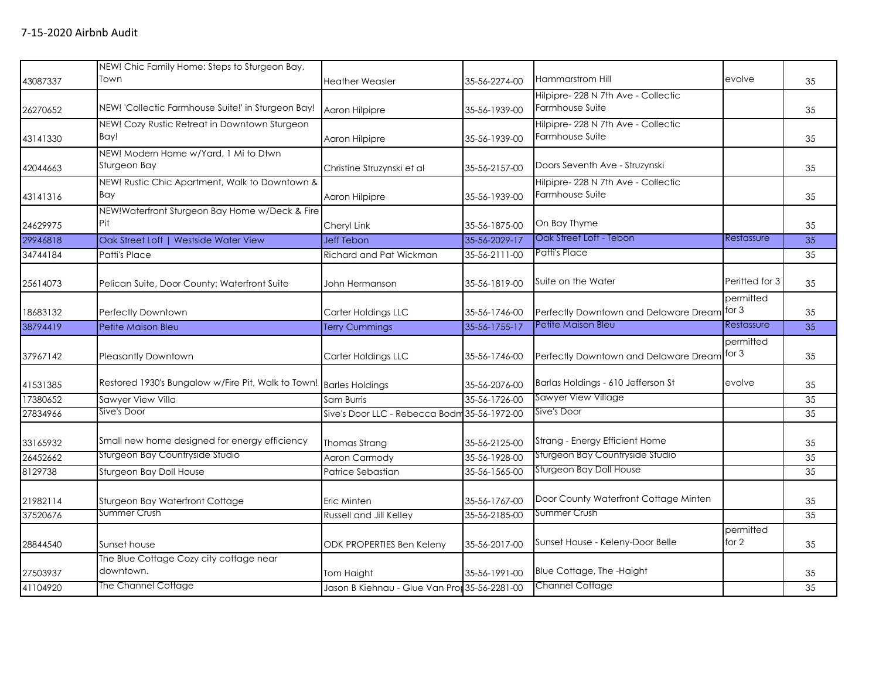|          | NEW! Chic Family Home: Steps to Sturgeon Bay,                      |                                               |               |                                       |                      |    |
|----------|--------------------------------------------------------------------|-----------------------------------------------|---------------|---------------------------------------|----------------------|----|
| 43087337 | Town                                                               | <b>Heather Weasler</b>                        | 35-56-2274-00 | Hammarstrom Hill                      | evolve               | 35 |
|          |                                                                    |                                               |               | Hilpipre-228 N 7th Ave - Collectic    |                      |    |
| 26270652 | NEW! 'Collectic Farmhouse Suite!' in Sturgeon Bay!                 | Aaron Hilpipre                                | 35-56-1939-00 | Farmhouse Suite                       |                      | 35 |
|          | NEW! Cozy Rustic Retreat in Downtown Sturgeon                      |                                               |               | Hilpipre- 228 N 7th Ave - Collectic   |                      |    |
| 43141330 | Bay!                                                               | Aaron Hilpipre                                | 35-56-1939-00 | Farmhouse Suite                       |                      | 35 |
| 42044663 | NEW! Modern Home w/Yard, 1 Mi to Dtwn<br>Sturgeon Bay              | Christine Struzynski et al                    | 35-56-2157-00 | Doors Seventh Ave - Struzynski        |                      | 35 |
|          | NEW! Rustic Chic Apartment, Walk to Downtown &                     |                                               |               | Hilpipre-228 N 7th Ave - Collectic    |                      |    |
| 43141316 | Bay                                                                | Aaron Hilpipre                                | 35-56-1939-00 | Farmhouse Suite                       |                      | 35 |
|          | NEW!Waterfront Sturgeon Bay Home w/Deck & Fire                     |                                               |               |                                       |                      |    |
| 24629975 | Pit                                                                | Cheryl Link                                   | 35-56-1875-00 | On Bay Thyme                          |                      | 35 |
| 29946818 | Oak Street Loft   Westside Water View                              | Jeff Tebon                                    | 35-56-2029-17 | Oak Street Loft - Tebon               | Restassure           | 35 |
| 34744184 | Patti's Place                                                      | Richard and Pat Wickman                       | 35-56-2111-00 | Patti's Place                         |                      | 35 |
| 25614073 | Pelican Suite, Door County: Waterfront Suite                       | John Hermanson                                | 35-56-1819-00 | Suite on the Water                    | Peritted for 3       | 35 |
| 18683132 | Perfectly Downtown                                                 | Carter Holdings LLC                           | 35-56-1746-00 | Perfectly Downtown and Delaware Dream | permitted<br>for $3$ | 35 |
| 38794419 | Petite Maison Bleu                                                 | <b>Terry Cummings</b>                         | 35-56-1755-17 | Petite Maison Bleu                    | Restassure           | 35 |
|          |                                                                    |                                               |               |                                       | permitted            |    |
| 37967142 | Pleasantly Downtown                                                | Carter Holdings LLC                           | 35-56-1746-00 | Perfectly Downtown and Delaware Dream | for $3$              | 35 |
| 41531385 | Restored 1930's Bungalow w/Fire Pit, Walk to Town! Barles Holdings |                                               | 35-56-2076-00 | Barlas Holdings - 610 Jefferson St    | evolve               | 35 |
| 17380652 | Sawyer View Villa                                                  | Sam Burris                                    | 35-56-1726-00 | Sawyer View Village                   |                      | 35 |
| 27834966 | Sive's Door                                                        | Sive's Door LLC - Rebecca Bodm 35-56-1972-00  |               | Sive's Door                           |                      | 35 |
| 33165932 | Small new home designed for energy efficiency                      | Thomas Strang                                 | 35-56-2125-00 | Strang - Energy Efficient Home        |                      | 35 |
| 26452662 | Sturgeon Bay Countryside Studio                                    | <b>Aaron Carmody</b>                          | 35-56-1928-00 | Sturgeon Bay Countryside Studio       |                      | 35 |
| 8129738  | Sturgeon Bay Doll House                                            | Patrice Sebastian                             | 35-56-1565-00 | <b>Sturgeon Bay Doll House</b>        |                      | 35 |
| 21982114 | Sturgeon Bay Waterfront Cottage                                    | Eric Minten                                   | 35-56-1767-00 | Door County Waterfront Cottage Minten |                      | 35 |
| 37520676 | Summer Crush                                                       | <b>Russell and Jill Kelley</b>                | 35-56-2185-00 | Summer Crush                          |                      | 35 |
| 28844540 | Sunset house                                                       | ODK PROPERTIES Ben Keleny                     | 35-56-2017-00 | Sunset House - Keleny-Door Belle      | permitted<br>for 2   | 35 |
| 27503937 | The Blue Cottage Cozy city cottage near<br>downtown.               | Tom Haight                                    | 35-56-1991-00 | Blue Cottage, The -Haight             |                      | 35 |
| 41104920 | The Channel Cottage                                                | Jason B Kiehnau - Glue Van Prot 35-56-2281-00 |               | <b>Channel Cottage</b>                |                      | 35 |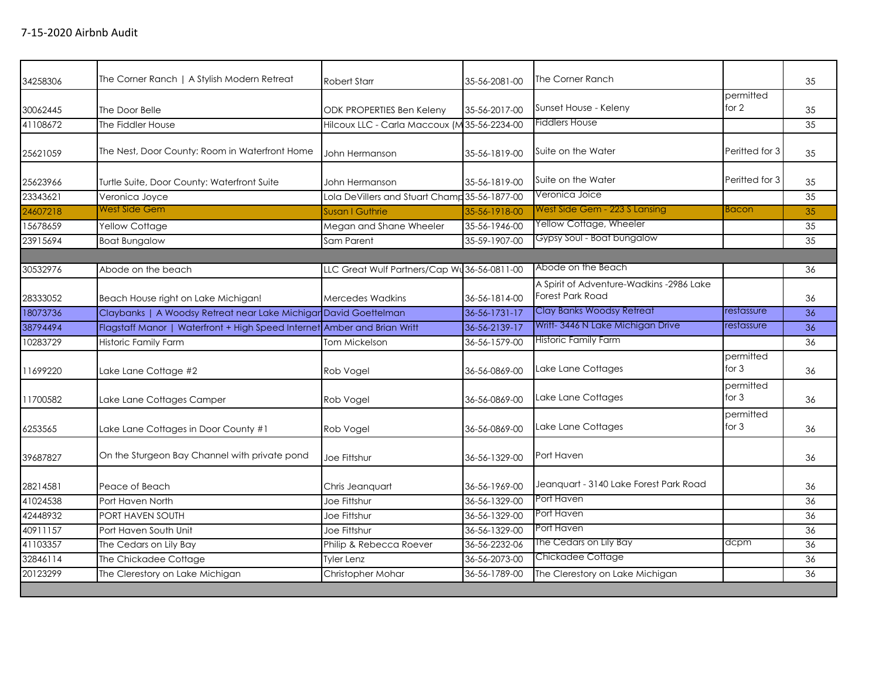| 34258306 | The Corner Ranch   A Stylish Modern Retreat                              | Robert Starr                                  | 35-56-2081-00 | The Corner Ranch                                             |                      | 35 |
|----------|--------------------------------------------------------------------------|-----------------------------------------------|---------------|--------------------------------------------------------------|----------------------|----|
|          |                                                                          |                                               |               |                                                              | permitted            |    |
| 30062445 | The Door Belle                                                           | <b>ODK PROPERTIES Ben Keleny</b>              | 35-56-2017-00 | Sunset House - Keleny                                        | for $2$              | 35 |
| 41108672 | The Fiddler House                                                        | Hilcoux LLC - Carla Maccoux (M 35-56-2234-00  |               | <b>Fiddlers House</b>                                        |                      | 35 |
| 25621059 | The Nest, Door County: Room in Waterfront Home                           | John Hermanson                                | 35-56-1819-00 | Suite on the Water                                           | Peritted for 3       | 35 |
| 25623966 | Turtle Suite, Door County: Waterfront Suite                              | John Hermanson                                | 35-56-1819-00 | Suite on the Water                                           | Peritted for 3       | 35 |
| 23343621 | Veronica Joyce                                                           | Lola DeVillers and Stuart Champ 35-56-1877-00 |               | Veronica Joice                                               |                      | 35 |
| 24607218 | <b>West Side Gem</b>                                                     | Susan I Guthrie                               | 35-56-1918-00 | West Side Gem - 223 S Lansing                                | <b>Bacon</b>         | 35 |
| 15678659 | Yellow Cottage                                                           | Megan and Shane Wheeler                       | 35-56-1946-00 | Yellow Cottage, Wheeler                                      |                      | 35 |
| 23915694 | <b>Boat Bungalow</b>                                                     | Sam Parent                                    | 35-59-1907-00 | Gypsy Soul - Boat bungalow                                   |                      | 35 |
|          |                                                                          |                                               |               |                                                              |                      |    |
| 30532976 | Abode on the beach                                                       | LLC Great Wulf Partners/Cap Wu 36-56-0811-00  |               | Abode on the Beach                                           |                      | 36 |
| 28333052 | Beach House right on Lake Michigan!                                      | Mercedes Wadkins                              | 36-56-1814-00 | A Spirit of Adventure-Wadkins -2986 Lake<br>Forest Park Road |                      | 36 |
| 18073736 | Claybanks   A Woodsy Retreat near Lake Michigar David Goettelman         |                                               | 36-56-1731-17 | Clay Banks Woodsy Retreat                                    | restassure           | 36 |
| 38794494 | Flagstaff Manor   Waterfront + High Speed Internet Amber and Brian Writt |                                               | 36-56-2139-17 | Writt-3446 N Lake Michigan Drive                             | restassure           | 36 |
| 10283729 | Historic Family Farm                                                     | <b>Tom Mickelson</b>                          | 36-56-1579-00 | Historic Family Farm                                         |                      | 36 |
| 11699220 | Lake Lane Cottage #2                                                     | Rob Vogel                                     | 36-56-0869-00 | Lake Lane Cottages                                           | permitted<br>for $3$ | 36 |
| 11700582 | Lake Lane Cottages Camper                                                | Rob Vogel                                     | 36-56-0869-00 | Lake Lane Cottages                                           | permitted<br>for $3$ | 36 |
| 6253565  | Lake Lane Cottages in Door County #1                                     | Rob Vogel                                     | 36-56-0869-00 | Lake Lane Cottages                                           | permitted<br>for $3$ | 36 |
| 39687827 | On the Sturgeon Bay Channel with private pond                            | Joe Fittshur                                  | 36-56-1329-00 | Port Haven                                                   |                      | 36 |
| 28214581 | Peace of Beach                                                           | Chris Jeanguart                               | 36-56-1969-00 | Jeanguart - 3140 Lake Forest Park Road                       |                      | 36 |
| 41024538 | Port Haven North                                                         | Joe Fittshur                                  | 36-56-1329-00 | Port Haven                                                   |                      | 36 |
| 42448932 | PORT HAVEN SOUTH                                                         | Joe Fittshur                                  | 36-56-1329-00 | Port Haven                                                   |                      | 36 |
| 40911157 | Port Haven South Unit                                                    | Joe Fittshur                                  | 36-56-1329-00 | Port Haven                                                   |                      | 36 |
| 41103357 | The Cedars on Lily Bay                                                   | Philip & Rebecca Roever                       | 36-56-2232-06 | The Cedars on Lily Bay                                       | dcpm                 | 36 |
| 32846114 | The Chickadee Cottage                                                    | Tyler Lenz                                    | 36-56-2073-00 | Chickadee Cottage                                            |                      | 36 |
| 20123299 | The Clerestory on Lake Michigan                                          | Christopher Mohar                             | 36-56-1789-00 | The Clerestory on Lake Michigan                              |                      | 36 |
|          |                                                                          |                                               |               |                                                              |                      |    |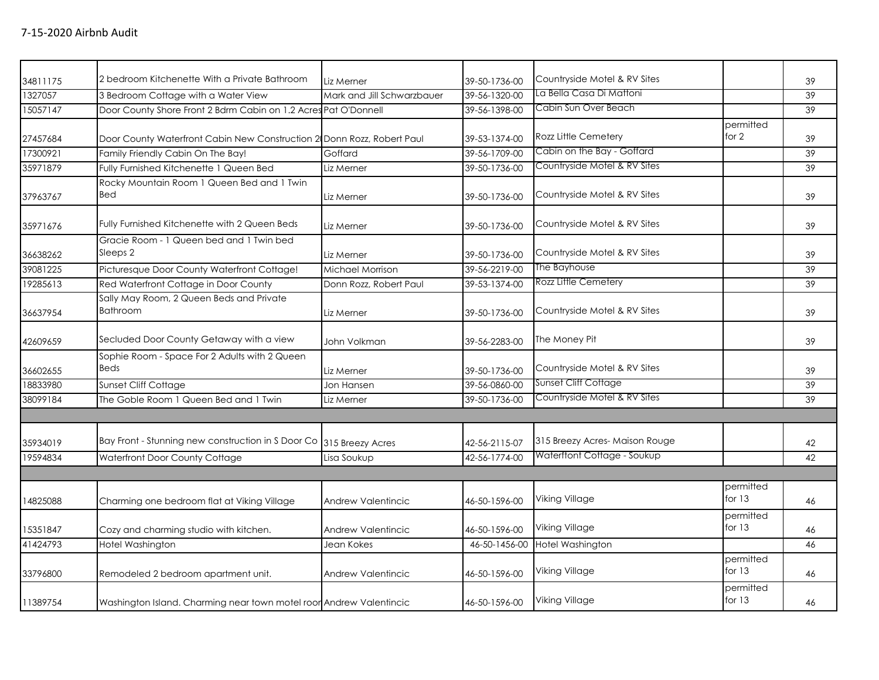| 34811175 | 2 bedroom Kitchenette With a Private Bathroom                          | Liz Merner                 | 39-50-1736-00 | Countryside Motel & RV Sites  |                       | 39 |
|----------|------------------------------------------------------------------------|----------------------------|---------------|-------------------------------|-----------------------|----|
| 1327057  | 3 Bedroom Cottage with a Water View                                    | Mark and Jill Schwarzbauer | 39-56-1320-00 | La Bella Casa Di Mattoni      |                       | 39 |
| 15057147 | Door County Shore Front 2 Bdrm Cabin on 1.2 Acres Pat O'Donnell        |                            | 39-56-1398-00 | Cabin Sun Over Beach          |                       | 39 |
| 27457684 | Door County Waterfront Cabin New Construction 2 Donn Rozz, Robert Paul |                            | 39-53-1374-00 | Rozz Little Cemetery          | permitted<br>for $2$  | 39 |
| 17300921 | Family Friendly Cabin On The Bay!                                      | Goffard                    | 39-56-1709-00 | Cabin on the Bay - Goffard    |                       | 39 |
| 35971879 | Fully Furnished Kitchenette 1 Queen Bed                                | Liz Merner                 | 39-50-1736-00 | Countryside Motel & RV Sites  |                       | 39 |
| 37963767 | Rocky Mountain Room 1 Queen Bed and 1 Twin<br>Bed                      | Liz Merner                 | 39-50-1736-00 | Countryside Motel & RV Sites  |                       | 39 |
| 35971676 | Fully Furnished Kitchenette with 2 Queen Beds                          | Liz Merner                 | 39-50-1736-00 | Countryside Motel & RV Sites  |                       | 39 |
| 36638262 | Gracie Room - 1 Queen bed and 1 Twin bed<br>Sleeps 2                   | Liz Merner                 | 39-50-1736-00 | Countryside Motel & RV Sites  |                       | 39 |
| 39081225 | Picturesque Door County Waterfront Cottage!                            | Michael Morrison           | 39-56-2219-00 | The Bayhouse                  |                       | 39 |
| 19285613 | Red Waterfront Cottage in Door County                                  | Donn Rozz, Robert Paul     | 39-53-1374-00 | Rozz Little Cemetery          |                       | 39 |
| 36637954 | Sally May Room, 2 Queen Beds and Private<br><b>Bathroom</b>            | Liz Merner                 | 39-50-1736-00 | Countryside Motel & RV Sites  |                       | 39 |
| 42609659 | Secluded Door County Getaway with a view                               | John Volkman               | 39-56-2283-00 | The Money Pit                 |                       | 39 |
| 36602655 | Sophie Room - Space For 2 Adults with 2 Queen<br><b>Beds</b>           | Liz Merner                 | 39-50-1736-00 | Countryside Motel & RV Sites  |                       | 39 |
| 18833980 | <b>Sunset Cliff Cottage</b>                                            | Jon Hansen                 | 39-56-0860-00 | <b>Sunset Cliff Cottage</b>   |                       | 39 |
| 38099184 | The Goble Room 1 Queen Bed and 1 Twin                                  | Liz Merner                 | 39-50-1736-00 | Countryside Motel & RV Sites  |                       | 39 |
|          |                                                                        |                            |               |                               |                       |    |
| 35934019 | Bay Front - Stunning new construction in S Door Co 315 Breezy Acres    |                            | 42-56-2115-07 | 315 Breezy Acres-Maison Rouge |                       | 42 |
| 19594834 | Waterfront Door County Cottage                                         | Lisa Soukup                | 42-56-1774-00 | Waterftont Cottage - Soukup   |                       | 42 |
|          |                                                                        |                            |               |                               |                       |    |
| 14825088 | Charming one bedroom flat at Viking Village                            | Andrew Valentincic         | 46-50-1596-00 | Viking Village                | permitted<br>for $13$ | 46 |
| 15351847 | Cozy and charming studio with kitchen.                                 | Andrew Valentincic         | 46-50-1596-00 | Viking Village                | permitted<br>for $13$ | 46 |
| 41424793 | Hotel Washington                                                       | Jean Kokes                 | 46-50-1456-00 | Hotel Washington              |                       | 46 |
| 33796800 | Remodeled 2 bedroom apartment unit.                                    | <b>Andrew Valentincic</b>  | 46-50-1596-00 | Viking Village                | permitted<br>for $13$ | 46 |
| 11389754 | Washington Island. Charming near town motel roor Andrew Valentincic    |                            | 46-50-1596-00 | <b>Viking Village</b>         | permitted<br>for $13$ | 46 |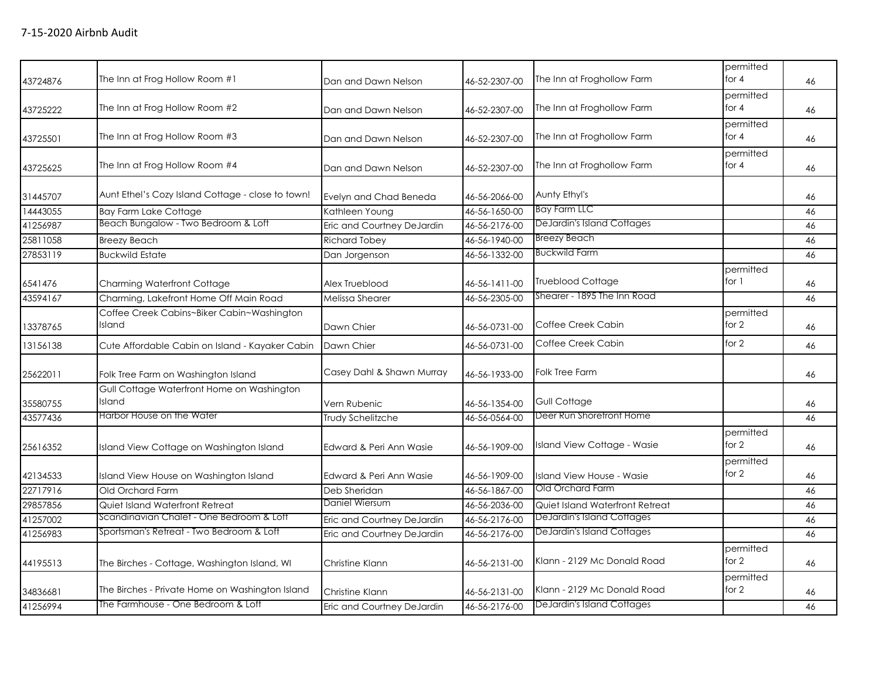| 43724876 | The Inn at Frog Hollow Room #1                       | Dan and Dawn Nelson        | 46-52-2307-00 | The Inn at Froghollow Farm        | permitted<br>for 4   | 46 |
|----------|------------------------------------------------------|----------------------------|---------------|-----------------------------------|----------------------|----|
| 43725222 | The Inn at Frog Hollow Room #2                       | Dan and Dawn Nelson        | 46-52-2307-00 | The Inn at Froghollow Farm        | permitted<br>for $4$ | 46 |
| 43725501 | The Inn at Frog Hollow Room #3                       | Dan and Dawn Nelson        | 46-52-2307-00 | The Inn at Froghollow Farm        | permitted<br>for $4$ | 46 |
| 43725625 | The Inn at Frog Hollow Room #4                       | Dan and Dawn Nelson        | 46-52-2307-00 | The Inn at Froghollow Farm        | permitted<br>for $4$ | 46 |
| 31445707 | Aunt Ethel's Cozy Island Cottage - close to town!    | Evelyn and Chad Beneda     | 46-56-2066-00 | Aunty Ethyl's                     |                      | 46 |
| 14443055 | <b>Bay Farm Lake Cottage</b>                         | Kathleen Young             | 46-56-1650-00 | <b>Bay Farm LLC</b>               |                      | 46 |
| 41256987 | Beach Bungalow - Two Bedroom & Loft                  | Eric and Courtney DeJardin | 46-56-2176-00 | <b>DeJardin's Island Cottages</b> |                      | 46 |
| 25811058 | <b>Breezy Beach</b>                                  | <b>Richard Tobey</b>       | 46-56-1940-00 | <b>Breezy Beach</b>               |                      | 46 |
| 27853119 | <b>Buckwild Estate</b>                               | Dan Jorgenson              | 46-56-1332-00 | <b>Buckwild Farm</b>              |                      | 46 |
| 6541476  | <b>Charming Waterfront Cottage</b>                   | Alex Trueblood             | 46-56-1411-00 | <b>Trueblood Cottage</b>          | permitted<br>for 1   | 46 |
| 43594167 | Charming, Lakefront Home Off Main Road               | Melissa Shearer            | 46-56-2305-00 | Shearer - 1895 The Inn Road       |                      | 46 |
| 13378765 | Coffee Creek Cabins~Biker Cabin~Washington<br>Island | Dawn Chier                 | 46-56-0731-00 | Coffee Creek Cabin                | permitted<br>for 2   | 46 |
| 13156138 | Cute Affordable Cabin on Island - Kayaker Cabin      | Dawn Chier                 | 46-56-0731-00 | Coffee Creek Cabin                | for $2$              | 46 |
| 25622011 | Folk Tree Farm on Washington Island                  | Casey Dahl & Shawn Murray  | 46-56-1933-00 | Folk Tree Farm                    |                      | 46 |
| 35580755 | Gull Cottage Waterfront Home on Washington<br>Island | Vern Rubenic               | 46-56-1354-00 | Gull Cottage                      |                      | 46 |
| 43577436 | Harbor House on the Water                            | Trudy Schelitzche          | 46-56-0564-00 | Deer Run Shorefront Home          |                      | 46 |
| 25616352 | Island View Cottage on Washington Island             | Edward & Peri Ann Wasie    | 46-56-1909-00 | Island View Cottage - Wasie       | permitted<br>for $2$ | 46 |
| 42134533 | Island View House on Washington Island               | Edward & Peri Ann Wasie    | 46-56-1909-00 | Island View House - Wasie         | permitted<br>for 2   | 46 |
| 22717916 | Old Orchard Farm                                     | Deb Sheridan               | 46-56-1867-00 | Old Orchard Farm                  |                      | 46 |
| 29857856 | Quiet Island Waterfront Retreat                      | Daniel Wiersum             | 46-56-2036-00 | Quiet Island Waterfront Retreat   |                      | 46 |
| 41257002 | Scandinavian Chalet - One Bedroom & Loft             | Eric and Courtney DeJardin | 46-56-2176-00 | DeJardin's Island Cottages        |                      | 46 |
| 41256983 | Sportsman's Retreat - Two Bedroom & Loft             | Eric and Courtney DeJardin | 46-56-2176-00 | <b>DeJardin's Island Cottages</b> |                      | 46 |
| 44195513 | The Birches - Cottage, Washington Island, WI         | Christine Klann            | 46-56-2131-00 | Klann - 2129 Mc Donald Road       | permitted<br>for $2$ | 46 |
| 34836681 | The Birches - Private Home on Washington Island      | <b>Christine Klann</b>     | 46-56-2131-00 | Klann - 2129 Mc Donald Road       | permitted<br>for 2   | 46 |
| 41256994 | The Farmhouse - One Bedroom & Loft                   | Eric and Courtney DeJardin | 46-56-2176-00 | DeJardin's Island Cottages        |                      | 46 |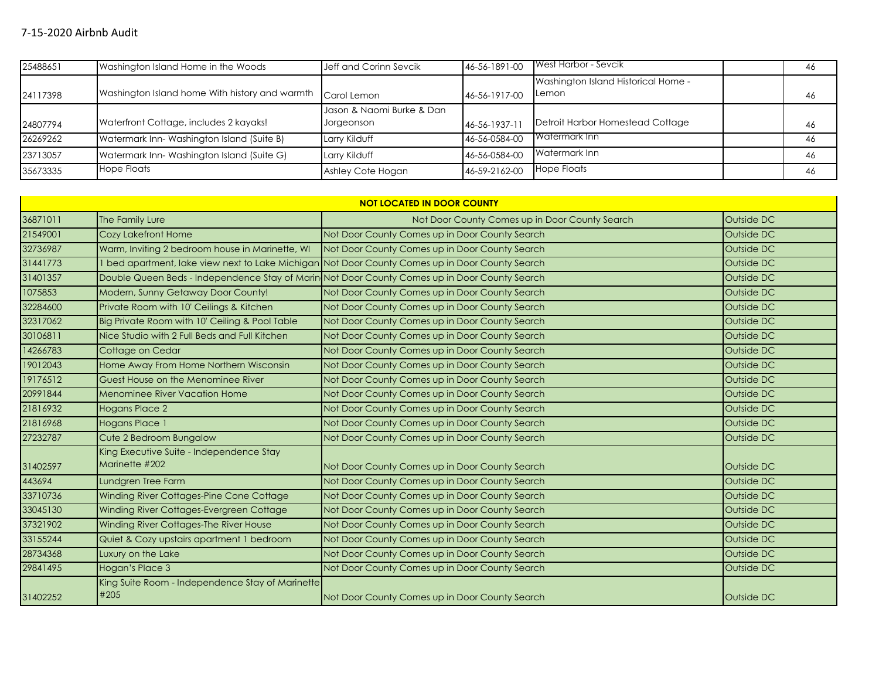| 25488651 | Washington Island Home in the Woods            | Jeff and Corinn Sevcik                  | 46-56-1891-00 | <b>I</b> West Harbor - Sevcik                        | 46 |
|----------|------------------------------------------------|-----------------------------------------|---------------|------------------------------------------------------|----|
| 24117398 | Washington Island home With history and warmth | Carol Lemon                             | 46-56-1917-00 | Washington Island Historical Home -<br><b>ILemon</b> | 46 |
| 24807794 | Waterfront Cottage, includes 2 kayaks!         | Jason & Naomi Burke & Dan<br>Jorgeonson | 46-56-1937-11 | Detroit Harbor Homestead Cottage                     | 46 |
| 26269262 | Watermark Inn-Washington Island (Suite B)      | Larry Kilduff                           | 46-56-0584-00 | <b>IWatermark Inn</b>                                | 46 |
| 23713057 | Watermark Inn-Washington Island (Suite G)      | Larry Kilduff                           | 46-56-0584-00 | Watermark Inn                                        | 46 |
| 35673335 | <b>Hope Floats</b>                             | Ashley Cote Hogan                       | 46-59-2162-00 | Hope Floats                                          | 46 |

| <b>NOT LOCATED IN DOOR COUNTY</b> |                                                                                               |                                                                                               |            |  |  |
|-----------------------------------|-----------------------------------------------------------------------------------------------|-----------------------------------------------------------------------------------------------|------------|--|--|
| 36871011                          | The Family Lure                                                                               | Not Door County Comes up in Door County Search                                                | Outside DC |  |  |
| 21549001                          | Cozy Lakefront Home                                                                           | Not Door County Comes up in Door County Search                                                | Outside DC |  |  |
| 32736987                          | Warm, Inviting 2 bedroom house in Marinette, WI                                               | Not Door County Comes up in Door County Search                                                | Outside DC |  |  |
| 31441773                          |                                                                                               | bed apartment, lake view next to Lake Michigan Not Door County Comes up in Door County Search | Outside DC |  |  |
| 31401357                          | Double Queen Beds - Independence Stay of Marin Not Door County Comes up in Door County Search |                                                                                               | Outside DC |  |  |
| 1075853                           | Modern, Sunny Getaway Door County!                                                            | Not Door County Comes up in Door County Search                                                | Outside DC |  |  |
| 32284600                          | Private Room with 10' Ceilings & Kitchen                                                      | Not Door County Comes up in Door County Search                                                | Outside DC |  |  |
| 32317062                          | Big Private Room with 10' Ceiling & Pool Table                                                | Not Door County Comes up in Door County Search                                                | Outside DC |  |  |
| 30106811                          | Nice Studio with 2 Full Beds and Full Kitchen                                                 | Not Door County Comes up in Door County Search                                                | Outside DC |  |  |
| 14266783                          | Cottage on Cedar                                                                              | Not Door County Comes up in Door County Search                                                | Outside DC |  |  |
| 19012043                          | Home Away From Home Northern Wisconsin                                                        | Not Door County Comes up in Door County Search                                                | Outside DC |  |  |
| 19176512                          | Guest House on the Menominee River                                                            | Not Door County Comes up in Door County Search                                                | Outside DC |  |  |
| 20991844                          | <b>Menominee River Vacation Home</b>                                                          | Not Door County Comes up in Door County Search                                                | Outside DC |  |  |
| 21816932                          | <b>Hogans Place 2</b>                                                                         | Not Door County Comes up in Door County Search                                                | Outside DC |  |  |
| 21816968                          | Hogans Place 1                                                                                | Not Door County Comes up in Door County Search                                                | Outside DC |  |  |
| 27232787                          | Cute 2 Bedroom Bungalow                                                                       | Not Door County Comes up in Door County Search                                                | Outside DC |  |  |
| 31402597                          | King Executive Suite - Independence Stay<br>Marinette #202                                    | Not Door County Comes up in Door County Search                                                | Outside DC |  |  |
| 443694                            | Lundgren Tree Farm                                                                            | Not Door County Comes up in Door County Search                                                | Outside DC |  |  |
| 33710736                          | Winding River Cottages-Pine Cone Cottage                                                      | Not Door County Comes up in Door County Search                                                | Outside DC |  |  |
| 33045130                          | Winding River Cottages-Evergreen Cottage                                                      | Not Door County Comes up in Door County Search                                                | Outside DC |  |  |
| 37321902                          | Winding River Cottages-The River House                                                        | Not Door County Comes up in Door County Search                                                | Outside DC |  |  |
| 33155244                          | Quiet & Cozy upstairs apartment 1 bedroom                                                     | Not Door County Comes up in Door County Search                                                | Outside DC |  |  |
| 28734368                          | Luxury on the Lake                                                                            | Not Door County Comes up in Door County Search                                                | Outside DC |  |  |
| 29841495                          | Hogan's Place 3                                                                               | Not Door County Comes up in Door County Search                                                | Outside DC |  |  |
| 31402252                          | King Suite Room - Independence Stay of Marinette<br>#205                                      | Not Door County Comes up in Door County Search                                                | Outside DC |  |  |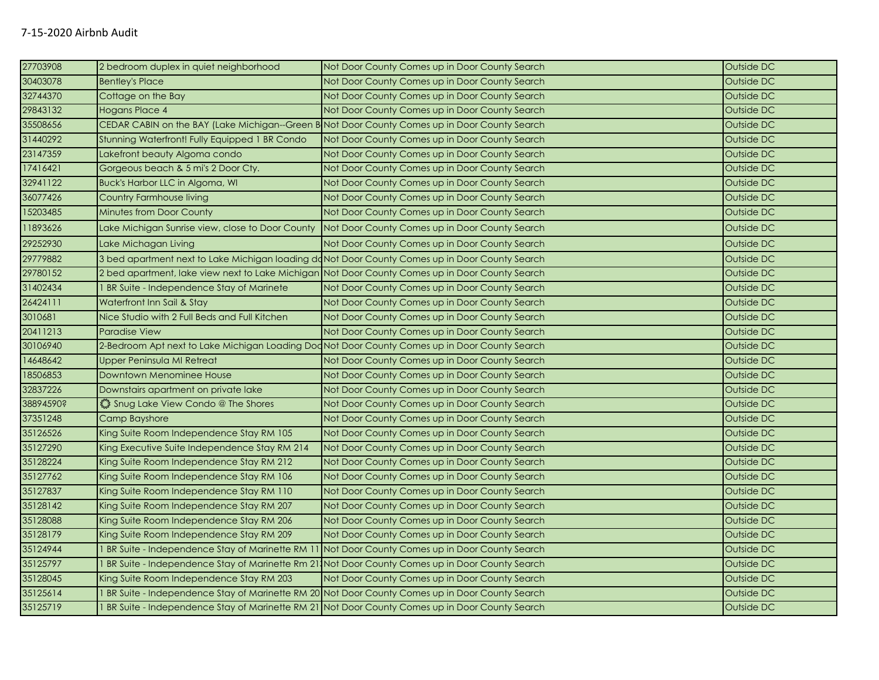| 27703908  | 2 bedroom duplex in quiet neighborhood                                                          | Not Door County Comes up in Door County Search                                                    | Outside DC |
|-----------|-------------------------------------------------------------------------------------------------|---------------------------------------------------------------------------------------------------|------------|
| 30403078  | <b>Bentley's Place</b>                                                                          | Not Door County Comes up in Door County Search                                                    | Outside DC |
| 32744370  | Cottage on the Bay                                                                              | Not Door County Comes up in Door County Search                                                    | Outside DC |
| 29843132  | <b>Hogans Place 4</b>                                                                           | Not Door County Comes up in Door County Search                                                    | Outside DC |
| 35508656  | CEDAR CABIN on the BAY (Lake Michigan--Green B Not Door County Comes up in Door County Search   |                                                                                                   | Outside DC |
| 31440292  | Stunning Waterfront! Fully Equipped 1 BR Condo                                                  | Not Door County Comes up in Door County Search                                                    | Outside DC |
| 23147359  | Lakefront beauty Algoma condo                                                                   | Not Door County Comes up in Door County Search                                                    | Outside DC |
| 17416421  | Gorgeous beach & 5 mi's 2 Door Cty.                                                             | Not Door County Comes up in Door County Search                                                    | Outside DC |
| 32941122  | Buck's Harbor LLC in Algoma, WI                                                                 | Not Door County Comes up in Door County Search                                                    | Outside DC |
| 36077426  | <b>Country Farmhouse living</b>                                                                 | Not Door County Comes up in Door County Search                                                    | Outside DC |
| 15203485  | Minutes from Door County                                                                        | Not Door County Comes up in Door County Search                                                    | Outside DC |
| 11893626  | Lake Michigan Sunrise view, close to Door County                                                | Not Door County Comes up in Door County Search                                                    | Outside DC |
| 29252930  | Lake Michagan Living                                                                            | Not Door County Comes up in Door County Search                                                    | Outside DC |
| 29779882  | 3 bed apartment next to Lake Michigan loading donot Door County Comes up in Door County Search  |                                                                                                   | Outside DC |
| 29780152  | 2 bed apartment, lake view next to Lake Michigan Not Door County Comes up in Door County Search |                                                                                                   | Outside DC |
| 31402434  | BR Suite - Independence Stay of Marinete                                                        | Not Door County Comes up in Door County Search                                                    | Outside DC |
| 26424111  | Waterfront Inn Sail & Stay                                                                      | Not Door County Comes up in Door County Search                                                    | Outside DC |
| 3010681   | Nice Studio with 2 Full Beds and Full Kitchen                                                   | Not Door County Comes up in Door County Search                                                    | Outside DC |
| 20411213  | <b>Paradise View</b>                                                                            | Not Door County Comes up in Door County Search                                                    | Outside DC |
| 30106940  | 2-Bedroom Apt next to Lake Michigan Loading Dod Not Door County Comes up in Door County Search  |                                                                                                   | Outside DC |
| 14648642  | Upper Peninsula MI Retreat                                                                      | Not Door County Comes up in Door County Search                                                    | Outside DC |
| 18506853  | Downtown Menominee House                                                                        | Not Door County Comes up in Door County Search                                                    | Outside DC |
| 32837226  | Downstairs apartment on private lake                                                            | Not Door County Comes up in Door County Search                                                    | Outside DC |
| 38894590? | Shug Lake View Condo @ The Shores                                                               | Not Door County Comes up in Door County Search                                                    | Outside DC |
| 37351248  | <b>Camp Bayshore</b>                                                                            | Not Door County Comes up in Door County Search                                                    | Outside DC |
| 35126526  | King Suite Room Independence Stay RM 105                                                        | Not Door County Comes up in Door County Search                                                    | Outside DC |
| 35127290  | King Executive Suite Independence Stay RM 214                                                   | Not Door County Comes up in Door County Search                                                    | Outside DC |
| 35128224  | King Suite Room Independence Stay RM 212                                                        | Not Door County Comes up in Door County Search                                                    | Outside DC |
| 35127762  | King Suite Room Independence Stay RM 106                                                        | Not Door County Comes up in Door County Search                                                    | Outside DC |
| 35127837  | King Suite Room Independence Stay RM 110                                                        | Not Door County Comes up in Door County Search                                                    | Outside DC |
| 35128142  | King Suite Room Independence Stay RM 207                                                        | Not Door County Comes up in Door County Search                                                    | Outside DC |
| 35128088  | King Suite Room Independence Stay RM 206                                                        | Not Door County Comes up in Door County Search                                                    | Outside DC |
| 35128179  | King Suite Room Independence Stay RM 209                                                        | Not Door County Comes up in Door County Search                                                    | Outside DC |
| 35124944  |                                                                                                 | 1 BR Suite - Independence Stay of Marinette RM 11 Not Door County Comes up in Door County Search  | Outside DC |
| 35125797  |                                                                                                 | 1 BR Suite - Independence Stay of Marinette Rm 21, Not Door County Comes up in Door County Search | Outside DC |
| 35128045  | King Suite Room Independence Stay RM 203                                                        | Not Door County Comes up in Door County Search                                                    | Outside DC |
| 35125614  |                                                                                                 | BR Suite - Independence Stay of Marinette RM 20 Not Door County Comes up in Door County Search    | Outside DC |
| 35125719  |                                                                                                 | BR Suite - Independence Stay of Marinette RM 21 Not Door County Comes up in Door County Search    | Outside DC |